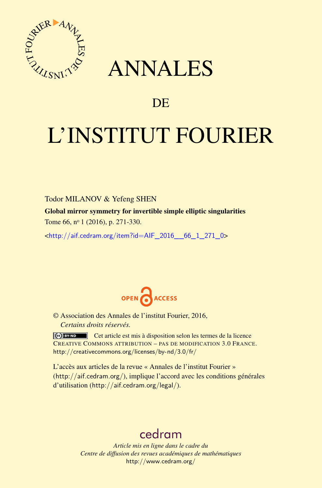

# ANNALES

# **DE**

# L'INSTITUT FOURIER

# Todor MILANOV & Yefeng SHEN

Global mirror symmetry for invertible simple elliptic singularities Tome 66, nº 1 (2016), p. 271-330.

 $\kappa$ http://aif.cedram.org/item?id=AIF\_2016\_66\_1\_271\_0>



© Association des Annales de l'institut Fourier, 2016, *Certains droits réservés.*

Cet article est mis à disposition selon les termes de la licence CREATIVE COMMONS ATTRIBUTION – PAS DE MODIFICATION 3.0 FRANCE. <http://creativecommons.org/licenses/by-nd/3.0/fr/>

L'accès aux articles de la revue « Annales de l'institut Fourier » (<http://aif.cedram.org/>), implique l'accord avec les conditions générales d'utilisation (<http://aif.cedram.org/legal/>).

# [cedram](http://www.cedram.org/)

*Article mis en ligne dans le cadre du Centre de diffusion des revues académiques de mathématiques* <http://www.cedram.org/>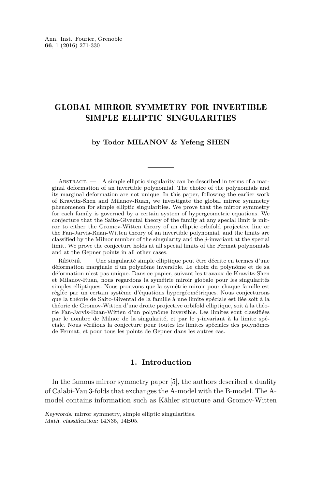# GLOBAL MIRROR SYMMETRY FOR INVERTIBLE SIMPLE ELLIPTIC SINGULARITIES

#### **by Todor MILANOV & Yefeng SHEN**

ABSTRACT.  $-$  A simple elliptic singularity can be described in terms of a marginal deformation of an invertible polynomial. The choice of the polynomials and its marginal deformation are not unique. In this paper, following the earlier work of Krawitz-Shen and Milanov-Ruan, we investigate the global mirror symmetry phenomenon for simple elliptic singularities. We prove that the mirror symmetry for each family is governed by a certain system of hypergeometric equations. We conjecture that the Saito-Givental theory of the family at any special limit is mirror to either the Gromov-Witten theory of an elliptic orbifold projective line or the Fan-Jarvis-Ruan-Witten theory of an invertible polynomial, and the limits are classified by the Milnor number of the singularity and the *j*-invariant at the special limit. We prove the conjecture holds at all special limits of the Fermat polynomials and at the Gepner points in all other cases.

Résumé. — Une singularité simple elliptique peut être décrite en termes d'une déformation marginale d'un polynôme inversible. Le choix du polynôme et de sa déformation n'est pas unique. Dans ce papier, suivant les travaux de Krawitz-Shen et Milanov-Ruan, nous regardons la symétrie miroir globale pour les singularités simples elliptiques. Nous prouvons que la symétrie miroir pour chaque famille est règlée par un certain système d'équations hypergéométriques. Nous conjecturons que la théorie de Saito-Givental de la famille à une limite spéciale est liée soit à la théorie de Gromov-Witten d'une droite projective orbifold elliptique, soit à la théorie Fan-Jarvis-Ruan-Witten d'un polynôme inversible. Les limites sont classifiées par le nombre de Milnor de la singularité, et par le *j*-invariant à la limite spéciale. Nous vérifions la conjecture pour toutes les limites spéciales des polynômes de Fermat, et pour tous les points de Gepner dans les autres cas.

### **1. Introduction**

In the famous mirror symmetry paper [\[5\]](#page-58-0), the authors described a duality of Calabi-Yau 3-folds that exchanges the A-model with the B-model. The Amodel contains information such as Kähler structure and Gromov-Witten

Keywords: mirror symmetry, simple elliptic singularities. Math. classification: 14N35, 14B05.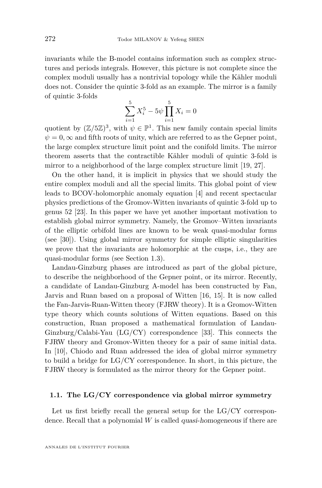invariants while the B-model contains information such as complex structures and periods integrals. However, this picture is not complete since the complex moduli usually has a nontrivial topology while the Kähler moduli does not. Consider the quintic 3-fold as an example. The mirror is a family of quintic 3-folds

$$
\sum_{i=1}^{5} X_i^5 - 5\psi \prod_{i=1}^{5} X_i = 0
$$

quotient by  $(\mathbb{Z}/5\mathbb{Z})^3$ , with  $\psi \in \mathbb{P}^1$ . This new family contain special limits  $\psi = 0$ ,  $\infty$  and fifth roots of unity, which are referred to as the Gepner point, the large complex structure limit point and the conifold limits. The mirror theorem asserts that the contractible Kähler moduli of quintic 3-fold is mirror to a neighborhood of the large complex structure limit [\[19,](#page-59-0) [27\]](#page-59-1).

On the other hand, it is implicit in physics that we should study the entire complex moduli and all the special limits. This global point of view leads to BCOV-holomorphic anomaly equation [\[4\]](#page-58-1) and recent spectacular physics predictions of the Gromov-Witten invariants of quintic 3-fold up to genus 52 [\[23\]](#page-59-2). In this paper we have yet another important motivation to establish global mirror symmetry. Namely, the Gromov–Witten invariants of the elliptic orbifold lines are known to be weak quasi-modular forms (see [\[30\]](#page-60-0)). Using global mirror symmetry for simple elliptic singularities we prove that the invariants are holomorphic at the cusps, i.e., they are quasi-modular forms (see Section [1.3\)](#page-7-0).

Landau-Ginzburg phases are introduced as part of the global picture, to describe the neighborhood of the Gepner point, or its mirror. Recently, a candidate of Landau-Ginzburg A-model has been constructed by Fan, Jarvis and Ruan based on a proposal of Witten [\[16,](#page-59-3) [15\]](#page-59-4). It is now called the Fan-Jarvis-Ruan-Witten theory (FJRW theory). It is a Gromov-Witten type theory which counts solutions of Witten equations. Based on this construction, Ruan proposed a mathematical formulation of Landau-Ginzburg/Calabi-Yau (LG/CY) correspondence [\[33\]](#page-60-1). This connects the FJRW theory and Gromov-Witten theory for a pair of same initial data. In [\[10\]](#page-59-5), Chiodo and Ruan addressed the idea of global mirror symmetry to build a bridge for LG/CY correspondence. In short, in this picture, the FJRW theory is formulated as the mirror theory for the Gepner point.

#### <span id="page-2-0"></span>**1.1. The LG/CY correspondence via global mirror symmetry**

Let us first briefly recall the general setup for the  $LG/CY$  correspondence. Recall that a polynomial *W* is called quasi-homogeneous if there are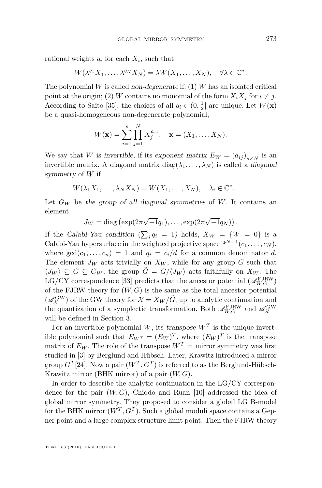rational weights  $q_i$  for each  $X_i$ , such that

$$
W(\lambda^{q_1}X_1,\ldots,\lambda^{q_N}X_N)=\lambda W(X_1,\ldots,X_N),\quad \forall \lambda\in\mathbb{C}^*.
$$

The polynomial *W* is called non-degenerate if: (1) *W* has an isolated critical point at the origin; (2) *W* contains no monomial of the form  $X_i X_j$  for  $i \neq j$ . According to Saito [\[35\]](#page-60-2), the choices of all  $q_i \in (0, \frac{1}{2}]$  are unique. Let  $W(\mathbf{x})$ be a quasi-homogeneous non-degenerate polynomial,

$$
W(\mathbf{x}) = \sum_{i=1}^{s} \prod_{j=1}^{N} X_j^{a_{ij}}, \quad \mathbf{x} = (X_1, \dots, X_N).
$$

We say that *W* is invertible, if its exponent matrix  $E_W = (a_{ij})_{s \times N}$  is an invertible matrix. A diagonal matrix  $diag(\lambda_1, \ldots, \lambda_N)$  is called a *diagonal* symmetry of *W* if

$$
W(\lambda_1 X_1, \dots, \lambda_N X_N) = W(X_1, \dots, X_N), \quad \lambda_i \in \mathbb{C}^*.
$$

Let  $G_W$  be the group of all diagonal symmetries of W. It contains an element

$$
J_W = \text{diag}\left(\exp(2\pi\sqrt{-1}q_1), \ldots, \exp(2\pi\sqrt{-1}q_N)\right).
$$

If the Calabi-Yau condition  $(\sum_i q_i = 1)$  holds,  $X_W = \{W = 0\}$  is a Calabi-Yau hypersurface in the weighted projective space  $\mathbb{P}^{N-1}(c_1,\ldots,c_N)$ , where  $gcd(c_1, \ldots, c_n) = 1$  and  $q_i = c_i/d$  for a common denominator *d*. The element  $J_W$  acts trivially on  $X_W$ , while for any group  $G$  such that  $\langle J_W \rangle$  ⊆ *G* ⊆ *G<sub>W</sub>*, the group  $\widetilde{G} = G/\langle J_W \rangle$  acts faithfully on  $X_W$ . The LG/CY correspondence [\[33\]](#page-60-1) predicts that the ancestor potential  $(\mathscr{A}_{W,G}^{\text{FJRW}})$ of the FJRW theory for  $(W, G)$  is the same as the total ancestor potential  $(\mathscr{A}_{\mathcal{X}}^{\text{GW}})$  of the GW theory for  $\mathcal{X} = X_W/\tilde{G}$ , up to analytic continuation and the quantization of a symplectic transformation. Both  $\mathscr{A}_{W,G}^{\text{FIRW}}$  and  $\mathscr{A}_{\mathcal{X}}^{\text{GW}}$ will be defined in Section [3.](#page-21-0)

For an invertible polynomial *W*, its transpose  $W<sup>T</sup>$  is the unique invertible polynomial such that  $E_{W^T} = (E_W)^T$ , where  $(E_W)^T$  is the transpose matrix of  $E_W$ . The role of the transpose  $W^T$  in mirror symmetry was first studied in [\[3\]](#page-58-2) by Berglund and Hübsch. Later, Krawitz introduced a mirror group  $G^{T}[24]$  $G^{T}[24]$ . Now a pair  $(W^{T}, G^{T})$  is referred to as the Berglund-Hübsch-Krawitz mirror (BHK mirror) of a pair (*W, G*).

In order to describe the analytic continuation in the LG/CY correspondence for the pair (*W, G*), Chiodo and Ruan [\[10\]](#page-59-5) addressed the idea of global mirror symmetry. They proposed to consider a global LG B-model for the BHK mirror  $(W^T, G^T)$ . Such a global moduli space contains a Gepner point and a large complex structure limit point. Then the FJRW theory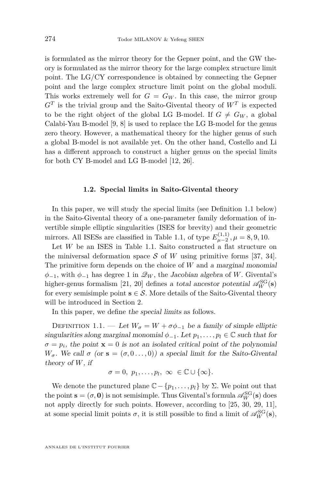is formulated as the mirror theory for the Gepner point, and the GW theory is formulated as the mirror theory for the large complex structure limit point. The LG/CY correspondence is obtained by connecting the Gepner point and the large complex structure limit point on the global moduli. This works extremely well for  $G = G_W$ . In this case, the mirror group  $G<sup>T</sup>$  is the trivial group and the Saito-Givental theory of  $W<sup>T</sup>$  is expected to be the right object of the global LG B-model. If  $G \neq G_W$ , a global Calabi-Yau B-model [\[9,](#page-59-7) [8\]](#page-58-3) is used to replace the LG B-model for the genus zero theory. However, a mathematical theory for the higher genus of such a global B-model is not available yet. On the other hand, Costello and Li has a different approach to construct a higher genus on the special limits for both CY B-model and LG B-model [\[12,](#page-59-8) [26\]](#page-59-9).

#### **1.2. Special limits in Saito-Givental theory**

In this paper, we will study the special limits (see Definition [1.1](#page-4-0) below) in the Saito-Givental theory of a one-parameter family deformation of invertible simple elliptic singularities (ISES for brevity) and their geometric mirrors. All ISESs are classified in Table [1.1,](#page-5-0) of type  $E_{\mu-2}^{(1,1)}$ ,  $\mu = 8, 9, 10$ .

Let *W* be an ISES in Table [1.1.](#page-5-0) Saito constructed a flat structure on the miniversal deformation space S of W using primitive forms [\[37,](#page-60-3) [34\]](#page-60-4). The primitive form depends on the choice of *W* and a marginal monomial  $\phi_{-1}$ , with  $\phi_{-1}$  has degree 1 in  $\mathscr{Q}_W$ , the Jacobian algebra of *W*. Givental's higher-genus formalism [\[21,](#page-59-10) [20\]](#page-59-11) defines a total ancestor potential  $\mathscr{A}_{W}^{SG}(\mathbf{s})$ for every semisimple point  $\mathbf{s} \in \mathcal{S}$ . More details of the Saito-Givental theory will be introduced in Section [2.](#page-9-0)

In this paper, we define the special limits as follows.

<span id="page-4-0"></span>DEFINITION 1.1. — Let  $W_{\sigma} = W + \sigma \phi_{-1}$  be a family of simple elliptic singularities along marginal monomial  $\phi_{-1}$ . Let  $p_1, \ldots, p_l \in \mathbb{C}$  such that for  $\sigma = p_i$ , the point  $\mathbf{x} = 0$  is not an isolated critical point of the polynomial *W*<sub>σ</sub>. We call σ (or **s** =  $(σ, 0...$ , 0)) a special limit for the Saito-Givental theory of *W*, if

$$
\sigma = 0, p_1, \ldots, p_l, \infty \in \mathbb{C} \cup \{\infty\}.
$$

We denote the punctured plane  $\mathbb{C} - \{p_1, \ldots, p_l\}$  by  $\Sigma$ . We point out that the point  $\mathbf{s} = (\sigma, \mathbf{0})$  is not semisimple. Thus Givental's formula  $\mathscr{A}_W^{\rm SG}(\mathbf{s})$  does not apply directly for such points. However, according to [\[25,](#page-59-12) [30,](#page-60-0) [29,](#page-59-13) [11\]](#page-59-14), at some special limit points  $\sigma$ , it is still possible to find a limit of  $\mathscr{A}_W^{\rm SG}(s)$ ,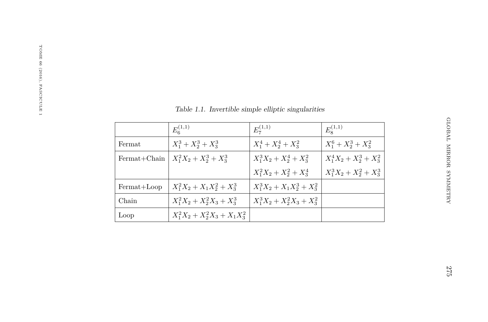|              | $E_6^{(1,1)}$                    | $E_7^{(1,1)}$                 | $E_8^{(1,1)}$              |
|--------------|----------------------------------|-------------------------------|----------------------------|
| Fermat       | $X_1^3 + X_2^3 + X_3^3$          | $X_1^4 + X_2^4 + X_3^2$       | $X_1^6 + X_2^3 + X_3^2$    |
| Fermat+Chain | $X_1^2X_2 + X_2^3 + X_3^3$       | $X_1^3X_2 + X_2^4 + X_3^2$    | $X_1^4X_2 + X_2^3 + X_3^2$ |
|              |                                  | $X_1^2X_2 + X_2^2 + X_3^4$    | $X_1^3X_2+X_2^2+X_3^3$     |
| Fermat+Loop  | $X_1^2X_2 + X_1X_2^2 + X_3^3$    | $X_1^3X_2 + X_1X_2^3 + X_3^2$ |                            |
| Chain        | $X_1^2X_2 + X_2^2X_3 + X_3^3$    | $X_1^3X_2 + X_2^2X_3 + X_3^2$ |                            |
| Loop         | $X_1^2X_2 + X_2^2X_3 + X_1X_3^2$ |                               |                            |

<span id="page-5-0"></span>Table 1.1. Invertible simple elliptic singularities

GLOBAL MIRROR SYMMETRY

GLOBAL MIRROR SYMMETRY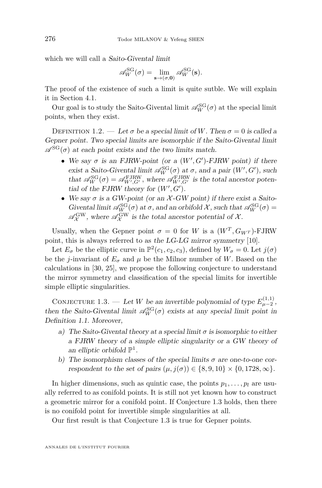which we will call a Saito-Givental limit

$$
\mathscr{A}_{W}^{\mathrm{SG}}(\sigma) = \lim_{\mathbf{s} \to (\sigma, \mathbf{0})} \mathscr{A}_{W}^{\mathrm{SG}}(\mathbf{s}).
$$

The proof of the existence of such a limit is quite sutble. We will explain it in Section [4.1.](#page-37-0)

Our goal is to study the Saito-Givental limit  $\mathscr{A}_W^{\rm SG}(\sigma)$  at the special limit points, when they exist.

<span id="page-6-1"></span>DEFINITION 1.2. — Let  $\sigma$  be a special limit of *W*. Then  $\sigma = 0$  is called a Gepner point. Two special limits are isomorphic if the Saito-Givental limit  $\mathscr{A}^{SG}(\sigma)$  at each point exists and the two limits match.

- We say  $\sigma$  is an FJRW-point (or a  $(W', G')$ -FJRW point) if there exist a Saito-Givental limit  $\mathscr{A}_W^{\rm SG}(\sigma)$  at  $\sigma$ , and a pair  $(W', G')$ , such that  $\mathscr{A}_{W}^{SG}(\sigma) = \mathscr{A}_{W',G'}^{FJRW}$ , where  $\mathscr{A}_{W',G'}^{FJRW}$  is the total ancestor potential of the FJRW theory for  $(W', G')$ .
- We say  $\sigma$  is a GW-point (or an  $\mathcal{X}$ -GW point) if there exist a Saito-Givental limit  $\mathscr{A}_W^{\rm SG}(\sigma)$  at  $\sigma$ , and an orbifold X, such that  $\mathscr{A}_W^{\rm SG}(\sigma)$  =  $\mathscr{A}^{\rm GW}_{\mathcal{X}}$ , where  $\mathscr{A}^{\rm GW}_{\mathcal{X}}$  is the total ancestor potential of  $\mathcal{X}$ .

Usually, when the Gepner point  $\sigma = 0$  for *W* is a  $(W^T, G_{W^T})$ -FJRW point, this is always referred to as the LG-LG mirror symmetry [\[10\]](#page-59-5).

Let  $E_{\sigma}$  be the elliptic curve in  $\mathbb{P}^2(c_1, c_2, c_3)$ , defined by  $W_{\sigma} = 0$ . Let  $j(\sigma)$ be the *j*-invariant of  $E_{\sigma}$  and  $\mu$  be the Milnor number of *W*. Based on the calculations in [\[30,](#page-60-0) [25\]](#page-59-12), we propose the following conjecture to understand the mirror symmetry and classification of the special limits for invertible simple elliptic singularities.

<span id="page-6-0"></span>CONJECTURE 1.3. — Let *W* be an invertible polynomial of type  $E_{\mu-2}^{(1,1)}$ , then the Saito-Givental limit  $\mathscr{A}_W^{\rm SG}(\sigma)$  exists at any special limit point in Definition [1.1.](#page-4-0) Moreover,

- a) The Saito-Givental theory at a special limit  $\sigma$  is isomorphic to either a FJRW theory of a simple elliptic singularity or a GW theory of an elliptic orbifold  $\mathbb{P}^1$ .
- b) The isomorphism classes of the special limits  $\sigma$  are one-to-one correspondent to the set of pairs  $(\mu, j(\sigma)) \in \{8, 9, 10\} \times \{0, 1728, \infty\}.$

In higher dimensions, such as quintic case, the points  $p_1, \ldots, p_l$  are usually referred to as conifold points. It is still not yet known how to construct a geometric mirror for a conifold point. If Conjecture [1.3](#page-6-0) holds, then there is no conifold point for invertible simple singularities at all.

Our first result is that Conjecture [1.3](#page-6-0) is true for Gepner points.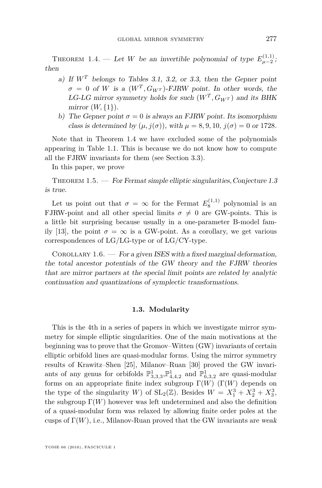<span id="page-7-1"></span>THEOREM 1.4. — Let *W* be an invertible polynomial of type  $E_{\mu-2}^{(1,1)}$ ; then

- a) If *W<sup>T</sup>* belongs to Tables [3.1,](#page-32-0) [3.2,](#page-32-1) or [3.3,](#page-33-0) then the Gepner point  $\sigma = 0$  of *W* is a  $(W^T, G_{W^T})$ -FJRW point. In other words, the LG-LG mirror symmetry holds for such  $(W<sup>T</sup>, G<sub>W<sup>T</sup></sub>)$  and its BHK mirror  $(W, \{1\})$ .
- b) The Gepner point  $\sigma = 0$  is always an FJRW point. Its isomorphism class is determined by  $(\mu, j(\sigma))$ , with  $\mu = 8, 9, 10, j(\sigma) = 0$  or 1728.

Note that in Theorem [1.4](#page-7-1) we have excluded some of the polynomials appearing in Table [1.1.](#page-5-0) This is because we do not know how to compute all the FJRW invariants for them (see Section [3.3\)](#page-26-0).

In this paper, we prove

<span id="page-7-2"></span>THEOREM  $1.5.$  — For Fermat simple elliptic singularities, Conjecture [1.3](#page-6-0) is true.

Let us point out that  $\sigma = \infty$  for the Fermat  $E_8^{(1,1)}$  polynomial is an FJRW-point and all other special limits  $\sigma \neq 0$  are GW-points. This is a little bit surprising because usually in a one-parameter B-model fam-ily [\[13\]](#page-59-15), the point  $\sigma = \infty$  is a GW-point. As a corollary, we get various correspondences of LG/LG-type or of LG/CY-type.

COROLLARY  $1.6.$  — For a given ISES with a fixed marginal deformation, the total ancestor potentials of the GW theory and the FJRW theories that are mirror partners at the special limit points are related by analytic continuation and quantizations of symplectic transformations.

#### **1.3. Modularity**

<span id="page-7-0"></span>This is the 4th in a series of papers in which we investigate mirror symmetry for simple elliptic singularities. One of the main motivations at the beginning was to prove that the Gromov–Witten (GW) invariants of certain elliptic orbifold lines are quasi-modular forms. Using the mirror symmetry results of Krawitz–Shen [\[25\]](#page-59-12), Milanov–Ruan [\[30\]](#page-60-0) proved the GW invariants of any genus for orbifolds  $\mathbb{P}^1_{3,3,3}$ ,  $\mathbb{P}^1_{4,4,2}$  and  $\mathbb{P}^1_{6,3,2}$  are quasi-modular forms on an appropriate finite index subgroup Γ(*W*) (Γ(*W*) depends on the type of the singularity *W*) of  $SL_2(\mathbb{Z})$ . Besides  $W = X_1^3 + X_2^3 + X_3^3$ , the subgroup  $\Gamma(W)$  however was left undetermined and also the definition of a quasi-modular form was relaxed by allowing finite order poles at the cusps of  $\Gamma(W)$ , i.e., Milanov-Ruan proved that the GW invariants are weak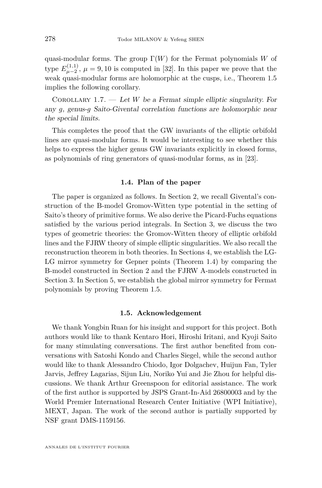quasi-modular forms. The group  $\Gamma(W)$  for the Fermat polynomials *W* of type  $E_{\mu-2}^{(1,1)}$ ,  $\mu = 9, 10$  is computed in [\[32\]](#page-60-5). In this paper we prove that the weak quasi-modular forms are holomorphic at the cusps, i.e., Theorem [1.5](#page-7-2) implies the following corollary.

COROLLARY 1.7.  $-$  Let *W* be a Fermat simple elliptic singularity. For any *g*, genus-*g* Saito-Givental correlation functions are holomorphic near the special limits.

This completes the proof that the GW invariants of the elliptic orbifold lines are quasi-modular forms. It would be interesting to see whether this helps to express the higher genus GW invariants explicitly in closed forms, as polynomials of ring generators of quasi-modular forms, as in [\[23\]](#page-59-2).

#### **1.4. Plan of the paper**

The paper is organized as follows. In Section [2,](#page-9-0) we recall Givental's construction of the B-model Gromov-Witten type potential in the setting of Saito's theory of primitive forms. We also derive the Picard-Fuchs equations satisfied by the various period integrals. In Section [3,](#page-21-0) we discuss the two types of geometric theories: the Gromov-Witten theory of elliptic orbifold lines and the FJRW theory of simple elliptic singularities. We also recall the reconstruction theorem in both theories. In Sections [4,](#page-37-1) we establish the LG-LG mirror symmetry for Gepner points (Theorem [1.4\)](#page-7-1) by comparing the B-model constructed in Section [2](#page-9-0) and the FJRW A-models constructed in Section [3.](#page-21-0) In Section [5,](#page-47-0) we establish the global mirror symmetry for Fermat polynomials by proving Theorem [1.5.](#page-7-2)

#### **1.5. Acknowledgement**

We thank Yongbin Ruan for his insight and support for this project. Both authors would like to thank Kentaro Hori, Hiroshi Iritani, and Kyoji Saito for many stimulating conversations. The first author benefited from conversations with Satoshi Kondo and Charles Siegel, while the second author would like to thank Alessandro Chiodo, Igor Dolgachev, Huijun Fan, Tyler Jarvis, Jeffrey Lagarias, Sijun Liu, Noriko Yui and Jie Zhou for helpful discussions. We thank Arthur Greenspoon for editorial assistance. The work of the first author is supported by JSPS Grant-In-Aid 26800003 and by the World Premier International Research Center Initiative (WPI Initiative), MEXT, Japan. The work of the second author is partially supported by NSF grant DMS-1159156.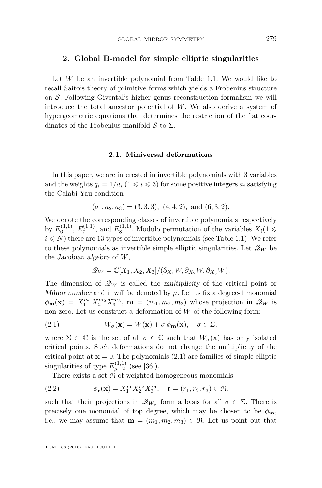#### <span id="page-9-0"></span>**2. Global B-model for simple elliptic singularities**

Let *W* be an invertible polynomial from Table [1.1.](#page-5-0) We would like to recall Saito's theory of primitive forms which yields a Frobenius structure on S. Following Givental's higher genus reconstruction formalism we will introduce the total ancestor potential of *W*. We also derive a system of hypergeometric equations that determines the restriction of the flat coordinates of the Frobenius manifold  $\mathcal S$  to  $\Sigma$ .

#### **2.1. Miniversal deformations**

In this paper, we are interested in invertible polynomials with 3 variables and the weights  $q_i = 1/a_i$  ( $1 \leq i \leq 3$ ) for some positive integers  $a_i$  satisfying the Calabi-Yau condition

$$
(a_1, a_2, a_3) = (3, 3, 3), (4, 4, 2), and (6, 3, 2).
$$

We denote the corresponding classes of invertible polynomials respectively by  $E_6^{(1,1)}$ ,  $E_7^{(1,1)}$ , and  $E_8^{(1,1)}$ . Modulo permutation of the variables  $X_i(1 \leq$  $i \leq N$ ) there are 13 types of invertible polynomials (see Table [1.1\)](#page-5-0). We refer to these polynomials as invertible simple elliptic singularities. Let  $\mathscr{Q}_W$  be the Jacobian algebra of *W*,

<span id="page-9-1"></span>
$$
\mathscr{Q}_{W}=\mathbb{C}[X_{1},X_{2},X_{3}]/(\partial_{X_{1}}W,\partial_{X_{2}}W,\partial_{X_{3}}W).
$$

The dimension of  $\mathcal{Q}_W$  is called the multiplicity of the critical point or Milnor number and it will be denoted by  $\mu$ . Let us fix a degree-1 monomial  $\phi_{\bf m}({\bf x}) = X_1^{m_1} X_2^{m_2} X_3^{m_3}, \; {\bf m} = (m_1, m_2, m_3)$  whose projection in  $\mathscr{Q}_W$  is non-zero. Let us construct a deformation of *W* of the following form:

(2.1) 
$$
W_{\sigma}(\mathbf{x}) = W(\mathbf{x}) + \sigma \phi_{\mathbf{m}}(\mathbf{x}), \quad \sigma \in \Sigma,
$$

where  $\Sigma \subset \mathbb{C}$  is the set of all  $\sigma \in \mathbb{C}$  such that  $W_{\sigma}(\mathbf{x})$  has only isolated critical points. Such deformations do not change the multiplicity of the critical point at  $\mathbf{x} = 0$ . The polynomials [\(2.1\)](#page-9-1) are families of simple elliptic singularities of type  $E_{\mu-2}^{(1,1)}$  (see [\[36\]](#page-60-6)).

There exists a set  $\Re$  of weighted homogeneous monomials

(2.2) 
$$
\phi_{\mathbf{r}}(\mathbf{x}) = X_1^{r_1} X_2^{r_2} X_3^{r_3}, \quad \mathbf{r} = (r_1, r_2, r_3) \in \mathfrak{R},
$$

such that their projections in  $\mathscr{Q}_{W_{\sigma}}$  form a basis for all  $\sigma \in \Sigma$ . There is precisely one monomial of top degree, which may be chosen to be  $\phi_m$ , i.e., we may assume that  $\mathbf{m} = (m_1, m_2, m_3) \in \mathfrak{R}$ . Let us point out that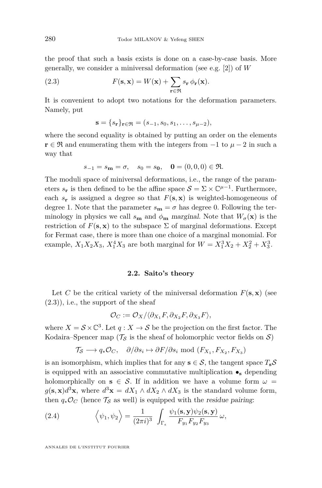the proof that such a basis exists is done on a case-by-case basis. More generally, we consider a miniversal deformation (see e.g. [\[2\]](#page-58-4)) of *W*

(2.3) 
$$
F(\mathbf{s}, \mathbf{x}) = W(\mathbf{x}) + \sum_{\mathbf{r} \in \mathfrak{R}} s_{\mathbf{r}} \phi_{\mathbf{r}}(\mathbf{x}).
$$

It is convenient to adopt two notations for the deformation parameters. Namely, put

<span id="page-10-0"></span>
$$
\mathbf{s} = \{s_{\mathbf{r}}\}_{\mathbf{r} \in \mathfrak{R}} = (s_{-1}, s_0, s_1, \dots, s_{\mu-2}),
$$

where the second equality is obtained by putting an order on the elements **r** ∈ R<sup>x</sup> and enumerating them with the integers from  $-1$  to  $\mu - 2$  in such a way that

$$
s_{-1} = s_{\mathbf{m}} = \sigma
$$
,  $s_0 = s_{\mathbf{0}}$ ,  $\mathbf{0} = (0, 0, 0) \in \mathfrak{R}$ .

The moduli space of miniversal deformations, i.e., the range of the parameters  $s_{\mathbf{r}}$  is then defined to be the affine space  $S = \Sigma \times \mathbb{C}^{\mu-1}$ . Furthermore, each  $s_r$  is assigned a degree so that  $F(\mathbf{s}, \mathbf{x})$  is weighted-homogeneous of degree 1. Note that the parameter  $s_m = \sigma$  has degree 0. Following the terminology in physics we call  $s_m$  and  $\phi_m$  marginal. Note that  $W_{\sigma}(\mathbf{x})$  is the restriction of  $F(\mathbf{s}, \mathbf{x})$  to the subspace  $\Sigma$  of marginal deformations. Except for Fermat case, there is more than one choice of a marginal monomial. For example,  $X_1 X_2 X_3$ ,  $X_1^4 X_3$  are both marginal for  $W = X_1^3 X_2 + X_2^2 + X_3^3$ .

#### **2.2. Saito's theory**

Let *C* be the critical variety of the miniversal deformation  $F(\mathbf{s}, \mathbf{x})$  (see  $(2.3)$ , i.e., the support of the sheaf

$$
\mathcal{O}_C := \mathcal{O}_X / \langle \partial_{X_1} F, \partial_{X_2} F, \partial_{X_3} F \rangle,
$$

where  $X = S \times \mathbb{C}^3$ . Let  $q : X \to S$  be the projection on the first factor. The Kodaira–Spencer map ( $\mathcal{T}_{\mathcal{S}}$  is the sheaf of holomorphic vector fields on  $\mathcal{S}$ )

$$
\mathcal{T}_{\mathcal{S}} \longrightarrow q_* \mathcal{O}_C, \quad \partial/\partial s_i \mapsto \partial F/\partial s_i \text{ mod } (F_{X_1}, F_{X_2}, F_{X_3})
$$

is an isomorphism, which implies that for any **s**  $\in$  S, the tangent space  $T_s$ S is equipped with an associative commutative multiplication  $\bullet$ <sub>s</sub> depending holomorphically on **s**  $\in$  S. If in addition we have a volume form  $\omega$  =  $g(\mathbf{s}, \mathbf{x})d^3\mathbf{x}$ , where  $d^3\mathbf{x} = dX_1 \wedge dX_2 \wedge dX_3$  is the standard volume form, then  $q_*\mathcal{O}_C$  (hence  $\mathcal{T}_S$  as well) is equipped with the residue pairing:

<span id="page-10-1"></span>(2.4) 
$$
\left\langle \psi_1, \psi_2 \right\rangle = \frac{1}{(2\pi i)^3} \int_{\Gamma_{\epsilon}} \frac{\psi_1(s, \mathbf{y}) \psi_2(s, \mathbf{y})}{F_{y_1} F_{y_2} F_{y_3}} \omega,
$$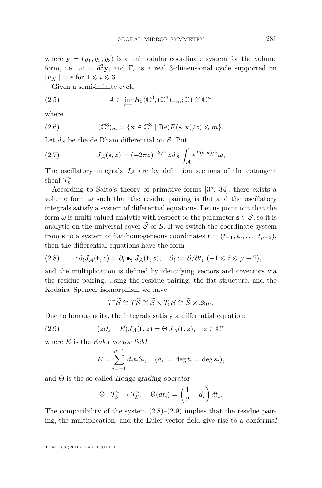where  $\mathbf{y} = (y_1, y_2, y_3)$  is a unimodular coordinate system for the volume form, i.e.,  $\omega = d^3 y$ , and  $\Gamma_{\epsilon}$  is a real 3-dimensional cycle supported on  $|F_{X_i}| = \epsilon$  for  $1 \leqslant i \leqslant 3$ *.* 

Given a semi-infinite cycle

(2.5) 
$$
\mathcal{A} \in \lim_{\longleftarrow} H_3(\mathbb{C}^3, (\mathbb{C}^3)_{-m}; \mathbb{C}) \cong \mathbb{C}^{\mu},
$$

where

(2.6) 
$$
(\mathbb{C}^3)_m = \{ \mathbf{x} \in \mathbb{C}^3 \mid \text{Re}(F(\mathbf{s}, \mathbf{x})/z) \leq m \}.
$$

Let  $d_{\mathcal{S}}$  be the de Rham differential on  $\mathcal{S}$ . Put

(2.7) 
$$
J_{\mathcal{A}}(\mathbf{s},z) = (-2\pi z)^{-3/2} z d_{\mathcal{S}} \int_{\mathcal{A}} e^{F(\mathbf{s},\mathbf{x})/z} \omega,
$$

The oscillatory integrals  $J_A$  are by definition sections of the cotangent sheaf  $\mathcal{T}_{\mathcal{S}}^*$ .

According to Saito's theory of primitive forms [\[37,](#page-60-3) [34\]](#page-60-4), there exists a volume form  $\omega$  such that the residue pairing is flat and the oscillatory integrals satisfy a system of differential equations. Let us point out that the form  $\omega$  is multi-valued analytic with respect to the parameter  $\mathbf{s} \in \mathcal{S}$ , so it is analytic on the universal cover  $\tilde{S}$  of S. If we switch the coordinate system from **s** to a system of flat-homogeneous coordinates  $\mathbf{t} = (t_{-1}, t_0, \ldots, t_{\mu-2}),$ then the differential equations have the form

<span id="page-11-0"></span>(2.8) 
$$
z \partial_i J_{\mathcal{A}}(\mathbf{t}, z) = \partial_i \bullet_{\mathbf{t}} J_{\mathcal{A}}(\mathbf{t}, z), \quad \partial_i := \partial / \partial t_i \ (-1 \leq i \leq \mu - 2),
$$

and the multiplication is defined by identifying vectors and covectors via the residue pairing. Using the residue pairing, the flat structure, and the Kodaira–Spencer isomorphism we have

<span id="page-11-1"></span>
$$
T^*\widetilde{\mathcal{S}} \cong T\widetilde{\mathcal{S}} \cong \widetilde{\mathcal{S}} \times T_0\mathcal{S} \cong \widetilde{\mathcal{S}} \times \mathcal{Q}_W.
$$

Due to homogeneity, the integrals satisfy a differential equation:

(2.9) 
$$
(z\partial_z + E)J_{\mathcal{A}}(\mathbf{t}, z) = \Theta J_{\mathcal{A}}(\mathbf{t}, z), \quad z \in \mathbb{C}^*
$$

where *E* is the Euler vector field

$$
E = \sum_{i=-1}^{\mu-2} d_i t_i \partial_i, \quad (d_i := \deg t_i = \deg s_i),
$$

and  $\Theta$  is the so-called Hodge grading operator

$$
\Theta: \mathcal{T}_S^* \to \mathcal{T}_S^*, \quad \Theta(dt_i) = \left(\frac{1}{2} - d_i\right) dt_i.
$$

The compatibility of the system  $(2.8)$ – $(2.9)$  implies that the residue pairing, the multiplication, and the Euler vector field give rise to a conformal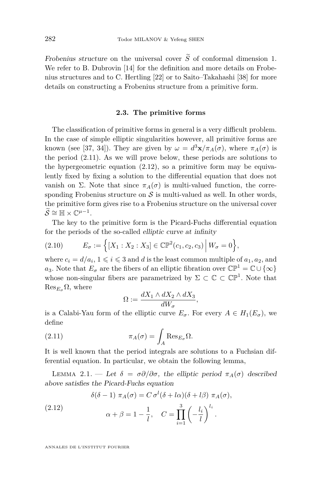Frobenius structure on the universal cover  $\widetilde{S}$  of conformal dimension 1. We refer to B. Dubrovin [\[14\]](#page-59-16) for the definition and more details on Frobenius structures and to C. Hertling [\[22\]](#page-59-17) or to Saito–Takahashi [\[38\]](#page-60-7) for more details on constructing a Frobenius structure from a primitive form.

#### **2.3. The primitive forms**

The classification of primitive forms in general is a very difficult problem. In the case of simple elliptic singularities however, all primitive forms are known (see [\[37,](#page-60-3) [34\]](#page-60-4)). They are given by  $\omega = d^3\mathbf{x}/\pi_A(\sigma)$ , where  $\pi_A(\sigma)$  is the period [\(2.11\)](#page-12-0). As we will prove below, these periods are solutions to the hypergeometric equation [\(2.12\)](#page-12-1), so a primitive form may be equivalently fixed by fixing a solution to the differential equation that does not vanish on Σ. Note that since  $\pi_A(\sigma)$  is multi-valued function, the corresponding Frobenius structure on  $\mathcal S$  is multi-valued as well. In other words, the primitive form gives rise to a Frobenius structure on the universal cover  $\widetilde{\mathcal{S}} \cong \mathbb{H} \times \mathbb{C}^{\mu-1}.$ 

The key to the primitive form is the Picard-Fuchs differential equation for the periods of the so-called elliptic curve at infinity

(2.10) 
$$
E_{\sigma} := \left\{ [X_1 : X_2 : X_3] \in \mathbb{CP}^2(c_1, c_2, c_3) \middle| W_{\sigma} = 0 \right\},\
$$

where  $c_i = d/a_i$ ,  $1 \leq i \leq 3$  and *d* is the least common multiple of  $a_1, a_2$ , and *a*<sub>3</sub>. Note that  $E_{\sigma}$  are the fibers of an elliptic fibration over  $\mathbb{CP}^1 = \mathbb{C} \cup {\infty}$ whose non-singular fibers are parametrized by  $\Sigma \subset \mathbb{C} \subset \mathbb{CP}^1$ . Note that  $\text{Res}_{E_{\sigma}} \Omega$ , where

<span id="page-12-0"></span>
$$
\Omega := \frac{dX_1 \wedge dX_2 \wedge dX_3}{dW_{\sigma}},
$$

is a Calabi-Yau form of the elliptic curve  $E_{\sigma}$ . For every  $A \in H_1(E_{\sigma})$ , we define

(2.11) 
$$
\pi_A(\sigma) = \int_A \text{Res}_{E_{\sigma}} \Omega.
$$

It is well known that the period integrals are solutions to a Fuchsian differential equation. In particular, we obtain the following lemma,

<span id="page-12-2"></span>Lemma 2.1. — Let *δ* = *σ∂/∂σ*, the elliptic period *πA*(*σ*) described above satisfies the Picard-Fuchs equation

<span id="page-12-1"></span>
$$
\delta(\delta - 1) \pi_A(\sigma) = C \sigma^l(\delta + l\alpha)(\delta + l\beta) \pi_A(\sigma),
$$

(2.12) 
$$
\alpha + \beta = 1 - \frac{1}{l}, \quad C = \prod_{i=1}^{3} \left( -\frac{l_i}{l} \right)^{l_i}.
$$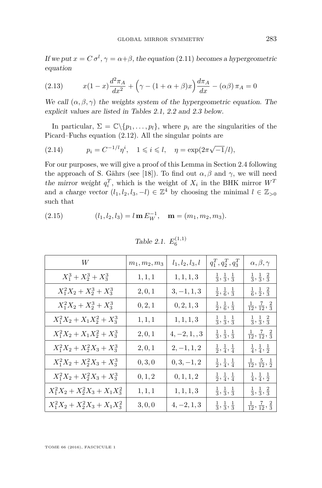If we put  $x = C \sigma^l$ ,  $\gamma = \alpha + \beta$ , the equation [\(2.11\)](#page-12-0) becomes a hypergeometric equation

<span id="page-13-2"></span>(2.13) 
$$
x(1-x)\frac{d^2\pi_A}{dx^2} + \left(\gamma - (1+\alpha+\beta)x\right)\frac{d\pi_A}{dx} - (\alpha\beta)\pi_A = 0
$$

We call  $(\alpha, \beta, \gamma)$  the weights system of the hypergeometric equation. The explicit values are listed in Tables [2.1,](#page-13-0) [2.2](#page-14-0) and [2.3](#page-14-1) below.

In particular,  $\Sigma = \mathbb{C} \setminus \{p_1, \ldots, p_l\}$ , where  $p_i$  are the singularities of the Picard–Fuchs equation [\(2.12\)](#page-12-1). All the singular points are

(2.14) 
$$
p_i = C^{-1/l} \eta^i
$$
,  $1 \le i \le l$ ,  $\eta = \exp(2\pi \sqrt{-1/l})$ ,

For our purposes, we will give a proof of this Lemma in Section [2.4](#page-14-2) following the approach of S. Gährs (see [\[18\]](#page-59-18)). To find out  $\alpha, \beta$  and  $\gamma$ , we will need the mirror weight  $q_i^T$ , which is the weight of  $X_i$  in the BHK mirror  $W^T$ and a charge vector  $(l_1, l_2, l_3, -l) \in \mathbb{Z}^4$  by choosing the minimal  $l \in \mathbb{Z}_{>0}$ such that

(2.15) 
$$
(l_1, l_2, l_3) = l \mathbf{m} E_W^{-1}, \mathbf{m} = (m_1, m_2, m_3).
$$

| W                                | $m_1, m_2, m_3$ | $l_1,l_2,l_3,l$                                  | $q_1^T,q_2^T,q_3^T$                     | $\alpha, \beta, \gamma$                   |
|----------------------------------|-----------------|--------------------------------------------------|-----------------------------------------|-------------------------------------------|
| $X_1^3 + X_2^3 + X_3^3$          | 1, 1, 1         | $\mathbf{1}, \mathbf{1}, \mathbf{1}, \mathbf{3}$ | $\frac{1}{3},\frac{1}{3},\frac{1}{3}$   | $\frac{1}{3},\frac{1}{3},\frac{2}{3}$     |
| $X_1^2X_2 + X_2^3 + X_3^3$       | 2, 0, 1         | $3, -1, 1, 3$                                    | $\frac{1}{2}, \frac{1}{6}, \frac{1}{3}$ | $\frac{1}{6}, \frac{1}{2}, \frac{2}{3}$   |
| $X_1^2X_2 + X_2^3 + X_3^3$       | 0, 2, 1         | 0, 2, 1, 3                                       | $\frac{1}{2}, \frac{1}{6}, \frac{1}{3}$ | $\frac{1}{12}, \frac{7}{12}, \frac{2}{3}$ |
| $X_1^2X_2 + X_1X_2^2 + X_3^3$    | 1, 1, 1         | 1, 1, 1, 3                                       | $\frac{1}{3},\frac{1}{3},\frac{1}{3}$   | $\frac{1}{3},\frac{1}{3},\frac{2}{3}$     |
| $X_1^2X_2 + X_1X_2^2 + X_3^3$    | 2, 0, 1         | $4, -2, 1, 3$                                    | $\frac{1}{3},\frac{1}{3},\frac{1}{3}$   | $\frac{1}{12}, \frac{7}{12}, \frac{2}{3}$ |
| $X_1^2X_2 + X_2^2X_3 + X_3^3$    | 2, 0, 1         | $2, -1, 1, 2$                                    | $\frac{1}{2},\frac{1}{4},\frac{1}{4}$   | $\frac{1}{4},\frac{1}{4},\frac{1}{2}$     |
| $X_1^2X_2 + X_2^2X_3 + X_3^3$    | 0, 3, 0         | $0, 3, -1, 2$                                    | $\frac{1}{2}, \frac{1}{4}, \frac{1}{4}$ | $\frac{1}{12}, \frac{5}{12}, \frac{1}{2}$ |
| $X_1^2X_2 + X_2^2X_3 + X_3^3$    | 0, 1, 2         | $0,1,1,2$                                        | $\frac{1}{2},\frac{1}{4},\frac{1}{4}$   | $\frac{1}{4}, \frac{1}{4}, \frac{1}{2}$   |
| $X_1^2X_2 + X_2^2X_3 + X_1X_3^2$ | 1, 1, 1         | $\mathbf{1}, \mathbf{1}, \mathbf{1}, \mathbf{3}$ | $\frac{1}{3},\frac{1}{3},\frac{1}{3}$   | $\frac{1}{3},\frac{1}{3},\frac{2}{3}$     |
| $X_1^2X_2 + X_2^2X_3 + X_1X_3^2$ | 3, 0, 0         | $4, -2, 1, 3$                                    | $\frac{1}{3}, \frac{1}{3}, \frac{1}{3}$ | $\frac{1}{12}, \frac{7}{12}, \frac{2}{3}$ |

<span id="page-13-1"></span><span id="page-13-0"></span>Table 2.1. 
$$
E_6^{(1,1)}
$$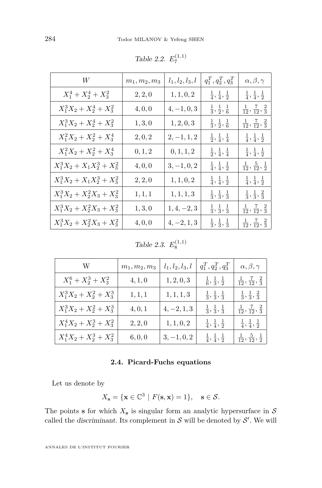| W                             | $m_1, m_2, m_3$ | $l_1, l_2, l_3, l$ | $q_1^T,q_2^T,q_3^T$                     | $\alpha, \beta, \gamma$                         |
|-------------------------------|-----------------|--------------------|-----------------------------------------|-------------------------------------------------|
| $X_1^4 + X_2^4 + X_3^2$       | 2, 2, 0         | 1, 1, 0, 2         | $\frac{1}{4},\frac{1}{4},\frac{1}{2}$   | $\frac{1}{4}, \frac{1}{4}, \frac{1}{2}$         |
| $X_1^3X_2 + X_2^4 + X_3^2$    | 4, 0, 0         | $4, -1, 0, 3$      | $\frac{1}{3},\frac{1}{2},\frac{1}{6}$   | $\frac{1}{12}, \frac{7}{12}, \frac{2}{3}$       |
| $X_1^3X_2 + X_2^4 + X_3^2$    | 1, 3, 0         | 1, 2, 0, 3         | $\frac{1}{3}, \frac{1}{2}, \frac{1}{6}$ | $\frac{1}{12}, \frac{7}{12}, \frac{2}{3}$       |
| $X_1^2X_2 + X_2^2 + X_3^4$    | 2, 0, 2         | $2, -1, 1, 2$      | $\frac{1}{2}, \frac{1}{4}, \frac{1}{4}$ | $\frac{1}{4}, \frac{1}{4}, \frac{1}{2}$         |
| $X_1^2X_2 + X_2^2 + X_3^4$    | 0, 1, 2         | 0, 1, 1, 2         | $\frac{1}{2}, \frac{1}{4}, \frac{1}{4}$ | $\frac{1}{4}, \frac{1}{4}, \frac{1}{2}$         |
| $X_1^3X_2 + X_1X_2^3 + X_3^2$ | 4, 0, 0         | $3, -1, 0, 2$      | $\frac{1}{4}, \frac{1}{4}, \frac{1}{2}$ | $\frac{1}{12}, \frac{5}{12}, \frac{1}{2}$       |
| $X_1^3X_2 + X_1X_2^3 + X_3^2$ | 2, 2, 0         | 1, 1, 0, 2         | $\frac{1}{4}, \frac{1}{4}, \frac{1}{2}$ | $\frac{1}{4}, \frac{1}{4}, \frac{1}{2}$         |
| $X_1^3X_2 + X_2^2X_3 + X_3^2$ | 1, 1, 1         | 1, 1, 1, 3         | $\frac{1}{3}, \frac{1}{3}, \frac{1}{3}$ | $\frac{1}{3}, \frac{1}{3}, \frac{2}{3}$         |
| $X_1^3X_2 + X_2^2X_3 + X_3^2$ | 1, 3, 0         | $1, 4, -2, 3$      | $\frac{1}{3},\frac{1}{3},\frac{1}{3}$   | $\frac{1}{12}$ , $\frac{7}{12}$ , $\frac{2}{3}$ |
| $X_1^3X_2 + X_2^2X_3 + X_3^2$ | 4, 0, 0         | $4, -2, 1, 3$      | $\frac{1}{3}, \frac{1}{3}, \frac{1}{3}$ | $\frac{1}{12}, \frac{7}{12}, \frac{2}{3}$       |

<span id="page-14-0"></span>Table 2.2.  $E_7^{(1,1)}$ 

<span id="page-14-1"></span>Table 2.3.  $E_8^{(1,1)}$ 

| W                          | $m_1, m_2, m_3$ | $l_1, l_2, l_3, l$ | $q_1^T, q_2^T, q_3^T$                   | $\alpha, \beta, \gamma$                   |
|----------------------------|-----------------|--------------------|-----------------------------------------|-------------------------------------------|
| $X_1^6 + X_2^3 + X_3^2$    | 4, 1, 0         | 1, 2, 0, 3         | $\frac{1}{6}, \frac{1}{3}, \frac{1}{2}$ | $\frac{1}{12}, \frac{7}{12}, \frac{2}{3}$ |
| $X_1^3X_2 + X_2^2 + X_3^3$ | 1, 1, 1         | 1, 1, 1, 3         | $\frac{1}{3}, \frac{1}{3}, \frac{1}{3}$ | $\frac{1}{3}, \frac{1}{3}, \frac{2}{3}$   |
| $X_1^3X_2 + X_2^2 + X_3^3$ | 4, 0, 1         | $4, -2, 1, 3$      | $\frac{1}{3}, \frac{1}{3}, \frac{1}{3}$ | $\frac{1}{12}, \frac{7}{12}, \frac{2}{3}$ |
| $X_1^4X_2 + X_2^3 + X_3^2$ | 2, 2, 0         | 1, 1, 0, 2         | $\frac{1}{4}, \frac{1}{4}, \frac{1}{2}$ | $\frac{1}{4}, \frac{1}{4}, \frac{1}{2}$   |
| $X_1^4X_2 + X_2^3 + X_3^2$ | 6, 0, 0         | $3, -1, 0, 2$      | $\frac{1}{4}, \frac{1}{4}, \frac{1}{2}$ | $\frac{1}{12}, \frac{5}{12}, \frac{1}{2}$ |

### **2.4. Picard-Fuchs equations**

<span id="page-14-2"></span>Let us denote by

$$
X_{\mathbf{s}} = \{ \mathbf{x} \in \mathbb{C}^3 \mid F(\mathbf{s}, \mathbf{x}) = 1 \}, \quad \mathbf{s} \in \mathcal{S}.
$$

The points **s** for which  $X_s$  is singular form an analytic hypersurface in  $S$ called the discriminant. Its complement in  $S$  will be denoted by  $S'$ . We will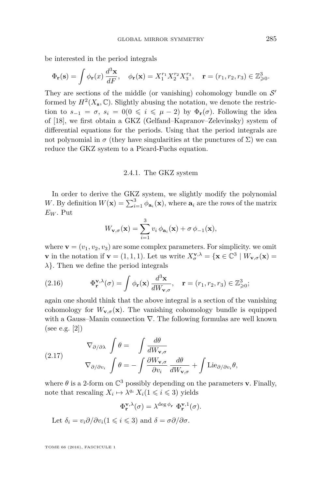be interested in the period integrals

$$
\Phi_{\mathbf{r}}(\mathbf{s}) = \int \phi_{\mathbf{r}}(x) \, \frac{d^3 \mathbf{x}}{dF}, \quad \phi_{\mathbf{r}}(\mathbf{x}) = X_1^{r_1} X_2^{r_2} X_3^{r_3}, \quad \mathbf{r} = (r_1, r_2, r_3) \in \mathbb{Z}_{\geqslant 0}^3.
$$

They are sections of the middle (or vanishing) cohomology bundle on  $\mathcal{S}'$ formed by  $H^2(X_s, \mathbb{C})$ . Slightly abusing the notation, we denote the restriction to  $s_{-1} = \sigma$ ,  $s_i = 0$  ( $0 \le i \le \mu - 2$ ) by  $\Phi_r(\sigma)$ . Following the idea of [\[18\]](#page-59-18), we first obtain a GKZ (Gelfand–Kapranov–Zelevinsky) system of differential equations for the periods. Using that the period integrals are not polynomial in  $\sigma$  (they have singularities at the punctures of  $\Sigma$ ) we can reduce the GKZ system to a Picard-Fuchs equation.

#### 2.4.1. The GKZ system

In order to derive the GKZ system, we slightly modify the polynomial *W*. By definition  $W(\mathbf{x}) = \sum_{i=1}^{3} \phi_{\mathbf{a}_i}(\mathbf{x})$ , where  $\mathbf{a}_i$  are the rows of the matrix *E<sup>W</sup>* . Put

$$
W_{\mathbf{v},\sigma}(\mathbf{x}) = \sum_{i=1}^{3} v_i \phi_{\mathbf{a}_i}(\mathbf{x}) + \sigma \phi_{-1}(\mathbf{x}),
$$

where  $\mathbf{v} = (v_1, v_2, v_3)$  are some complex parameters. For simplicity, we omit **v** in the notation if **v** = (1, 1, 1). Let us write  $X_{\sigma}^{\mathbf{v},\lambda} = \{ \mathbf{x} \in \mathbb{C}^3 \mid W_{\mathbf{v},\sigma}(\mathbf{x}) =$ *λ*}. Then we define the period integrals

(2.16) 
$$
\Phi_{\mathbf{r}}^{\mathbf{v},\lambda}(\sigma) = \int \phi_{\mathbf{r}}(\mathbf{x}) \frac{d^3 \mathbf{x}}{dW_{\mathbf{v},\sigma}}, \quad \mathbf{r} = (r_1, r_2, r_3) \in \mathbb{Z}_{\geqslant 0}^3;
$$

again one should think that the above integral is a section of the vanishing cohomology for  $W_{\mathbf{v},\sigma}(\mathbf{x})$ . The vanishing cohomology bundle is equipped with a Gauss–Manin connection ∇. The following formulas are well known (see e.g. [\[2\]](#page-58-4))

<span id="page-15-0"></span>(2.17) 
$$
\nabla_{\partial/\partial \lambda} \int \theta = \int \frac{d\theta}{dW_{\mathbf{v},\sigma}} \sqrt{\theta - \int \frac{\partial W_{\mathbf{v},\sigma}}{\partial v_i} \frac{d\theta}{dW_{\mathbf{v},\sigma}} + \int \text{Lie}_{\partial/\partial v_i} \theta},
$$

where  $\theta$  is a 2-form on  $\mathbb{C}^3$  possibly depending on the parameters **v**. Finally, note that rescaling  $X_i \mapsto \lambda^{q_i} X_i (1 \leq i \leq 3)$  yields

$$
\Phi_{\mathbf{r}}^{\mathbf{v},\lambda}(\sigma) = \lambda^{\deg \phi_{\mathbf{r}}} \Phi_{\mathbf{r}}^{\mathbf{v},1}(\sigma).
$$

Let  $\delta_i = v_i \partial / \partial v_i (1 \leq i \leq 3)$  and  $\delta = \sigma \partial / \partial \sigma$ .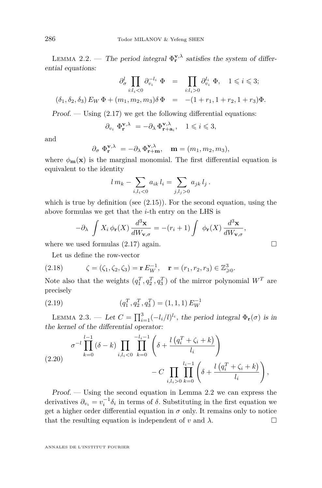<span id="page-16-0"></span>LEMMA 2.2. — The period integral  $\Phi_{\mathbf{r}}^{\mathbf{v},\lambda}$  satisfies the system of differential equations:

$$
\partial_{\sigma}^{l} \prod_{i:l_{i} < 0} \partial_{v_{i}}^{-l_{i}} \Phi = \prod_{i:l_{i} > 0} \partial_{v_{i}}^{l_{i}} \Phi, \quad 1 \leq i \leq 3;
$$
  

$$
(\delta_{1}, \delta_{2}, \delta_{3}) E_{W} \Phi + (m_{1}, m_{2}, m_{3}) \delta \Phi = -(1 + r_{1}, 1 + r_{2}, 1 + r_{3}) \Phi.
$$

Proof.  $-$  Using  $(2.17)$  we get the following differential equations:

$$
\partial_{v_i} \; \Phi_{\mathbf{r}}^{\mathbf{v}, \lambda} \; = -\partial_{\lambda} \; \Phi_{\mathbf{r} + \mathbf{a}_i}^{\mathbf{v}, \lambda}, \quad 1 \leqslant i \leqslant 3,
$$

and

$$
\partial_{\sigma} \Phi_{\mathbf{r}}^{\mathbf{v},\lambda} = -\partial_{\lambda} \Phi_{\mathbf{r}+\mathbf{m}}^{\mathbf{v},\lambda}, \quad \mathbf{m} = (m_1, m_2, m_3),
$$

where  $\phi_{\mathbf{m}}(\mathbf{x})$  is the marginal monomial. The first differential equation is equivalent to the identity

$$
l m_k - \sum_{i,l_i<0} a_{ik} l_i = \sum_{j,l_j>0} a_{jk} l_j.
$$

which is true by definition (see  $(2.15)$ ). For the second equation, using the above formulas we get that the *i*-th entry on the LHS is

$$
-\partial_{\lambda} \int X_{i} \, \phi_{\mathbf{r}}(X) \, \frac{d^{3} \mathbf{x}}{dW_{\mathbf{v},\sigma}} = -(r_{i} + 1) \int \phi_{\mathbf{r}}(X) \, \frac{d^{3} \mathbf{x}}{dW_{\mathbf{v},\sigma}},
$$

where we used formulas  $(2.17)$  again.

Let us define the row-vector

(2.18) 
$$
\zeta = (\zeta_1, \zeta_2, \zeta_3) = \mathbf{r} E_W^{-1}, \quad \mathbf{r} = (r_1, r_2, r_3) \in \mathbb{Z}_{\geq 0}^3.
$$

Note also that the weights  $(q_1^T, q_2^T, q_3^T)$  of the mirror polynomial  $W^T$  are precisely

(2.19) 
$$
(q_1^T, q_2^T, q_3^T) = (1, 1, 1) E_W^{-1}
$$

<span id="page-16-2"></span>LEMMA 2.3. — Let  $C = \prod_{i=1}^{3} (-l_i/l)^{l_i}$ , the period integral  $\Phi_{\mathbf{r}}(\sigma)$  is in the kernel of the differential operator:

<span id="page-16-1"></span>(2.20) 
$$
\sigma^{-l} \prod_{k=0}^{l-1} (\delta - k) \prod_{i,l_i < 0} \prod_{k=0}^{-l_i - 1} \left( \delta + \frac{l \left( q_i^T + \zeta_i + k \right)}{l_i} \right) - C \prod_{i,l_i > 0} \prod_{k=0}^{l_i - 1} \left( \delta + \frac{l \left( q_i^T + \zeta_i + k \right)}{l_i} \right),
$$

Proof. — Using the second equation in Lemma [2.2](#page-16-0) we can express the derivatives  $\partial_{v_i} = v_i^{-1} \delta_i$  in terms of  $\delta$ . Substituting in the first equation we get a higher order differential equation in  $\sigma$  only. It remains only to notice that the resulting equation is independent of *v* and  $\lambda$ .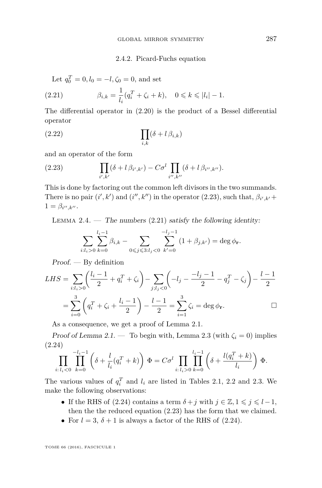#### <span id="page-17-3"></span><span id="page-17-1"></span>2.4.2. Picard-Fuchs equation

Let  $q_0^T = 0, l_0 = -l, \zeta_0 = 0$ , and set

(2.21) 
$$
\beta_{i,k} = \frac{1}{l_i} (q_i^T + \zeta_i + k), \quad 0 \le k \le |l_i| - 1.
$$

The differential operator in [\(2.20\)](#page-16-1) is the product of a Bessel differential operator

$$
(2.22)\qquad \qquad \prod_{i,k}(\delta+l\,\beta_{i,k})
$$

and an operator of the form

<span id="page-17-0"></span>(2.23) 
$$
\prod_{i',k'} (\delta + l \,\beta_{i',k'}) - C \sigma^l \prod_{i'',k''} (\delta + l \,\beta_{i'',k''}).
$$

This is done by factoring out the common left divisors in the two summands. There is no pair  $(i', k')$  and  $(i'', k'')$  in the operator [\(2.23\)](#page-17-0), such that,  $\beta_{i',k'}$ +  $1 = \beta_{i^{\prime\prime},k^{\prime\prime}}.$ 

<span id="page-17-4"></span>LEMMA 2.4. — The numbers  $(2.21)$  satisfy the following identity:

$$
\sum_{i:l_i>0}\sum_{k=0}^{l_i-1}\beta_{i,k}-\sum_{0\leq j\leqslant 3:l_j<0}\sum_{k'=0}^{-l_j-1}(1+\beta_{j,k'})=\deg \phi_{\mathbf{r}}.
$$

Proof. — By definition

$$
LHS = \sum_{i:l_i>0} \left( \frac{l_i - 1}{2} + q_i^T + \zeta_i \right) - \sum_{j;l_j<0} \left( -l_j - \frac{-l_j - 1}{2} - q_j^T - \zeta_j \right) - \frac{l-1}{2}
$$

$$
= \sum_{i=0}^3 \left( q_i^T + \zeta_i + \frac{l_i - 1}{2} \right) - \frac{l-1}{2} = \sum_{i=1}^3 \zeta_i = \deg \phi_r.
$$

As a consequence, we get a proof of Lemma [2.1.](#page-12-2)

Proof of Lemma [2.1.](#page-12-2) — To begin with, Lemma [2.3](#page-16-2) (with  $\zeta_i = 0$ ) implies (2.24)

<span id="page-17-2"></span>
$$
\prod_{i:\,l_i < 0} \prod_{k=0}^{-l_i - 1} \left( \delta + \frac{l}{l_i} (q_i^T + k) \right) \Phi = C \sigma^l \prod_{i:\,l_i > 0} \prod_{k=0}^{l_i - 1} \left( \delta + \frac{l(q_i^T + k)}{l_i} \right) \Phi.
$$

The various values of  $q_i^T$  and  $l_i$  are listed in Tables [2.1,](#page-13-0) [2.2](#page-14-0) and [2.3.](#page-14-1) We make the following observations:

- If the RHS of [\(2.24\)](#page-17-2) contains a term  $\delta + j$  with  $j \in \mathbb{Z}, 1 \leq j \leq l 1$ , then the the reduced equation [\(2.23\)](#page-17-0) has the form that we claimed.
- For  $l = 3$ ,  $\delta + 1$  is always a factor of the RHS of [\(2.24\)](#page-17-2).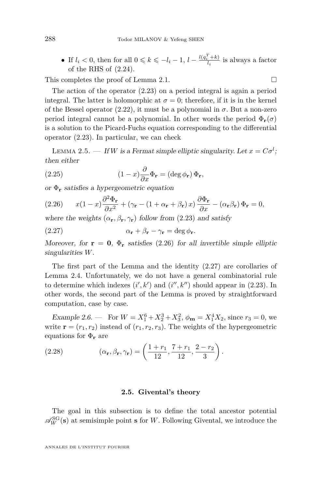• If  $l_i < 0$ , then for all  $0 \le k \le -l_i - 1$ ,  $l - \frac{l(q_i^T + k)}{l_i}$  is always a factor of the RHS of [\(2.24\)](#page-17-2).

This completes the proof of Lemma [2.1.](#page-12-2)  $\Box$ 

The action of the operator [\(2.23\)](#page-17-0) on a period integral is again a period integral. The latter is holomorphic at  $\sigma = 0$ ; therefore, if it is in the kernel of the Bessel operator  $(2.22)$ , it must be a polynomial in  $\sigma$ . But a non-zero period integral cannot be a polynomial. In other words the period  $\Phi_{\bf{r}}(\sigma)$ is a solution to the Picard-Fuchs equation corresponding to the differential operator [\(2.23\)](#page-17-0). In particular, we can check

<span id="page-18-3"></span>LEMMA 2.5. — If *W* is a Fermat simple elliptic singularity. Let  $x = C\sigma^l$ ; then either

<span id="page-18-4"></span>(2.25) 
$$
(1-x)\frac{\partial}{\partial x}\Phi_{\mathbf{r}} = (\deg \phi_{\mathbf{r}}) \Phi_{\mathbf{r}},
$$

or Φ**<sup>r</sup>** satisfies a hypergeometric equation

<span id="page-18-0"></span>(2.26) 
$$
x(1-x)\frac{\partial^2 \Phi_{\mathbf{r}}}{\partial x^2} + (\gamma_{\mathbf{r}} - (1+\alpha_{\mathbf{r}}+\beta_{\mathbf{r}}))x)\frac{\partial \Phi_{\mathbf{r}}}{\partial x} - (\alpha_{\mathbf{r}}\beta_{\mathbf{r}})\Phi_{\mathbf{r}} = 0,
$$

where the weights  $(\alpha_r, \beta_r, \gamma_r)$  follow from [\(2.23\)](#page-17-0) and satisfy

<span id="page-18-1"></span>(2.27) 
$$
\alpha_{\mathbf{r}} + \beta_{\mathbf{r}} - \gamma_{\mathbf{r}} = \deg \phi_{\mathbf{r}}.
$$

Moreover, for  $\mathbf{r} = \mathbf{0}$ ,  $\Phi_{\mathbf{r}}$  satisfies [\(2.26\)](#page-18-0) for all invertible simple elliptic singularities *W*.

The first part of the Lemma and the identity [\(2.27\)](#page-18-1) are corollaries of Lemma [2.4.](#page-17-4) Unfortunately, we do not have a general combinatorial rule to determine which indexes  $(i', k')$  and  $(i'', k'')$  should appear in  $(2.23)$ . In other words, the second part of the Lemma is proved by straightforward computation, case by case.

Example 2.6. — For  $W = X_1^6 + X_2^3 + X_3^2$ ,  $\phi_{\mathbf{m}} = X_1^4 X_2$ , since  $r_3 = 0$ , we write  $\mathbf{r} = (r_1, r_2)$  instead of  $(r_1, r_2, r_3)$ . The weights of the hypergeometric equations for Φ**<sup>r</sup>** are

(2.28) 
$$
(\alpha_{\mathbf{r}}, \beta_{\mathbf{r}}, \gamma_{\mathbf{r}}) = \left(\frac{1+r_1}{12}, \frac{7+r_1}{12}, \frac{2-r_2}{3}\right).
$$

#### **2.5. Givental's theory**

<span id="page-18-2"></span>The goal in this subsection is to define the total ancestor potential  $\mathscr{A}_{W}^{SG}(\mathbf{s})$  at semisimple point **s** for *W*. Following Givental, we introduce the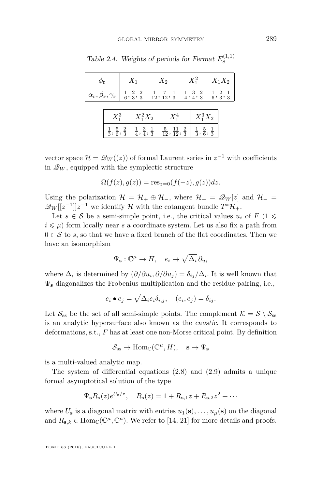| $\phi_{\bf r}$ |  | $X_1$                | $X_2$                                                                                                                                                                                                                                                                  | $X_1^2$    | $X_1X_2$ |
|----------------|--|----------------------|------------------------------------------------------------------------------------------------------------------------------------------------------------------------------------------------------------------------------------------------------------------------|------------|----------|
|                |  |                      | $\alpha_{\bf r}, \beta_{\bf r}, \gamma_{\bf r}$ $\frac{1}{6}, \frac{2}{3}, \frac{2}{3}$ $\frac{1}{12}, \frac{7}{12}, \frac{1}{3}$ $\frac{1}{4}, \frac{3}{4}, \frac{2}{3}$ $\frac{1}{6}, \frac{2}{3}, \frac{1}{3}$                                                      |            |          |
|                |  | $X_1^3$   $X_1^2X_2$ | $X_1^4$                                                                                                                                                                                                                                                                | $X_1^3X_2$ |          |
|                |  |                      | $\frac{1}{3}$ , $\frac{5}{6}$ , $\frac{2}{3}$ $\begin{array}{ c c c c c }\n\frac{1}{4}$ , $\frac{3}{4}$ , $\frac{1}{3}$ $\begin{array}{ c c c }\n\frac{5}{12}$ , $\frac{11}{12}$ , $\frac{2}{3}$ $\begin{array}{ c c c }\n\frac{1}{3}$ , $\frac{5}{6}$ , $\frac{1}{3}$ |            |          |

Table 2.4. Weights of periods for Fermat  $E_8^{(1,1)}$ 

vector space  $\mathcal{H} = \mathcal{Q}_W((z))$  of formal Laurent series in  $z^{-1}$  with coefficients in  $\mathscr{Q}_W$ , equipped with the symplectic structure

$$
\Omega(f(z),g(z)) = \operatorname{res}_{z=0}(f(-z),g(z))dz.
$$

Using the polarization  $\mathcal{H} = \mathcal{H}_+ \oplus \mathcal{H}_-,$  where  $\mathcal{H}_+ = \mathcal{Q}_W[z]$  and  $\mathcal{H}_- =$  $\mathscr{Q}_W[[z^{-1}]]z^{-1}$  we identify  $\mathcal H$  with the cotangent bundle  $T^*\mathcal H_+$ .

Let  $s \in \mathcal{S}$  be a semi-simple point, i.e., the critical values  $u_i$  of  $F$  (1  $\leq$  $i \leq \mu$ ) form locally near *s* a coordinate system. Let us also fix a path from  $0\in\mathcal{S}$  to  $s,$  so that we have a fixed branch of the flat coordinates. Then we have an isomorphism

$$
\Psi_{\mathbf{s}} : \mathbb{C}^{\mu} \to H, \quad e_i \mapsto \sqrt{\Delta_i} \, \partial_{u_i}
$$

where  $\Delta_i$  is determined by  $(\partial/\partial u_i, \partial/\partial u_j) = \delta_{ij}/\Delta_i$ . It is well known that Ψ**<sup>s</sup>** diagonalizes the Frobenius multiplication and the residue pairing, i.e.,

$$
e_i \bullet e_j = \sqrt{\Delta_i} e_i \delta_{i,j}, \quad (e_i, e_j) = \delta_{ij}.
$$

Let  $\mathcal{S}_{ss}$  be the set of all semi-simple points. The complement  $\mathcal{K} = \mathcal{S} \setminus \mathcal{S}_{ss}$ is an analytic hypersurface also known as the caustic. It corresponds to deformations, s.t., *F* has at least one non-Morse critical point. By definition

$$
\mathcal{S}_{\mathrm{ss}} \to \mathrm{Hom}_{\mathbb{C}}(\mathbb{C}^{\mu}, H), \quad \mathbf{s} \mapsto \Psi_{\mathbf{s}}
$$

is a multi-valued analytic map.

The system of differential equations [\(2.8\)](#page-11-0) and [\(2.9\)](#page-11-1) admits a unique formal asymptotical solution of the type

$$
\Psi_{\mathbf{s}}R_{\mathbf{s}}(z)e^{U_{\mathbf{s}}/z}, \quad R_{\mathbf{s}}(z) = 1 + R_{\mathbf{s},1}z + R_{\mathbf{s},2}z^2 + \cdots
$$

where  $U_{\mathbf{s}}$  is a diagonal matrix with entries  $u_1(\mathbf{s}), \ldots, u_\mu(\mathbf{s})$  on the diagonal and  $R_{\mathbf{s},k} \in \text{Hom}_{\mathbb{C}}(\mathbb{C}^{\mu}, \mathbb{C}^{\mu})$ . We refer to [\[14,](#page-59-16) [21\]](#page-59-10) for more details and proofs.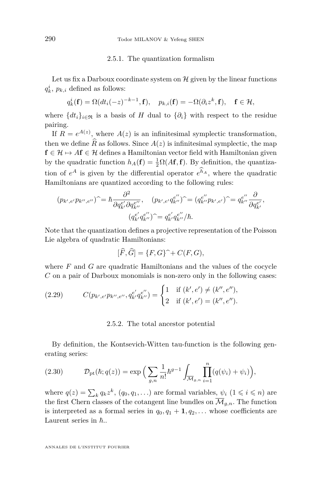#### 2.5.1. The quantization formalism

Let us fix a Darboux coordinate system on  $\mathcal H$  given by the linear functions  $q_k^i$ ,  $p_{k,i}$  defined as follows:

$$
q_k^i(\mathbf{f}) = \Omega(dt_i(-z)^{-k-1}, \mathbf{f}), \quad p_{k,i}(\mathbf{f}) = -\Omega(\partial_i z^k, \mathbf{f}), \quad \mathbf{f} \in \mathcal{H},
$$

where  $\{dt_i\}_{i\in\mathfrak{R}}$  is a basis of *H* dual to  $\{\partial_i\}$  with respect to the residue pairing.

If  $R = e^{A(z)}$ , where  $A(z)$  is an infinitesimal symplectic transformation, then we define  $\widehat{R}$  as follows. Since  $A(z)$  is infinitesimal symplectic, the map  $f \in \mathcal{H} \mapsto Af \in \mathcal{H}$  defines a Hamiltonian vector field with Hamiltonian given by the quadratic function  $h_A(\mathbf{f}) = \frac{1}{2}\Omega(A\mathbf{f}, \mathbf{f})$ . By definition, the quantization of  $e^A$  is given by the differential operator  $e^{h_A}$ , where the quadratic Hamiltonians are quantized according to the following rules:

$$
(p_{k',e'}p_{k'',e''})^{\widehat{}} = \hbar \frac{\partial^2}{\partial q_{k'}^{e'} \partial q_{k''}^{e''}}, \quad (p_{k',e'}q_{k''}^{e''})^{\widehat{}} = (q_{k''}^{e''}p_{k',e'})^{\widehat{}} = q_{k''}^{e''} \frac{\partial}{\partial q_{k'}^{e'}},
$$

$$
(q_{k'}^{e'}q_{k''}^{e''})^{\widehat{}} = q_{k'}^{e'}q_{k''}^{e''}/\hbar.
$$

Note that the quantization defines a projective representation of the Poisson Lie algebra of quadratic Hamiltonians:

$$
[\widehat{F}, \widehat{G}] = \{F, G\}^{\widehat{\frown}} + C(F, G),
$$

where *F* and *G* are quadratic Hamiltonians and the values of the cocycle *C* on a pair of Darboux monomials is non-zero only in the following cases:

(2.29) 
$$
C(p_{k',e'}p_{k'',e''}, q_{k'}^{e'}q_{k''}^{e''}) = \begin{cases} 1 & \text{if } (k',e') \neq (k'',e''),\\ 2 & \text{if } (k',e') = (k'',e''). \end{cases}
$$

2.5.2. The total ancestor potential

By definition, the Kontsevich-Witten tau-function is the following generating series:

(2.30) 
$$
\mathcal{D}_{\rm pt}(\hbar; q(z)) = \exp\Big(\sum_{g,n} \frac{1}{n!} \hbar^{g-1} \int_{\overline{\mathcal{M}}_{g,n}} \prod_{i=1}^n (q(\psi_i) + \psi_i)\Big),
$$

where  $q(z) = \sum_{k} q_k z^k$ ,  $(q_0, q_1, \ldots)$  are formal variables,  $\psi_i$   $(1 \leq i \leq n)$  are the first Chern classes of the cotangent line bundles on  $\overline{\mathcal{M}}_{g,n}$ . The function is interpreted as a formal series in  $q_0, q_1 + 1, q_2, \ldots$  whose coefficients are Laurent series in  $\hbar$ ...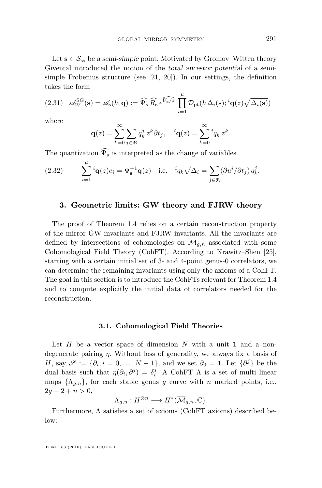Let  $s \in \mathcal{S}_{ss}$  be a semi-simple point. Motivated by Gromov–Witten theory Givental introduced the notion of the total ancestor potential of a semisimple Frobenius structure (see [\[21,](#page-59-10) [20\]](#page-59-11)). In our settings, the definition takes the form

<span id="page-21-1"></span>(2.31) 
$$
\mathscr{A}_{W}^{SG}(\mathbf{s}) = \mathscr{A}_{\mathbf{s}}(\hbar; \mathbf{q}) := \widehat{\Psi}_{\mathbf{s}} \widehat{R}_{\mathbf{s}} e^{\widehat{U_{\mathbf{s}}/z}} \prod_{i=1}^{\mu} \mathcal{D}_{\mathrm{pt}}(\hbar \Delta_i(\mathbf{s}); {^i\mathbf{q}(z)\sqrt{\Delta_i(\mathbf{s})}})
$$

where

$$
\mathbf{q}(z) = \sum_{k=0}^{\infty} \sum_{j \in \mathfrak{R}} q_k^j z^k \partial t_j, \quad {}^{i}\mathbf{q}(z) = \sum_{k=0}^{\infty} {}^{i}q_k z^k.
$$

The quantization  $\widehat{\Psi_s}$  is interpreted as the change of variables

(2.32) 
$$
\sum_{i=1}^{\mu} {}^{i} \mathbf{q}(z) e_i = \Psi_{\mathbf{s}}^{-1} \mathbf{q}(z) \text{ i.e. } {}^{i} q_k \sqrt{\Delta_i} = \sum_{j \in \mathfrak{R}} (\partial u^i / \partial t_j) q_k^j.
$$

#### <span id="page-21-0"></span>**3. Geometric limits: GW theory and FJRW theory**

The proof of Theorem [1.4](#page-7-1) relies on a certain reconstruction property of the mirror GW invariants and FJRW invariants. All the invariants are defined by intersections of cohomologies on  $\overline{\mathcal{M}}_{q,n}$  associated with some Cohomological Field Theory (CohFT). According to Krawitz–Shen [\[25\]](#page-59-12), starting with a certain initial set of 3- and 4-point genus-0 correlators, we can determine the remaining invariants using only the axioms of a CohFT. The goal in this section is to introduce the CohFTs relevant for Theorem [1.4](#page-7-1) and to compute explicitly the initial data of correlators needed for the reconstruction.

#### **3.1. Cohomological Field Theories**

Let *H* be a vector space of dimension *N* with a unit **1** and a nondegenerate pairing *η*. Without loss of generality, we always fix a basis of *H*, say  $\mathscr{S} := \{\partial_i, i = 0, \ldots, N-1\}$ , and we set  $\partial_0 = \mathbf{1}$ . Let  $\{\partial^j\}$  be the dual basis such that  $\eta(\partial_i, \partial_j) = \delta_i^j$ . A CohFT  $\Lambda$  is a set of multi linear maps  $\{\Lambda_{q,n}\}\$ , for each stable genus *g* curve with *n* marked points, i.e.,  $2q - 2 + n > 0$ ,

$$
\Lambda_{g,n}: H^{\otimes n} \longrightarrow H^*(\overline{\mathcal{M}}_{g,n}, \mathbb{C}).
$$

Furthermore, Λ satisfies a set of axioms (CohFT axioms) described below: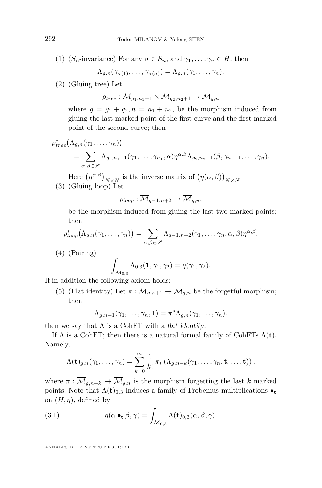(1) (*S<sub>n</sub>*-invariance) For any  $\sigma \in S_n$ , and  $\gamma_1, \ldots, \gamma_n \in H$ , then

$$
\Lambda_{g,n}(\gamma_{\sigma(1)},\ldots,\gamma_{\sigma(n)})=\Lambda_{g,n}(\gamma_1,\ldots,\gamma_n).
$$

(2) (Gluing tree) Let

$$
\rho_{tree}: \overline{\mathcal{M}}_{g_1, n_1+1} \times \overline{\mathcal{M}}_{g_2, n_2+1} \to \overline{\mathcal{M}}_{g, n}
$$

where  $g = g_1 + g_2, n = n_1 + n_2$ , be the morphism induced from gluing the last marked point of the first curve and the first marked point of the second curve; then

$$
\rho_{tree}^*(\Lambda_{g,n}(\gamma_1,\ldots,\gamma_n)) = \sum_{\alpha,\beta \in \mathscr{S}} \Lambda_{g_1,n_1+1}(\gamma_1,\ldots,\gamma_{n_1},\alpha) \eta^{\alpha,\beta} \Lambda_{g_2,n_2+1}(\beta,\gamma_{n_1+1},\ldots,\gamma_n).
$$

Here  $(\eta^{\alpha,\beta})_{N\times N}$  is the inverse matrix of  $(\eta(\alpha,\beta))_{N\times N}$ . (3) (Gluing loop) Let

$$
\rho_{loop}: \overline{\mathcal{M}}_{g-1,n+2} \to \overline{\mathcal{M}}_{g,n},
$$

be the morphism induced from gluing the last two marked points; then

$$
\rho_{loop}^*(\Lambda_{g,n}(\gamma_1,\ldots,\gamma_n)) = \sum_{\alpha,\beta \in \mathscr{S}} \Lambda_{g-1,n+2}(\gamma_1,\ldots,\gamma_n,\alpha,\beta) \eta^{\alpha,\beta}.
$$

(4) (Pairing)

$$
\int_{\overline{\mathcal{M}}_{0,3}} \Lambda_{0,3}(\mathbf{1}, \gamma_1, \gamma_2) = \eta(\gamma_1, \gamma_2).
$$

If in addition the following axiom holds:

(5) (Flat identity) Let  $\pi : \overline{\mathcal{M}}_{q,n+1} \to \overline{\mathcal{M}}_{q,n}$  be the forgetful morphism; then

$$
\Lambda_{g,n+1}(\gamma_1,\ldots,\gamma_n,\mathbf{1})=\pi^*\Lambda_{g,n}(\gamma_1,\ldots,\gamma_n).
$$

then we say that  $\Lambda$  is a CohFT with a flat identity.

If  $\Lambda$  is a CohFT; then there is a natural formal family of CohFTs  $\Lambda(t)$ . Namely,

$$
\Lambda(\mathbf{t})_{g,n}(\gamma_1,\ldots,\gamma_n)=\sum_{k=0}^{\infty}\frac{1}{k!}\,\pi_*\left(\Lambda_{g,n+k}(\gamma_1,\ldots,\gamma_n,\mathbf{t},\ldots,\mathbf{t})\right),
$$

where  $\pi : \overline{\mathcal{M}}_{g,n+k} \to \overline{\mathcal{M}}_{g,n}$  is the morphism forgetting the last *k* marked points. Note that  $\Lambda(t)_{0,3}$  induces a family of Frobenius multiplications  $\bullet_t$ on  $(H, \eta)$ , defined by

<span id="page-22-0"></span>(3.1) 
$$
\eta(\alpha \bullet_{\mathbf{t}} \beta, \gamma) = \int_{\overline{\mathcal{M}}_{0,3}} \Lambda(\mathbf{t})_{0,3}(\alpha, \beta, \gamma).
$$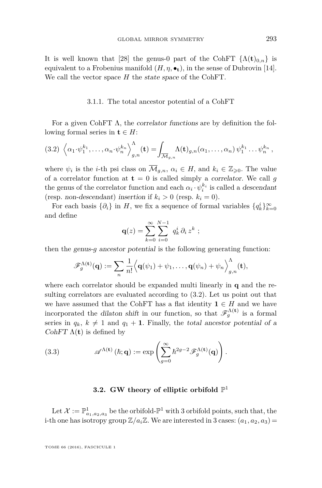It is well known that [\[28\]](#page-59-19) the genus-0 part of the CohFT  $\{\Lambda(t)_{0,n}\}\$ is equivalent to a Frobenius manifold  $(H, \eta, \bullet_t)$ , in the sense of Dubrovin [\[14\]](#page-59-16). We call the vector space *H* the state space of the CohFT.

3.1.1. The total ancestor potential of a CohFT

For a given CohFT  $\Lambda$ , the correlator functions are by definition the following formal series in  $t \in H$ :

<span id="page-23-0"></span>
$$
(3.2)\ \left\langle \alpha_1 \cdot \psi_1^{k_1}, \ldots, \alpha_n \cdot \psi_n^{k_n} \right\rangle_{g,n}^{\Lambda}(\mathbf{t}) = \int_{\overline{\mathcal{M}}_{g,n}} \Lambda(\mathbf{t})_{g,n}(\alpha_1, \ldots, \alpha_n) \psi_1^{k_1} \ldots \psi_n^{k_n},
$$

where  $\psi_i$  is the *i*-th psi class on  $\overline{\mathcal{M}}_{g,n}$ ,  $\alpha_i \in H$ , and  $k_i \in \mathbb{Z}_{\geqslant 0}$ . The value of a correlator function at  $t = 0$  is called simply a *correlator*. We call g the genus of the correlator function and each  $\alpha_i \cdot \psi_i^{k_i}$  is called a descendant (resp. non-descendant) insertion if  $k_i > 0$  (resp.  $k_i = 0$ ).

For each basis  $\{\partial_i\}$  in *H*, we fix a sequence of formal variables  $\{q_k^i\}_{k=0}^\infty$ and define

$$
\mathbf{q}(z) = \sum_{k=0}^{\infty} \sum_{i=0}^{N-1} q_k^i \, \partial_i \, z^k \, ;
$$

then the genus-*g* ancestor potential is the following generating function:

$$
\mathscr{F}_{g}^{\Lambda(\mathbf{t})}(\mathbf{q}) := \sum_{n} \frac{1}{n!} \Big\langle \mathbf{q}(\psi_1) + \psi_1, \ldots, \mathbf{q}(\psi_n) + \psi_n \Big\rangle_{g,n}^{\Lambda}(\mathbf{t}),
$$

where each correlator should be expanded multi linearly in **q** and the resulting correlators are evaluated according to [\(3.2\)](#page-23-0). Let us point out that we have assumed that the CohFT has a flat identity  $\mathbf{1} \in H$  and we have incorporated the dilaton shift in our function, so that  $\mathscr{F}_g^{\Lambda(t)}$  is a formal series in  $q_k$ ,  $k \neq 1$  and  $q_1 + 1$ . Finally, the total ancestor potential of a CohFT  $\Lambda(t)$  is defined by

(3.3) 
$$
\mathscr{A}^{\Lambda(\mathbf{t})}(\hbar; \mathbf{q}) := \exp \left( \sum_{g=0}^{\infty} \hbar^{2g-2} \mathscr{F}_{g}^{\Lambda(\mathbf{t})}(\mathbf{q}) \right).
$$

## <span id="page-23-1"></span>**3.2. GW theory of elliptic orbifold**  $\mathbb{P}^1$

<span id="page-23-2"></span>Let  $\mathcal{X} := \mathbb{P}^1_{a_1, a_2, a_3}$  be the orbifold- $\mathbb{P}^1$  with 3 orbifold points, such that, the i-th one has isotropy group  $\mathbb{Z}/a_i\mathbb{Z}$ . We are interested in 3 cases:  $(a_1, a_2, a_3)$  =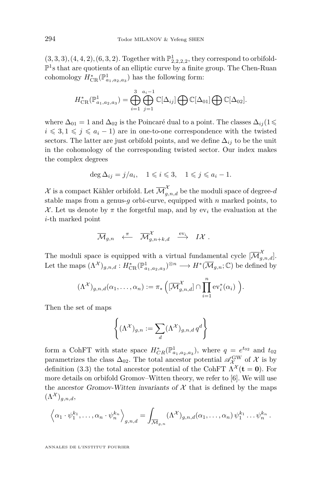$(3, 3, 3), (4, 4, 2), (6, 3, 2)$ . Together with  $\mathbb{P}^1_{2,2,2,2,2}$ , they correspond to orbifold- $\mathbb{P}^1$ s that are quotients of an elliptic curve by a finite group. The Chen-Ruan cohomology  $H_{\text{CR}}^*(\mathbb{P}^1_{a_1,a_2,a_3})$  has the following form:

$$
H_{\rm CR}^*(\mathbb{P}^1_{a_1,a_2,a_3})=\bigoplus_{i=1}^3\bigoplus_{j=1}^{a_i-1}\mathbb{C}[\Delta_{ij}]\bigoplus\mathbb{C}[\Delta_{01}]\bigoplus\mathbb{C}[\Delta_{02}].
$$

where  $\Delta_{01} = 1$  and  $\Delta_{02}$  is the Poincaré dual to a point. The classes  $\Delta_{ij}$  (1  $i \leqslant 3, 1 \leqslant j \leqslant a_i - 1$ ) are in one-to-one correspondence with the twisted sectors. The latter are just orbifold points, and we define  $\Delta_{ij}$  to be the unit in the cohomology of the corresponding twisted sector. Our index makes the complex degrees

$$
\deg \Delta_{ij} = j/a_i, \quad 1 \leqslant i \leqslant 3, \quad 1 \leqslant j \leqslant a_i - 1.
$$

 $\mathcal{X}$  is a compact Kähler orbifold. Let  $\overline{\mathcal{M}}_{g,n,d}^{\mathcal{X}}$  be the moduli space of degree- $d$ stable maps from a genus-*g* orbi-curve, equipped with *n* marked points, to  $\mathcal{X}$ . Let us denote by  $\pi$  the forgetful map, and by ev<sub>i</sub> the evaluation at the *i*-th marked point

$$
\overline{\mathcal{M}}_{g,n} \ \ \overset{\pi}{\longleftarrow} \ \ \overline{\mathcal{M}}^{\mathcal{X}}_{g,n+k,d} \ \ \overset{\text{ev}_i}{\longrightarrow} \ \ I\mathcal{X} \ .
$$

The moduli space is equipped with a virtual fundamental cycle  $[\overline{\mathcal{M}}_{g,n,d}^{\mathcal{X}}]$ . Let the maps  $(\Lambda^{\mathcal{X}})_{g,n,d}: H^*_{CR}(\mathbb{P}^1_{a_1,a_2,a_3})^{\otimes n} \longrightarrow H^*(\overline{\mathcal{M}}_{g,n};\mathbb{C})$  be defined by

$$
(\Lambda^{\mathcal{X}})_{g,n,d}(\alpha_1,\ldots,\alpha_n):=\pi_*\left([\overline{\mathcal{M}}_{g,n,d}^{\mathcal{X}}]\cap\prod_{i=1}^n \mathrm{ev}_i^*(\alpha_i)\right).
$$

Then the set of maps

$$
\left\{ (\Lambda^{\mathcal{X}})_{g,n} := \sum_{d} (\Lambda^{\mathcal{X}})_{g,n,d} q^d \right\}
$$

form a CohFT with state space  $H_{CR}^*(\mathbb{P}^1_{a_1,a_2,a_3})$ , where  $q = e^{t_{02}}$  and  $t_{02}$ parametrizes the class  $\Delta_{02}$ . The total ancestor potential  $\mathscr{A}_{\chi}^{\text{GW}}$  of X is by definition [\(3.3\)](#page-23-1) the total ancestor potential of the CohFT  $\Lambda^{\mathcal{X}}(\mathbf{t} = \mathbf{0})$ . For more details on orbifold Gromov–Witten theory, we refer to [\[6\]](#page-58-5). We will use the ancestor Gromov-Witten invariants of  $X$  that is defined by the maps  $(\Lambda^{\mathcal{X}})_{q,n,d},$ 

$$
\left\langle \alpha_1 \cdot \psi_1^{k_1}, \ldots, \alpha_n \cdot \psi_n^{k_n} \right\rangle_{g,n,d} = \int_{\overline{\mathcal{M}}_{g,n}} (\Lambda^{\mathcal{X}})_{g,n,d}(\alpha_1, \ldots, \alpha_n) \psi_1^{k_1} \ldots \psi_n^{k_n}.
$$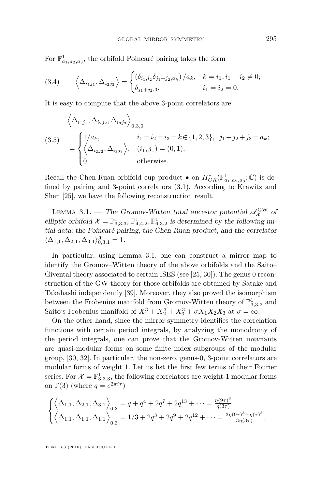For  $\mathbb{P}^1_{a_1, a_2, a_3}$ , the orbifold Poincaré pairing takes the form

<span id="page-25-1"></span>(3.4) 
$$
\left\langle \Delta_{i_1 j_1}, \Delta_{i_2 j_2} \right\rangle = \begin{cases} \left( \delta_{i_1, i_2} \delta_{j_1 + j_2, a_k} \right) / a_k, & k = i_1, i_1 + i_2 \neq 0; \\ \delta_{j_1 + j_2, 3}, & i_1 = i_2 = 0. \end{cases}
$$

It is easy to compute that the above 3-point correlators are

<span id="page-25-2"></span>
$$
\begin{aligned}\n\left\langle \Delta_{i_1 j_1}, \Delta_{i_2 j_2}, \Delta_{i_3 j_3} \right\rangle_{0,3,0} \\
(3.5) \quad &= \begin{cases}\n1/a_k, & i_1 = i_2 = i_3 = k \in \{1, 2, 3\}, & j_1 + j_2 + j_3 = a_k; \\
\left\langle \Delta_{i_2 j_2}, \Delta_{i_3 j_3} \right\rangle, & (i_1, j_1) = (0, 1); \\
0, & \text{otherwise.}\n\end{cases}\n\end{aligned}
$$

Recall the Chen-Ruan orbifold cup product  $\bullet$  on  $H^*_{CR}(\mathbb{P}^1_{a_1,a_2,a_3};\mathbb{C})$  is defined by pairing and 3-point correlators [\(3.1\)](#page-22-0). According to Krawitz and Shen [\[25\]](#page-59-12), we have the following reconstruction result.

<span id="page-25-0"></span>LEMMA 3.1. — The Gromov-Witten total ancestor potential  $\mathscr{A}^{\text{GW}}_{\mathcal{X}}$  of elliptic orbifold  $\mathcal{X} = \mathbb{P}^1_{3,3,3}, \mathbb{P}^1_{4,4,2}, \mathbb{P}^1_{6,3,2}$  is determined by the following initial data: the Poincaré pairing, the Chen-Ruan product, and the correlator  $\langle \Delta_{1,1}, \Delta_{2,1}, \Delta_{3,1} \rangle_{0,3,1}^{\mathcal{X}} = 1.$ 

In particular, using Lemma [3.1,](#page-25-0) one can construct a mirror map to identify the Gromov–Witten theory of the above orbifolds and the Saito– Givental theory associated to certain ISES (see [\[25,](#page-59-12) [30\]](#page-60-0)). The genus 0 reconstruction of the GW theory for those orbifolds are obtained by Satake and Takahashi independently [\[39\]](#page-60-8). Moreover, they also proved the isomorphism between the Frobenius manifold from Gromov-Witten theory of  $\mathbb{P}^1_{3,3,3}$  and Saito's Frobenius manifold of  $X_1^3 + X_2^3 + X_3^3 + \sigma X_1 X_2 X_3$  at  $\sigma = \infty$ .

On the other hand, since the mirror symmetry identifies the correlation functions with certain period integrals, by analyzing the monodromy of the period integrals, one can prove that the Gromov-Witten invariants are quasi-modular forms on some finite index subgroups of the modular group, [\[30,](#page-60-0) [32\]](#page-60-5). In particular, the non-zero, genus-0, 3-point correlators are modular forms of weight 1. Let us list the first few terms of their Fourier series. For  $\mathcal{X} = \mathbb{P}^1_{3,3,3}$ , the following correlators are weight-1 modular forms on  $\Gamma(3)$  (where  $q = e^{2\pi i \tau}$ )

$$
\begin{cases} \left\langle \Delta_{1,1}, \Delta_{2,1}, \Delta_{3,1} \right\rangle_{0,3} = q + q^4 + 2q^7 + 2q^{13} + \dots = \frac{\eta(9\tau)^3}{\eta(3\tau)} \\ \left\langle \Delta_{1,1}, \Delta_{1,1}, \Delta_{1,1} \right\rangle_{0,3} = 1/3 + 2q^3 + 2q^9 + 2q^{12} + \dots = \frac{3\eta(9\tau)^3 + \eta(\tau)^3}{3\eta(3\tau)}, \end{cases}
$$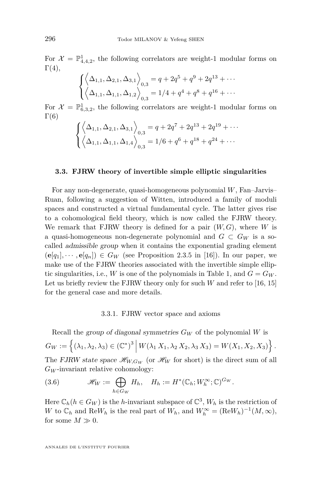For  $\mathcal{X} = \mathbb{P}^1_{4,4,2}$ , the following correlators are weight-1 modular forms on  $\Gamma(4),$ 

$$
\begin{cases} \left\langle \Delta_{1,1}, \Delta_{2,1}, \Delta_{3,1} \right\rangle_{0,3} = q + 2q^5 + q^9 + 2q^{13} + \cdots \\ \left\langle \Delta_{1,1}, \Delta_{1,1}, \Delta_{1,2} \right\rangle_{0,3} = 1/4 + q^4 + q^8 + q^{16} + \cdots \end{cases}
$$

For  $\mathcal{X} = \mathbb{P}^1_{6,3,2}$ , the following correlators are weight-1 modular forms on  $\Gamma(6)$ 

$$
\begin{cases} \left\langle \Delta_{1,1}, \Delta_{2,1}, \Delta_{3,1} \right\rangle_{0,3} = q + 2q^7 + 2q^{13} + 2q^{19} + \cdots \\ \left\langle \Delta_{1,1}, \Delta_{1,1}, \Delta_{1,4} \right\rangle_{0,3} = 1/6 + q^6 + q^{18} + q^{24} + \cdots \end{cases}
$$

#### <span id="page-26-0"></span>**3.3. FJRW theory of invertible simple elliptic singularities**

For any non-degenerate, quasi-homogeneous polynomial *W*, Fan–Jarvis– Ruan, following a suggestion of Witten, introduced a family of moduli spaces and constructed a virtual fundamental cycle. The latter gives rise to a cohomological field theory, which is now called the FJRW theory. We remark that FJRW theory is defined for a pair (*W, G*), where *W* is a quasi-homogeneous non-degenerate polynomial and  $G \subset G_W$  is a socalled admissible group when it contains the exponential grading element  $(\mathbf{e}[q_1], \cdots, \mathbf{e}[q_n]) \in G_W$  (see Proposition 2.3.5 in [\[16\]](#page-59-3)). In our paper, we make use of the FJRW theories associated with the invertible simple elliptic singularities, i.e., *W* is one of the polynomials in Table 1, and  $G = G_W$ . Let us briefly review the FJRW theory only for such *W* and refer to [\[16,](#page-59-3) [15\]](#page-59-4) for the general case and more details.

#### 3.3.1. FJRW vector space and axioms

Recall the group of diagonal symmetries *G<sup>W</sup>* of the polynomial *W* is  $G_W := \left\{ (\lambda_1, \lambda_2, \lambda_3) \in (\mathbb{C}^*)^3 \, \middle| \, W(\lambda_1 X_1, \lambda_2 X_2, \lambda_3 X_3) = W(X_1, X_2, X_3) \right\}.$ The FJRW state space  $\mathcal{H}_{W,G_W}$  (or  $\mathcal{H}_W$  for short) is the direct sum of all  $G_W$ -invariant relative cohomology:

(3.6) 
$$
\mathscr{H}_W := \bigoplus_{h \in G_W} H_h, \quad H_h := H^*(\mathbb{C}_h; W_h^{\infty}; \mathbb{C})^{G_W}.
$$

Here  $\mathbb{C}_h(h \in G_W)$  is the *h*-invariant subspace of  $\mathbb{C}^3$ ,  $W_h$  is the restriction of *W* to  $\mathbb{C}_h$  and  $\text{Re}W_h$  is the real part of  $W_h$ , and  $W_h^{\infty} = (\text{Re}W_h)^{-1}(M, \infty)$ , for some  $M \gg 0$ .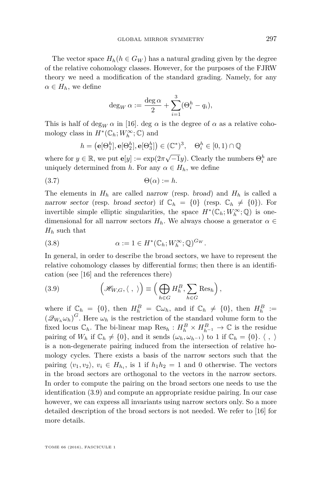The vector space  $H_h(h \in G_W)$  has a natural grading given by the degree of the relative cohomology classes. However, for the purposes of the FJRW theory we need a modification of the standard grading. Namely, for any  $\alpha \in H_h$ , we define

$$
\deg_W \alpha := \frac{\deg \alpha}{2} + \sum_{i=1}^3 (\Theta_i^h - q_i),
$$

This is half of deg<sub>*W*</sub>  $\alpha$  in [\[16\]](#page-59-3). deg  $\alpha$  is the degree of  $\alpha$  as a relative cohomology class in  $H^*(\mathbb{C}_h; W_h^{\infty}; \mathbb{C})$  and

$$
h = (\mathbf{e}[\Theta_1^h], \mathbf{e}[\Theta_2^h], \mathbf{e}[\Theta_3^h]) \in (\mathbb{C}^*)^3, \quad \Theta_i^h \in [0, 1) \cap \mathbb{Q}
$$

where for  $y \in \mathbb{R}$ , we put  $\mathbf{e}[y] := \exp(2\pi\sqrt{-1}y)$ . Clearly the numbers  $\Theta_i^h$  are uniquely determined from *h*. For any  $\alpha \in H_h$ , we define

$$
(3.7) \t\t \Theta(\alpha) := h.
$$

The elements in  $H_h$  are called narrow (resp. broad) and  $H_h$  is called a narrow sector (resp. broad sector) if  $\mathbb{C}_h = \{0\}$  (resp.  $\mathbb{C}_h \neq \{0\}$ ). For invertible simple elliptic singularities, the space  $H^*(\mathbb{C}_h; W_h^{\infty}; \mathbb{Q})$  is onedimensional for all narrow sectors  $H_h$ . We always choose a generator  $\alpha \in$ *H<sup>h</sup>* such that

<span id="page-27-1"></span>(3.8) 
$$
\alpha := 1 \in H^*(\mathbb{C}_h; W_h^{\infty}; \mathbb{Q})^{G_W}.
$$

In general, in order to describe the broad sectors, we have to represent the relative cohomology classes by differential forms; then there is an identification (see [\[16\]](#page-59-3) and the references there)

<span id="page-27-0"></span>(3.9) 
$$
\left(\mathcal{H}_{W,G}, \langle , \rangle\right) \equiv \left(\bigoplus_{h \in G} H_h^B, \sum_{h \in G} \text{Res}_h\right),
$$

where if  $\mathbb{C}_h = \{0\}$ , then  $H_h^B = \mathbb{C}\omega_h$ , and if  $\mathbb{C}_h \neq \{0\}$ , then  $H_h^B :=$  $(\mathcal{Q}_{W_h}\omega_h)^G$ . Here  $\omega_h$  is the restriction of the standard volume form to the fixed locus  $\mathbb{C}_h$ . The bi-linear map  $\text{Res}_h : H_h^B \times H_{h^{-1}}^B \to \mathbb{C}$  is the residue pairing of  $W_h$  if  $\mathbb{C}_h \neq \{0\}$ , and it sends  $(\omega_h, \omega_{h^{-1}})$  to 1 if  $\mathbb{C}_h = \{0\}$ .  $\langle , \rangle$ is a non-degenerate pairing induced from the intersection of relative homology cycles. There exists a basis of the narrow sectors such that the pairing  $\langle v_1, v_2 \rangle$ ,  $v_i \in H_{h_i}$ , is 1 if  $h_1 h_2 = 1$  and 0 otherwise. The vectors in the broad sectors are orthogonal to the vectors in the narrow sectors. In order to compute the pairing on the broad sectors one needs to use the identification [\(3.9\)](#page-27-0) and compute an appropriate residue pairing. In our case however, we can express all invariants using narrow sectors only. So a more detailed description of the broad sectors is not needed. We refer to [\[16\]](#page-59-3) for more details.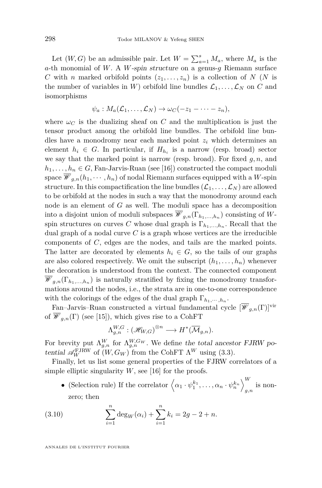Let  $(W, G)$  be an admissible pair. Let  $W = \sum_{a=1}^{s} M_a$ , where  $M_a$  is the *a*-th monomial of *W*. A *W*-spin structure on a genus-*g* Riemann surface *C* with *n* marked orbifold points  $(z_1, \ldots, z_n)$  is a collection of *N* (*N* is the number of variables in *W*) orbifold line bundles  $\mathcal{L}_1, \ldots, \mathcal{L}_N$  on *C* and isomorphisms

$$
\psi_a: M_a(\mathcal{L}_1,\ldots,\mathcal{L}_N)\to \omega_C(-z_1-\cdots-z_n),
$$

where  $\omega_C$  is the dualizing sheaf on *C* and the multiplication is just the tensor product among the orbifold line bundles. The orbifold line bundles have a monodromy near each marked point *z<sup>i</sup>* which determines an element  $h_i \in G$ . In particular, if  $H_{h_i}$  is a narrow (resp. broad) sector we say that the marked point is narrow (resp. broad). For fixed *g, n,* and  $h_1, \ldots, h_n \in G$ , Fan-Jarvis-Ruan (see [\[16\]](#page-59-3)) constructed the compact moduli space  $\mathscr{W}_{g,n}(h_1,\dots,h_n)$  of nodal Riemann surfaces equipped with a *W*-spin structure. In this compactification the line bundles  $(\mathcal{L}_1, \ldots, \mathcal{L}_N)$  are allowed to be orbifold at the nodes in such a way that the monodromy around each node is an element of *G* as well. The moduli space has a decomposition into a disjoint union of moduli subspaces  $\mathscr{W}_{g,n}(\Gamma_{h_1,\ldots,h_n})$  consisting of Wspin structures on curves *C* whose dual graph is  $\Gamma_{h_1,\dots,h_n}$ . Recall that the dual graph of a nodal curve *C* is a graph whose vertices are the irreducible components of *C*, edges are the nodes, and tails are the marked points. The latter are decorated by elements  $h_i \in G$ , so the tails of our graphs are also colored respectively. We omit the subscript  $(h_1, \ldots, h_n)$  whenever the decoration is understood from the context. The connected component  $\mathscr{W}_{g,n}(\Gamma_{h_1,\ldots,h_n})$  is naturally stratified by fixing the monodromy transformations around the nodes, i.e., the strata are in one-to-one correspondence with the colorings of the edges of the dual graph  $\Gamma_{h_1,\dots,h_n}$ .

Fan–Jarvis–Ruan constructed a virtual fundamental cycle  $[\mathcal{W}_{q,n}(\Gamma)]^{\text{vir}}$ of  $\mathscr{W}_{g,n}(\Gamma)$  (see [\[15\]](#page-59-4)), which gives rise to a CohFT

$$
\Lambda_{g,n}^{W,G}: \left(\mathcal{H}_{W,G}\right)^{\otimes n}\longrightarrow H^*(\overline{\mathcal{M}}_{g,n}).
$$

For brevity put  $\Lambda_{g,n}^W$  for  $\Lambda_{g,n}^{W,G_W}$ . We define the total ancestor FJRW potential  $\mathscr{A}_W^{\text{FJRW}}$  of  $(W, G_W)$  from the CohFT  $\Lambda^W$  using [\(3.3\)](#page-23-1).

Finally, let us list some general properties of the FJRW correlators of a simple elliptic singularity  $W$ , see [\[16\]](#page-59-3) for the proofs.

• (Selection rule) If the correlator  $\langle \alpha_1 \cdot \psi_1^{k_1}, \dots, \alpha_n \cdot \psi_n^{k_n} \rangle$  $_{g,n}$  is nonzero; then

(3.10) 
$$
\sum_{i=1}^{n} \deg_W(\alpha_i) + \sum_{i=1}^{n} k_i = 2g - 2 + n.
$$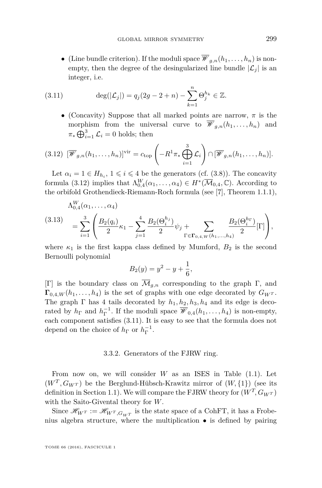• (Line bundle criterion). If the moduli space  $\overline{\mathscr{W}}_{g,n}(h_1,\ldots,h_n)$  is nonempty, then the degree of the desingularized line bundle  $|\mathcal{L}_i|$  is an integer, i.e.

(3.11) 
$$
\deg(|\mathcal{L}_j|) = q_j(2g - 2 + n) - \sum_{k=1}^n \Theta_j^{h_k} \in \mathbb{Z}.
$$

<span id="page-29-1"></span>• (Concavity) Suppose that all marked points are narrow,  $\pi$  is the morphism from the universal curve to  $\overline{\mathscr{W}}_{q,n}(h_1,\ldots,h_n)$  and  $\pi_* \bigoplus_{i=1}^3 \mathcal{L}_i = 0$  holds; then

<span id="page-29-0"></span>
$$
(3.12) \ \left[\overline{\mathscr{W}}_{g,n}(h_1,\ldots,h_n)\right]^{\text{vir}} = c_{\text{top}}\left(-R^1\pi_*\bigoplus_{i=1}^3\mathcal{L}_i\right)\cap\left[\overline{\mathscr{W}}_{g,n}(h_1,\ldots,h_n)\right].
$$

Let  $\alpha_i = 1 \in H_{h_i}$ ,  $1 \leq i \leq 4$  be the generators (cf. [\(3.8\)](#page-27-1)). The concavity formula [\(3.12\)](#page-29-0) implies that  $\Lambda_{0,4}^W(\alpha_1,\ldots,\alpha_4) \in H^*(\overline{\mathcal{M}}_{0,4}, \mathbb{C})$ . According to the orbifold Grothendieck-Riemann-Roch formula (see [\[7\]](#page-58-6), Theorem 1.1.1),

<span id="page-29-2"></span>
$$
(3.13) \quad = \sum_{i=1}^{3} \left( \frac{B_2(q_i)}{2} \kappa_1 - \sum_{j=1}^{4} \frac{B_2(\Theta_i^{h_j})}{2} \psi_j + \sum_{\Gamma \in \mathbf{\Gamma}_{0,4,W}(h_1,...,h_4)} \frac{B_2(\Theta_i^{h_\Gamma})}{2} [\Gamma] \right),
$$

where  $\kappa_1$  is the first kappa class defined by Mumford,  $B_2$  is the second Bernoulli polynomial

$$
B_2(y) = y^2 - y + \frac{1}{6},
$$

[Γ] is the boundary class on  $\overline{\mathcal{M}}_{q,n}$  corresponding to the graph Γ, and  $\Gamma_{0,4,W}(h_1,\ldots,h_4)$  is the set of graphs with one edge decorated by  $G_{W^T}$ . The graph  $\Gamma$  has 4 tails decorated by  $h_1, h_2, h_3, h_4$  and its edge is decorated by  $h_{\Gamma}$  and  $h_{\Gamma}^{-1}$ . If the moduli space  $\overline{\mathscr{W}}_{0,4}(h_1,\ldots,h_4)$  is non-empty, each component satisfies [\(3.11\)](#page-29-1). It is easy to see that the formula does not depend on the choice of  $h_{\Gamma}$  or  $h_{\Gamma}^{-1}$ .

#### 3.3.2. Generators of the FJRW ring.

From now on, we will consider *W* as an ISES in Table [\(1.1\)](#page-5-0). Let  $(W^T, G_{W^T})$  be the Berglund-Hübsch-Krawitz mirror of  $(W, \{1\})$  (see its definition in Section [1.1\)](#page-2-0). We will compare the FJRW theory for  $(W<sup>T</sup>, G<sub>W<sup>T</sup></sub>)$ with the Saito-Givental theory for *W*.

Since  $\mathscr{H}_{W^T} := \mathscr{H}_{W^T, G_{W^T}}$  is the state space of a CohFT, it has a Frobenius algebra structure, where the multiplication • is defined by pairing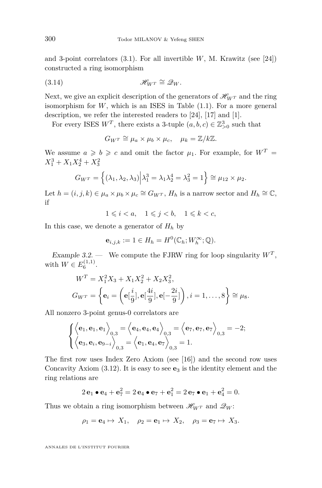and 3-point correlators [\(3.1\)](#page-22-0). For all invertible *W*, M. Krawitz (see [\[24\]](#page-59-6)) constructed a ring isomorphism

$$
\mathscr{H}_{W^T} \cong \mathscr{Q}_W.
$$

Next, we give an explicit description of the generators of  $\mathscr{H}_{W}$ <sup>*T*</sup> and the ring isomorphism for *W*, which is an ISES in Table [\(1.1\)](#page-5-0). For a more general description, we refer the interested readers to [\[24\]](#page-59-6), [\[17\]](#page-59-20) and [\[1\]](#page-58-7).

For every ISES  $W^T$ , there exists a 3-tuple  $(a, b, c) \in \mathbb{Z}_{>0}^3$  such that

<span id="page-30-0"></span>
$$
G_{W^T} \cong \mu_a \times \mu_b \times \mu_c, \quad \mu_k = \mathbb{Z}/k\mathbb{Z}.
$$

We assume  $a \geq b \geq c$  and omit the factor  $\mu_1$ . For example, for  $W^T =$  $X_1^3 + X_1 X_2^4 + X_3^2$ 

$$
G_{W^T} = \left\{ (\lambda_1, \lambda_2, \lambda_3) \middle| \lambda_1^3 = \lambda_1 \lambda_2^4 = \lambda_3^2 = 1 \right\} \cong \mu_{12} \times \mu_2.
$$

Let  $h = (i, j, k) \in \mu_a \times \mu_b \times \mu_c \cong G_{W^T}, H_h$  is a narrow sector and  $H_h \cong \mathbb{C}$ , if

 $1 \leq i < a, \quad 1 \leq j < b, \quad 1 \leq k < c,$ 

In this case, we denote a generator of *H<sup>h</sup>* by

$$
\mathbf{e}_{i,j,k} := 1 \in H_h = H^0(\mathbb{C}_h; W_h^{\infty}; \mathbb{Q}).
$$

<span id="page-30-1"></span>Example 3.2. — We compute the FJRW ring for loop singularity  $W<sup>T</sup>$ , with  $W \in E_6^{(1,1)}$ .

$$
W^{T} = X_1^2 X_3 + X_1 X_2^2 + X_2 X_3^2,
$$
  
\n
$$
G_{W^{T}} = \left\{ \mathbf{e}_i = \left( \mathbf{e}[\frac{i}{9}], \mathbf{e}[\frac{4i}{9}], \mathbf{e}[-\frac{2i}{9}] \right), i = 1, ..., 8 \right\} \cong \mu_8.
$$

All nonzero 3-point genus-0 correlators are

$$
\begin{cases} \left\langle \mathbf{e}_1, \mathbf{e}_1, \mathbf{e}_1 \right\rangle_{0,3} = \left\langle \mathbf{e}_4, \mathbf{e}_4, \mathbf{e}_4 \right\rangle_{0,3} = \left\langle \mathbf{e}_7, \mathbf{e}_7, \mathbf{e}_7 \right\rangle_{0,3} = -2; \\ \left\langle \mathbf{e}_3, \mathbf{e}_i, \mathbf{e}_{9-i} \right\rangle_{0,3} = \left\langle \mathbf{e}_1, \mathbf{e}_4, \mathbf{e}_7 \right\rangle_{0,3} = 1. \end{cases}
$$

The first row uses Index Zero Axiom (see [\[16\]](#page-59-3)) and the second row uses Concavity Axiom  $(3.12)$ . It is easy to see  $\mathbf{e}_3$  is the identity element and the ring relations are

$$
2\mathbf{e}_1 \bullet \mathbf{e}_4 + \mathbf{e}_7^2 = 2\mathbf{e}_4 \bullet \mathbf{e}_7 + \mathbf{e}_1^2 = 2\mathbf{e}_7 \bullet \mathbf{e}_1 + \mathbf{e}_4^2 = 0.
$$

Thus we obtain a ring isomorphism between  $\mathscr{H}_{W}$ <sup>T</sup> and  $\mathscr{Q}_{W}$ :

$$
\rho_1 = \mathbf{e}_4 \mapsto X_1, \quad \rho_2 = \mathbf{e}_1 \mapsto X_2, \quad \rho_3 = \mathbf{e}_7 \mapsto X_3.
$$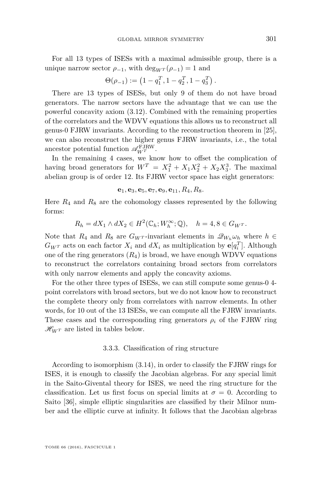For all 13 types of ISESs with a maximal admissible group, there is a unique narrow sector  $\rho_{-1}$ , with deg<sub>*WT*</sub> ( $\rho_{-1}$ ) = 1 and

$$
\Theta(\rho_{-1}) := \left(1 - q_1^T, 1 - q_2^T, 1 - q_3^T\right).
$$

There are 13 types of ISESs, but only 9 of them do not have broad generators. The narrow sectors have the advantage that we can use the powerful concavity axiom [\(3.12\)](#page-29-0). Combined with the remaining properties of the correlators and the WDVV equations this allows us to reconstruct all genus-0 FJRW invariants. According to the reconstruction theorem in [\[25\]](#page-59-12), we can also reconstruct the higher genus FJRW invariants, i.e., the total ancestor potential function  $\mathscr{A}_{W^T}^{\text{FJRW}}$ .

In the remaining 4 cases, we know how to offset the complication of having broad generators for  $W^T = X_1^2 + X_1 X_2^2 + X_2 X_3^3$ . The maximal abelian group is of order 12. Its FJRW vector space has eight generators:

 $e_1, e_3, e_5, e_7, e_9, e_{11}, R_4, R_8.$ 

Here  $R_4$  and  $R_8$  are the cohomology classes represented by the following forms:

$$
R_h = dX_1 \wedge dX_2 \in H^2(\mathbb{C}_h; W_h^{\infty}; \mathbb{Q}), \quad h = 4, 8 \in G_{W^T}.
$$

Note that  $R_4$  and  $R_8$  are  $G_{W^T}$ -invariant elements in  $\mathscr{Q}_{W_h}\omega_h$  where  $h \in$  $G_{W^T}$  acts on each factor  $X_i$  and  $dX_i$  as multiplication by  $e[q_i^T]$ . Although one of the ring generators  $(R_4)$  is broad, we have enough WDVV equations to reconstruct the correlators containing broad sectors from correlators with only narrow elements and apply the concavity axioms.

For the other three types of ISESs, we can still compute some genus-0 4 point correlators with broad sectors, but we do not know how to reconstruct the complete theory only from correlators with narrow elements. In other words, for 10 out of the 13 ISESs, we can compute all the FJRW invariants. These cases and the corresponding ring generators  $\rho_i$  of the FJRW ring  $\mathcal{H}_{W}$ <sup>*T*</sup> are listed in tables below.

#### 3.3.3. Classification of ring structure

<span id="page-31-0"></span>According to isomorphism [\(3.14\)](#page-30-0), in order to classify the FJRW rings for ISES, it is enough to classify the Jacobian algebras. For any special limit in the Saito-Givental theory for ISES, we need the ring structure for the classification. Let us first focus on special limits at  $\sigma = 0$ . According to Saito [\[36\]](#page-60-6), simple elliptic singularities are classified by their Milnor number and the elliptic curve at infinity. It follows that the Jacobian algebras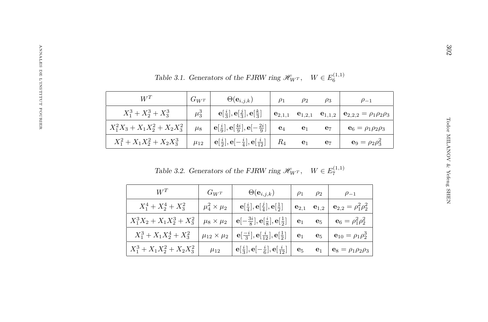<span id="page-32-1"></span><span id="page-32-0"></span>

|                                  |            | Table 3.1. Generators of the FJRW ring $\mathscr{H}_{W^T}$ , $W \in E^{(1,1)}_{\epsilon}$ |                |                |                         |                                    |
|----------------------------------|------------|-------------------------------------------------------------------------------------------|----------------|----------------|-------------------------|------------------------------------|
| $W^T$                            | $G_{W^T}$  | $\Theta({\bf e}_{i,j,k})$                                                                 | $\rho_1$       | $\rho_2$       | $\rho_3$                | $\rho_{-1}$                        |
| $X_1^3 + X_2^3 + X_3^3$          | $\mu_3^3$  | $\mathbf{e}[\frac{i}{3}], \mathbf{e}[\frac{j}{3}], \mathbf{e}[\frac{k}{3}]$               | $e_{2,1,1}$    |                | $e_{1,2,1}$ $e_{1,1,2}$ | $e_{2,2,2} = \rho_1 \rho_2 \rho_3$ |
| $X_1^2X_3 + X_1X_2^2 + X_2X_3^2$ | $\mu_8$    | $\mathbf{e}[\frac{i}{9}], \mathbf{e}[\frac{4i}{9}], \mathbf{e}[-\frac{2i}{9}]$            | $\mathbf{e}_4$ | $\mathbf{e}_1$ | $\mathbf{e}_7$          | $e_6 = \rho_1 \rho_2 \rho_3$       |
| $X_1^2 + X_1 X_2^2 + X_2 X_3^3$  | $\mu_{12}$ | $\mathbf{e}[\frac{i}{2}], \mathbf{e}[-\frac{i}{4}], \mathbf{e}[\frac{i}{12}]$             | $R_4$          | $\mathbf{e}_1$ | $e_7$                   | ${\bf e}_9 = \rho_2 \rho_3^2$      |
|                                  |            | Table 3.2. Generators of the FJRW ring $\mathscr{H}_{W^T}$ , $W \in E_7^{(1,1)}$          |                |                |                         |                                    |
| $W^T$                            |            | $G_{W^T}$<br>$\Theta(\mathbf{e}_{i,j,k})$                                                 |                | $\rho_1$       | $\rho_2$                | $\rho_{-1}$                        |
|                                  |            |                                                                                           |                |                |                         |                                    |

| $W^T$                           | $G_{W^T}$               | $\Theta({\bf e}_{i,j,k})$                                                     | $\rho_1$           | $\rho_2$       | $\rho_{-1}$                        |
|---------------------------------|-------------------------|-------------------------------------------------------------------------------|--------------------|----------------|------------------------------------|
| $X_1^4 + X_2^4 + X_3^2$         | $\mu_4^2 \times \mu_2$  | $\mathbf{e}[\frac{i}{4}], \mathbf{e}[\frac{j}{4}], \mathbf{e}[\frac{1}{2}]$   | $\mathbf{e}_{2,1}$ | $e1,2$         | ${\bf e}_{2,2}=\rho_1^2\rho_2^2$   |
| $X_1^3X_2 + X_1X_2^3 + X_3^2$   | $\mu_8 \times \mu_2$    | $\mathbf{e}[-\frac{3i}{8}], \mathbf{e}[\frac{i}{8}], \mathbf{e}[\frac{1}{2}]$ | $\mathbf{e}_1$     | $\mathbf{e}_5$ | ${\bf e}_6 = \rho_1^2 \rho_2^2$    |
| $X_1^3 + X_1 X_2^4 + X_3^2$     | $\mu_{12}\times\mu_{2}$ | $\mathbf{e}[\frac{-i}{3}], \mathbf{e}[\frac{i}{12}], \mathbf{e}[\frac{1}{2}]$ | $\mathbf{e}_1$     | $\mathbf{e}_5$ | ${\bf e}_{10} = \rho_1 \rho_2^3$   |
| $X_1^3 + X_1 X_2^2 + X_2 X_3^2$ | $\mu_{12}$              | $\mathbf{e}[\frac{i}{3}], \mathbf{e}[-\frac{i}{6}], \mathbf{e}[\frac{i}{12}]$ | $\mathbf{e}_5$     | $\mathbf{e}_1$ | ${\bf e}_8 = \rho_1 \rho_2 \rho_3$ |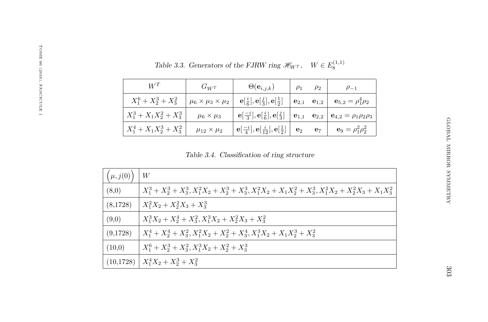| $W^T$                       | $G_{W^T}$                         | $\Theta({\bf e}_{i,j,k})$                                                                                                                            | $\rho_1$ | $\rho_2$ | $\rho_{-1}$                                                                |
|-----------------------------|-----------------------------------|------------------------------------------------------------------------------------------------------------------------------------------------------|----------|----------|----------------------------------------------------------------------------|
| $X_1^6 + X_2^3 + X_3^2$     | $\mu_6 \times \mu_3 \times \mu_2$ | $\mathbf{e}[\frac{i}{6}], \mathbf{e}[\frac{j}{3}], \mathbf{e}[\frac{1}{2}]$                                                                          |          |          | $\mathbf{e}_{2,1}$ $\mathbf{e}_{1,2}$ $\mathbf{e}_{5,2} = \rho_1^4 \rho_2$ |
| $X_1^3 + X_1 X_2^2 + X_3^3$ | $\mu_6 \times \mu_3$              | ${\bf e}[\frac{-i}{3}], {\bf e}[\frac{i}{6}], {\bf e}[\frac{j}{3}] \mid {\bf e}_{1,1} \quad {\bf e}_{2,2} \mid {\bf e}_{4,2} = \rho_1 \rho_2 \rho_3$ |          |          |                                                                            |
| $X_1^4 + X_1 X_2^3 + X_3^2$ | $\mu_{12} \times \mu_2$           | ${\bf e}[\frac{-i}{4}], {\bf e}[\frac{i}{12}], {\bf e}[\frac{1}{2}] \Big  {\bf e}_2 \quad {\bf e}_7 \Big  {\bf e}_9 = \rho_1^2 \rho_2^2$             |          |          |                                                                            |

<span id="page-33-0"></span>Table 3.3. Generators of the FJRW ring  $\mathscr{H}_{W}$ <sup>*T*</sup>,  $W \in E_8^{(1,1)}$ 

Table 3.4. Classification of ring structure

| $\mu, j(0)$ | W                                                                                                                       |
|-------------|-------------------------------------------------------------------------------------------------------------------------|
| (8,0)       | $X_1^3 + X_2^3 + X_3^3$ , $X_1^2X_2 + X_2^3 + X_3^3$ , $X_1^2X_2 + X_1X_2^2 + X_3^3$ , $X_1^2X_2 + X_2^2X_3 + X_1X_3^2$ |
| (8,1728)    | $X_1^2X_2 + X_2^2X_3 + X_3^3$                                                                                           |
| (9,0)       | $X_1^3X_2 + X_2^4 + X_3^2, X_1^3X_2 + X_2^2X_3 + X_3^2$                                                                 |
| (9,1728)    | $X_1^4 + X_2^4 + X_3^2$ , $X_1^2X_2 + X_2^2 + X_3^4$ , $X_1^3X_2 + X_1X_2^3 + X_3^2$                                    |
| (10,0)      | $X_1^6 + X_2^3 + X_3^2$ , $X_1^3X_2 + X_2^2 + X_3^3$                                                                    |
| (10, 1728)  | $X_1^4X_2 + X_2^3 + X_3^2$                                                                                              |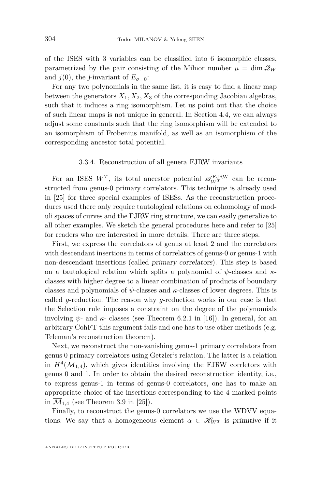of the ISES with 3 variables can be classified into 6 isomorphic classes, parametrized by the pair consisting of the Milnor number  $\mu = \dim \mathcal{Q}_W$ and  $j(0)$ , the *j*-invariant of  $E_{\sigma=0}$ :

For any two polynomials in the same list, it is easy to find a linear map between the generators  $X_1, X_2, X_3$  of the corresponding Jacobian algebras, such that it induces a ring isomorphism. Let us point out that the choice of such linear maps is not unique in general. In Section [4.4,](#page-44-0) we can always adjust some constants such that the ring isomorphism will be extended to an isomorphism of Frobenius manifold, as well as an isomorphism of the corresponding ancestor total potential.

#### 3.3.4. Reconstruction of all genera FJRW invariants

<span id="page-34-0"></span>For an ISES  $W^T$ , its total ancestor potential  $\mathscr{A}_{W^T}^{\text{FJRW}}$  can be reconstructed from genus-0 primary correlators. This technique is already used in [\[25\]](#page-59-12) for three special examples of ISESs. As the reconstruction procedures used there only require tautological relations on cohomology of moduli spaces of curves and the FJRW ring structure, we can easily generalize to all other examples. We sketch the general procedures here and refer to [\[25\]](#page-59-12) for readers who are interested in more details. There are three steps.

First, we express the correlators of genus at least 2 and the correlators with descendant insertions in terms of correlators of genus-0 or genus-1 with non-descendant insertions (called primary correlators). This step is based on a tautological relation which splits a polynomial of *ψ*-classes and *κ*classes with higher degree to a linear combination of products of boundary classes and polynomials of *ψ*-classes and *κ*-classes of lower degrees. This is called *g*-reduction. The reason why *g*-reduction works in our case is that the Selection rule imposes a constraint on the degree of the polynomials involving  $\psi$ - and  $\kappa$ - classes (see Theorem 6.2.1 in [\[16\]](#page-59-3)). In general, for an arbitrary CohFT this argument fails and one has to use other methods (e.g. Teleman's reconstruction theorem).

Next, we reconstruct the non-vanishing genus-1 primary correlators from genus 0 primary correlators using Getzler's relation. The latter is a relation in  $H^4(\overline{\mathcal M}_{1,4})$ , which gives identities involving the FJRW corrletors with genus 0 and 1. In order to obtain the desired reconstruction identity, i.e., to express genus-1 in terms of genus-0 correlators, one has to make an appropriate choice of the insertions corresponding to the 4 marked points in  $\mathcal{M}_{1,4}$  (see Theorem 3.9 in [\[25\]](#page-59-12)).

Finally, to reconstruct the genus-0 correlators we use the WDVV equations. We say that a homogeneous element  $\alpha \in \mathcal{H}_{WT}$  is primitive if it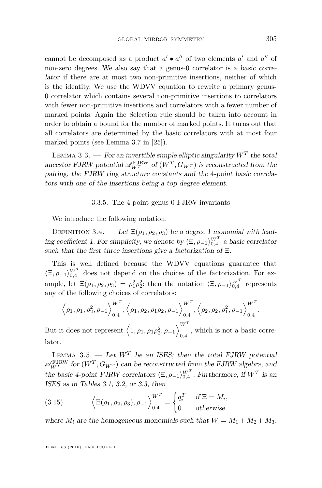cannot be decomposed as a product  $a' \bullet a''$  of two elements  $a'$  and  $a''$  of non-zero degrees. We also say that a genus-0 correlator is a basic correlator if there are at most two non-primitive insertions, neither of which is the identity. We use the WDVV equation to rewrite a primary genus-0 correlator which contains several non-primitive insertions to correlators with fewer non-primitive insertions and correlators with a fewer number of marked points. Again the Selection rule should be taken into account in order to obtain a bound for the number of marked points. It turns out that all correlators are determined by the basic correlators with at most four marked points (see Lemma 3.7 in [\[25\]](#page-59-12)).

LEMMA 3.3. — For an invertible simple elliptic singularity  $W^T$  the total ancestor FJRW potential  $\mathscr{A}_{W^T}^{\text{FJRW}}$  of  $(W^T, G_{W^T})$  is reconstructed from the pairing, the FJRW ring structure constants and the 4-point basic correlators with one of the insertions being a top degree element.

#### 3.3.5. The 4-point genus-0 FJRW invariants

We introduce the following notation.

<span id="page-35-1"></span>DEFINITION 3.4. — Let  $E(\rho_1, \rho_2, \rho_3)$  be a degree 1 monomial with leading coefficient 1. For simplicity, we denote by  $\langle \Xi, \rho_{-1} \rangle_{0,4}^{W^T}$  a basic correlator such that the first three insertions give a factorization of Ξ.

This is well defined because the WDVV equations guarantee that  $\langle \Xi, \rho_{-1} \rangle_{0,4}^{W^T}$  does not depend on the choices of the factorization. For example, let  $\Xi(\rho_1, \rho_2, \rho_3) = \rho_1^2 \rho_2^2$ ; then the notation  $\langle \Xi, \rho_{-1} \rangle_{0,4}^{W^T}$  represents any of the following choices of correlators:

$$
\left\langle \rho_1, \rho_1, \rho_2^2, \rho_{-1} \right\rangle_{0,4}^{W^T}, \left\langle \rho_1, \rho_2, \rho_1 \rho_2, \rho_{-1} \right\rangle_{0,4}^{W^T}, \left\langle \rho_2, \rho_2, \rho_1^2, \rho_{-1} \right\rangle_{0,4}^{W^T}.
$$

But it does not represent  $\left\langle 1, \rho_1, \rho_1 \rho_2^2, \rho_{-1} \right\rangle_{\alpha, 4}^{W^T}$  $_{\rm 0,4}$  , which is not a basic correlator.

<span id="page-35-0"></span>LEMMA 3.5. — Let  $W^T$  be an ISES; then the total FJRW potential  $\mathscr{A}_{WT}^{\text{FJRW}}$  for  $(W^T, G_{W^T})$  can be reconstructed from the FJRW algebra, and the basic 4-point FJRW correlators  $\langle \Xi, \rho_{-1} \rangle_{0,4}^{W^T}$ . Furthermore, if  $W^T$  is an ISES as in Tables [3.1,](#page-32-0) [3.2,](#page-32-1) or [3.3,](#page-33-0) then

(3.15) 
$$
\left\langle \Xi(\rho_1, \rho_2, \rho_3), \rho_{-1} \right\rangle_{0,4}^{W^T} = \begin{cases} q_i^T & \text{if } \Xi = M_i, \\ 0 & \text{otherwise.} \end{cases}
$$

where  $M_i$  are the homogeneous monomials such that  $W = M_1 + M_2 + M_3$ .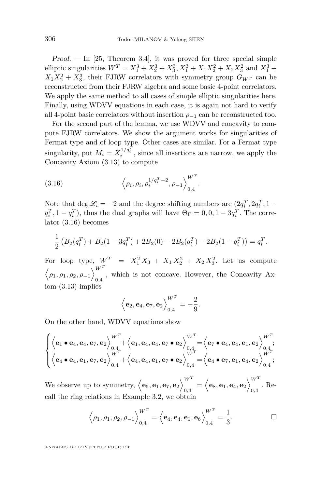$Proof.$  — In [\[25,](#page-59-12) Theorem 3.4], it was proved for three special simple elliptic singularities  $W^T = X_1^3 + X_2^3 + X_3^3$ ,  $X_1^3 + X_1X_2^2 + X_2X_3^2$  and  $X_1^3$  +  $X_1 X_2^2 + X_3^3$ , their FJRW correlators with symmetry group  $G_{W^T}$  can be reconstructed from their FJRW algebra and some basic 4-point correlators. We apply the same method to all cases of simple elliptic singularities here. Finally, using WDVV equations in each case, it is again not hard to verify all 4-point basic correlators without insertion  $\rho_{-1}$  can be reconstructed too.

For the second part of the lemma, we use WDVV and concavity to compute FJRW correlators. We show the argument works for singularities of Fermat type and of loop type. Other cases are similar. For a Fermat type singularity, put  $M_i = X_i^{1/q_i^T}$ , since all insertions are narrow, we apply the Concavity Axiom [\(3.13\)](#page-29-2) to compute

<span id="page-36-0"></span>(3.16) 
$$
\left\langle \rho_i, \rho_i, \rho_i^{1/q_i^T - 2}, \rho_{-1} \right\rangle_{0,4}^{W^T}.
$$

Note that  $\deg \mathcal{L}_i = -2$  and the degree shifting numbers are  $(2q_i^T, 2q_i^T, 1$  $q_i^T$ , 1 −  $q_i^T$ ), thus the dual graphs will have  $\Theta_{\Gamma} = 0, 0, 1 - 3q_i^T$ . The correlator [\(3.16\)](#page-36-0) becomes

$$
\frac{1}{2}\left(B_2(q_i^T) + B_2(1 - 3q_i^T) + 2B_2(0) - 2B_2(q_i^T) - 2B_2(1 - q_i^T)\right) = q_i^T.
$$

For loop type,  $W^T = X_1^2 X_3 + X_1 X_2^2 + X_2 X_3^2$ . Let us compute  $\langle \rho_1, \rho_1, \rho_2, \rho_{-1} \rangle_{\circ}^{W^T}$  $_{0,4}$ , which is not concave. However, the Concavity Axiom [\(3.13\)](#page-29-2) implies

$$
\Big\langle \mathbf{e}_2,\mathbf{e}_4,\mathbf{e}_7,\mathbf{e}_2 \Big\rangle_{0,4}^{W^T} = -\frac{2}{9}.
$$

On the other hand, WDVV equations show

$$
\begin{cases} \left\langle \mathbf{e}_{1} \bullet \mathbf{e}_{4}, \mathbf{e}_{4}, \mathbf{e}_{7}, \mathbf{e}_{2} \right\rangle_{0,4}^{W^{T}} + \left\langle \mathbf{e}_{1}, \mathbf{e}_{4}, \mathbf{e}_{4}, \mathbf{e}_{7} \bullet \mathbf{e}_{2} \right\rangle_{0,4}^{W^{T}} = \left\langle \mathbf{e}_{7} \bullet \mathbf{e}_{4}, \mathbf{e}_{4}, \mathbf{e}_{1}, \mathbf{e}_{2} \right\rangle_{0,4}^{W^{T}}; \\ \left\langle \mathbf{e}_{4} \bullet \mathbf{e}_{4}, \mathbf{e}_{1}, \mathbf{e}_{7}, \mathbf{e}_{2} \right\rangle_{0,4}^{W^{T}} + \left\langle \mathbf{e}_{4}, \mathbf{e}_{4}, \mathbf{e}_{1}, \mathbf{e}_{7} \bullet \mathbf{e}_{2} \right\rangle_{0,4}^{W^{T}} = \left\langle \mathbf{e}_{4} \bullet \mathbf{e}_{7}, \mathbf{e}_{1}, \mathbf{e}_{4}, \mathbf{e}_{2} \right\rangle_{0,4}^{W^{T}}; \end{cases}
$$

We observe up to symmetry,  $\langle \mathbf{e}_5, \mathbf{e}_1, \mathbf{e}_7, \mathbf{e}_2 \rangle \begin{bmatrix} W^T \\ W^T \end{bmatrix}$  $\left\langle \mathbf{e}_8, \mathbf{e}_1, \mathbf{e}_4, \mathbf{e}_2 \right\rangle_{0,4}^{W^T}$  $_{0,4}$ . Recall the ring relations in Example [3.2,](#page-30-1) we obtain

$$
\left\langle \rho_1, \rho_1, \rho_2, \rho_{-1} \right\rangle_{0,4}^{W^T} = \left\langle \mathbf{e}_4, \mathbf{e}_4, \mathbf{e}_1, \mathbf{e}_6 \right\rangle_{0,4}^{W^T} = \frac{1}{3}.
$$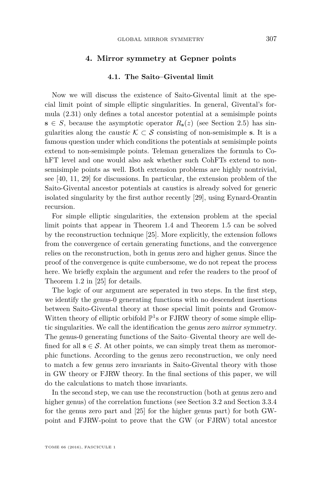#### **4. Mirror symmetry at Gepner points**

#### **4.1. The Saito–Givental limit**

<span id="page-37-1"></span><span id="page-37-0"></span>Now we will discuss the existence of Saito-Givental limit at the special limit point of simple elliptic singularities. In general, Givental's formula [\(2.31\)](#page-21-1) only defines a total ancestor potential at a semisimple points **s** ∈ *S*, because the asymptotic operator  $R$ **s**(*z*) (see Section [2.5\)](#page-18-2) has singularities along the *caustic*  $K \subset S$  consisting of non-semisimple **s**. It is a famous question under which conditions the potentials at semisimple points extend to non-semisimple points. Teleman generalizes the formula to CohFT level and one would also ask whether such CohFTs extend to nonsemisimple points as well. Both extension problems are highly nontrivial, see [\[40,](#page-60-9) [11,](#page-59-14) [29\]](#page-59-13) for discussions. In particular, the extension problem of the Saito-Givental ancestor potentials at caustics is already solved for generic isolated singularity by the first author recently [\[29\]](#page-59-13), using Eynard-Orantin recursion.

For simple elliptic singularities, the extension problem at the special limit points that appear in Theorem [1.4](#page-7-1) and Theorem [1.5](#page-7-2) can be solved by the reconstruction technique [\[25\]](#page-59-12). More explicitly, the extension follows from the convergence of certain generating functions, and the convergence relies on the reconstruction, both in genus zero and higher genus. Since the proof of the convergence is quite cumbersome, we do not repeat the process here. We briefly explain the argument and refer the readers to the proof of Theorem 1.2 in [\[25\]](#page-59-12) for details.

The logic of our argument are seperated in two steps. In the first step, we identify the genus-0 generating functions with no descendent insertions between Saito-Givental theory at those special limit points and Gromov-Witten theory of elliptic orbifold  $\mathbb{P}^1$ s or FJRW theory of some simple elliptic singularities. We call the identification the genus zero mirror symmetry. The genus-0 generating functions of the Saito–Givental theory are well defined for all  $s \in S$ . At other points, we can simply treat them as meromorphic functions. According to the genus zero reconstruction, we only need to match a few genus zero invariants in Saito-Givental theory with those in GW theory or FJRW theory. In the final sections of this paper, we will do the calculations to match those invariants.

In the second step, we can use the reconstruction (both at genus zero and higher genus) of the correlation functions (see Section [3.2](#page-23-2) and Section [3.3.4](#page-34-0) for the genus zero part and [\[25\]](#page-59-12) for the higher genus part) for both GWpoint and FJRW-point to prove that the GW (or FJRW) total ancestor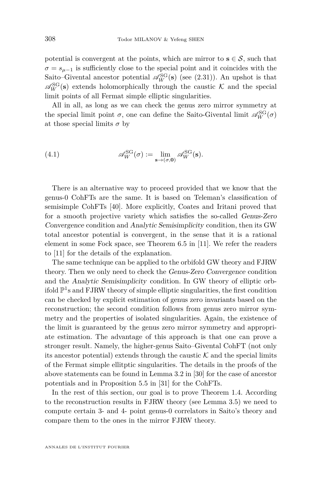potential is convergent at the points, which are mirror to  $s \in S$ , such that  $\sigma = s_{\mu-1}$  is sufficiently close to the special point and it coincides with the Saito–Givental ancestor potential  $\mathscr{A}_W^{\rm SG}(\mathbf{s})$  (see [\(2.31\)](#page-21-1)). An upshot is that  $\mathscr{A}_{W}^{SG}(\mathbf{s})$  extends holomorphically through the caustic K and the special limit points of all Fermat simple elliptic singularities.

All in all, as long as we can check the genus zero mirror symmetry at the special limit point  $\sigma$ , one can define the Saito-Givental limit  $\mathscr{A}_W^{\rm SG}(\sigma)$ at those special limits  $\sigma$  by

(4.1) 
$$
\mathscr{A}_{W}^{SG}(\sigma) := \lim_{\mathbf{s} \to (\sigma, \mathbf{0})} \mathscr{A}_{W}^{SG}(\mathbf{s}).
$$

There is an alternative way to proceed provided that we know that the genus-0 CohFTs are the same. It is based on Teleman's classification of semisimple CohFTs [\[40\]](#page-60-9). More explicitly, Coates and Iritani proved that for a smooth projective variety which satisfies the so-called Genus-Zero Convergence condition and Analytic Semisimplicity condition, then its GW total ancestor potential is convergent, in the sense that it is a rational element in some Fock space, see Theorem 6.5 in [\[11\]](#page-59-14). We refer the readers to [\[11\]](#page-59-14) for the details of the explanation.

The same technique can be applied to the orbifold GW theory and FJRW theory. Then we only need to check the Genus-Zero Convergence condition and the Analytic Semisimplicity condition. In GW theory of elliptic orbifold  $\mathbb{P}^1$ s and FJRW theory of simple elliptic singularities, the first condition can be checked by explicit estimation of genus zero invariants based on the reconstruction; the second condition follows from genus zero mirror symmetry and the properties of isolated singularities. Again, the existence of the limit is guaranteed by the genus zero mirror symmetry and appropriate estimation. The advantage of this approach is that one can prove a stronger result. Namely, the higher-genus Saito–Givental CohFT (not only its ancestor potential) extends through the caustic  $K$  and the special limits of the Fermat simple ellitptic singularities. The details in the proofs of the above statements can be found in Lemma 3.2 in [\[30\]](#page-60-0) for the case of ancestor potentials and in Proposition 5.5 in [\[31\]](#page-60-10) for the CohFTs.

In the rest of this section, our goal is to prove Theorem [1.4.](#page-7-1) According to the reconstruction results in FJRW theory (see Lemma [3.5\)](#page-35-0) we need to compute certain 3- and 4- point genus-0 correlators in Saito's theory and compare them to the ones in the mirror FJRW theory.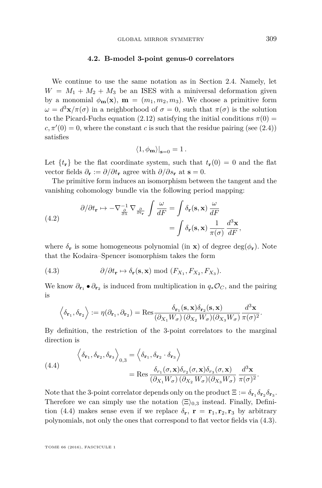#### **4.2. B-model 3-point genus-0 correlators**

We continue to use the same notation as in Section [2.4.](#page-14-2) Namely, let  $W = M_1 + M_2 + M_3$  be an ISES with a miniversal deformation given by a monomial  $\phi_{\bf m}({\bf x})$ ,  ${\bf m} = (m_1, m_2, m_3)$ . We choose a primitive form *ω* =  $d^3$ **x**/ $\pi(\sigma)$  in a neighborhood of  $\sigma = 0$ , such that  $\pi(\sigma)$  is the solution to the Picard-Fuchs equation [\(2.12\)](#page-12-1) satisfying the initial conditions  $\pi(0)$  =  $c, \pi'(0) = 0$ , where the constant *c* is such that the residue pairing (see [\(2.4\)](#page-10-1)) satisfies

$$
\langle 1, \phi_{\mathbf{m}} \rangle|_{\mathbf{s}=0} = 1.
$$

Let  $\{t_r\}$  be the flat coordinate system, such that  $t_r(0) = 0$  and the flat vector fields  $\partial_{\bf{r}} := \partial/\partial t_{\bf{r}}$  agree with  $\partial/\partial s_{\bf{r}}$  at  ${\bf s} = 0$ .

The primitive form induces an isomorphism between the tangent and the vanishing cohomology bundle via the following period mapping:

<span id="page-39-2"></span>(4.2) 
$$
\partial/\partial t_{\mathbf{r}} \mapsto -\nabla_{\frac{\partial}{\partial \lambda}}^{-1} \nabla_{\frac{\partial}{\partial t_{\mathbf{r}}}} \int \frac{\omega}{dF} = \int \delta_{\mathbf{r}}(\mathbf{s}, \mathbf{x}) \frac{\omega}{dF} = \int \delta_{\mathbf{r}}(\mathbf{s}, \mathbf{x}) \frac{1}{\pi(\sigma)} \frac{d^3 \mathbf{x}}{dF},
$$

where  $\delta_{\bf r}$  is some homogeneous polynomial (in **x**) of degree deg( $\phi_{\bf r}$ ). Note that the Kodaira–Spencer isomorphism takes the form

<span id="page-39-1"></span>(4.3) 
$$
\partial/\partial t_{\mathbf{r}} \mapsto \delta_{\mathbf{r}}(\mathbf{s}, \mathbf{x}) \bmod (F_{X_1}, F_{X_2}, F_{X_3}).
$$

We know  $\partial_{\mathbf{r}_1} \bullet \partial_{\mathbf{r}_2}$  is induced from multiplication in  $q_*\mathcal{O}_C$ , and the pairing is

$$
\left\langle \delta_{\mathbf{r}_1}, \delta_{\mathbf{r}_2} \right\rangle := \eta(\partial_{\mathbf{r}_1}, \partial_{\mathbf{r}_2}) = \text{Res}_{\left(\partial_{X_1} W_{\sigma}\right) \left(\partial_{X_2} W_{\sigma}\right) \left(\partial_{X_3} W_{\sigma}\right)} \frac{d^3 \mathbf{x}}{\pi(\sigma)^2}.
$$

By definition, the restriction of the 3-point correlators to the marginal direction is

<span id="page-39-0"></span>(4.4)  
\n
$$
\left\langle \delta_{\mathbf{r}_1}, \delta_{\mathbf{r}_2}, \delta_{\mathbf{r}_3} \right\rangle_{0,3} = \left\langle \delta_{\mathbf{r}_1}, \delta_{\mathbf{r}_2} \cdot \delta_{\mathbf{r}_3} \right\rangle
$$
\n
$$
= \text{Res} \frac{\delta_{r_1}(\sigma, \mathbf{x}) \delta_{r_2}(\sigma, \mathbf{x}) \delta_{r_3}(\sigma, \mathbf{x})}{\left(\partial_{X_1} W_{\sigma}\right) \left(\partial_{X_2} W_{\sigma}\right) \left(\partial_{X_3} W_{\sigma}\right)} \frac{d^3 \mathbf{x}}{\pi(\sigma)^2}.
$$

Note that the 3-point correlator depends only on the product  $\Xi := \delta_{r_1} \delta_{r_2} \delta_{r_3}$ . Therefore we can simply use the notation  $\langle \Xi \rangle_{0,3}$  instead. Finally, Defini-tion [\(4.4\)](#page-39-0) makes sense even if we replace  $\delta_{\mathbf{r}}, \mathbf{r} = \mathbf{r}_1, \mathbf{r}_2, \mathbf{r}_3$  by arbitrary polynomials, not only the ones that correspond to flat vector fields via [\(4.3\)](#page-39-1).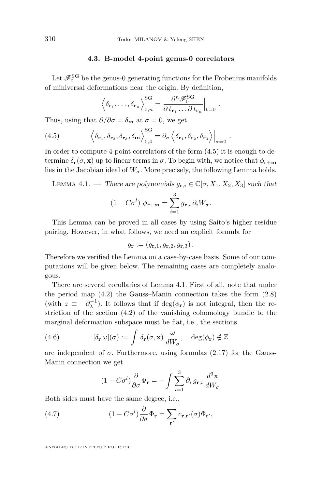#### **4.3. B-model 4-point genus-0 correlators**

Let  $\mathscr{F}_0^{\mathrm{SG}}$  be the genus-0 generating functions for the Frobenius manifolds of miniversal deformations near the origin. By definition,

<span id="page-40-0"></span>
$$
\left\langle \delta_{\mathbf{r}_1}, \ldots, \delta_{\mathbf{r}_n} \right\rangle_{0,n}^{\text{SG}} = \frac{\partial^n \mathscr{F}_0^{\text{SG}}}{\partial t_{\mathbf{r}_1} \ldots \partial t_{\mathbf{r}_n}} \Big|_{\mathbf{t} = 0}
$$

*.*

Thus, using that  $\partial/\partial \sigma = \delta_{\bf m}$  at  $\sigma = 0$ , we get

(4.5) 
$$
\left\langle \delta_{\mathbf{r}_1}, \delta_{\mathbf{r}_2}, \delta_{\mathbf{r}_3}, \delta_{\mathbf{m}} \right\rangle_{0,4}^{\text{SG}} = \partial_{\sigma} \left\langle \delta_{\mathbf{r}_1}, \delta_{\mathbf{r}_2}, \delta_{\mathbf{r}_3} \right\rangle \Big|_{\sigma=0}.
$$

In order to compute 4-point correlators of the form  $(4.5)$  it is enough to determine  $\delta_{\bf r}(\sigma, {\bf x})$  up to linear terms in  $\sigma$ . To begin with, we notice that  $\phi_{\bf r+m}$ lies in the Jacobian ideal of  $W_{\sigma}$ . More precisely, the following Lemma holds.

<span id="page-40-1"></span>LEMMA 4.1. — There are polynomials  $g_{\mathbf{r},i} \in \mathbb{C}[\sigma, X_1, X_2, X_3]$  such that

$$
(1 - C\sigma^{l}) \phi_{\mathbf{r} + \mathbf{m}} = \sum_{i=1}^{3} g_{\mathbf{r},i} \partial_i W_{\sigma}.
$$

This Lemma can be proved in all cases by using Saito's higher residue pairing. However, in what follows, we need an explicit formula for

$$
g_{\mathbf{r}} := (g_{\mathbf{r},1}, g_{\mathbf{r},2}, g_{\mathbf{r},3}).
$$

Therefore we verified the Lemma on a case-by-case basis. Some of our computations will be given below. The remaining cases are completely analogous.

There are several corollaries of Lemma [4.1.](#page-40-1) First of all, note that under the period map [\(4.2\)](#page-39-2) the Gauss–Manin connection takes the form [\(2.8\)](#page-11-0) (with  $z \equiv -\partial_{\lambda}^{-1}$ ). It follows that if  $\deg(\phi_{\bf r})$  is not integral, then the restriction of the section [\(4.2\)](#page-39-2) of the vanishing cohomology bundle to the marginal deformation subspace must be flat, i.e., the sections

(4.6) 
$$
[\delta_{\mathbf{r}} \omega](\sigma) := \int \delta_{\mathbf{r}}(\sigma, \mathbf{x}) \frac{\omega}{dW_{\sigma}}, \quad \deg(\phi_{\mathbf{r}}) \notin \mathbb{Z}
$$

are independent of  $\sigma$ . Furthermore, using formulas [\(2.17\)](#page-15-0) for the Gauss-Manin connection we get

<span id="page-40-3"></span><span id="page-40-2"></span>
$$
(1 - C\sigma^{l})\frac{\partial}{\partial \sigma} \Phi_{\mathbf{r}} = -\int \sum_{i=1}^{3} \partial_{i} g_{\mathbf{r},i} \frac{d^{3} \mathbf{x}}{dW_{\sigma}}
$$

Both sides must have the same degree, i.e.,

(4.7) 
$$
(1 - C\sigma^{l}) \frac{\partial}{\partial \sigma} \Phi_{\mathbf{r}} = \sum_{\mathbf{r}'} c_{\mathbf{r},\mathbf{r}'}(\sigma) \Phi_{\mathbf{r}'},
$$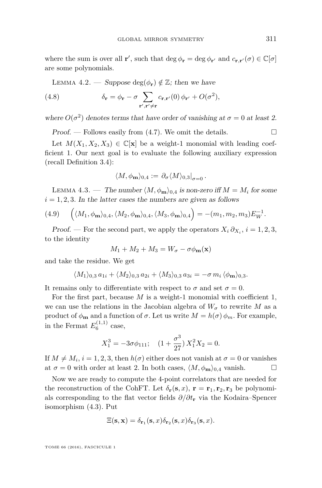where the sum is over all **r'**, such that  $\deg \phi_{\mathbf{r}} = \deg \phi_{\mathbf{r'}}$  and  $c_{\mathbf{r},\mathbf{r'}}(\sigma) \in \mathbb{C}[\sigma]$ are some polynomials.

<span id="page-41-2"></span><span id="page-41-0"></span>LEMMA 4.2. — Suppose deg( $\phi$ **r**)  $\notin \mathbb{Z}$ ; then we have

(4.8) 
$$
\delta_{\mathbf{r}} = \phi_{\mathbf{r}} - \sigma \sum_{\mathbf{r}', \mathbf{r}' \neq \mathbf{r}} c_{\mathbf{r}, \mathbf{r}'}(0) \phi_{\mathbf{r}'} + O(\sigma^2),
$$

where  $O(\sigma^2)$  denotes terms that have order of vanishing at  $\sigma = 0$  at least 2.

Proof. — Follows easily from  $(4.7)$ . We omit the details.

Let  $M(X_1, X_2, X_3) \in \mathbb{C}[\mathbf{x}]$  be a weight-1 monomial with leading coefficient 1. Our next goal is to evaluate the following auxiliary expression (recall Definition [3.4\)](#page-35-1):

$$
\langle M, \phi_{\mathbf{m}} \rangle_{0,4} := \left. \partial_{\sigma} \langle M \rangle_{0,3} \right|_{\sigma=0}.
$$

<span id="page-41-1"></span>LEMMA 4.3. — The number  $\langle M, \phi_m \rangle_{0,4}$  is non-zero iff  $M = M_i$  for some  $i = 1, 2, 3$ . In the latter cases the numbers are given as follows

<span id="page-41-3"></span>(4.9) 
$$
\left(\langle M_1, \phi_{\mathbf{m}}\rangle_{0,4}, \langle M_2, \phi_{\mathbf{m}}\rangle_{0,4}, \langle M_3, \phi_{\mathbf{m}}\rangle_{0,4}\right) = -(m_1, m_2, m_3) E_W^{-1}.
$$

Proof. — For the second part, we apply the operators  $X_i \partial_{X_i}$ ,  $i = 1, 2, 3$ , to the identity

 $M_1 + M_2 + M_3 = W_\sigma - \sigma \phi_\mathbf{m}(\mathbf{x})$ 

and take the residue. We get

$$
\langle M_1 \rangle_{0,3} a_{1i} + \langle M_2 \rangle_{0,3} a_{2i} + \langle M_3 \rangle_{0,3} a_{3i} = -\sigma m_i \langle \phi_{\mathbf{m}} \rangle_{0,3}.
$$

It remains only to differentiate with respect to  $\sigma$  and set  $\sigma = 0$ .

For the first part, because *M* is a weight-1 monomial with coefficient 1, we can use the relations in the Jacobian algebra of  $W_{\sigma}$  to rewrite M as a product of  $\phi_{\bf m}$  and a function of  $\sigma$ . Let us write  $M = h(\sigma) \phi_m$ . For example, in the Fermat  $E_6^{(1,1)}$  case,

$$
X_1^3 = -3\sigma\phi_{111}; \quad (1 + \frac{\sigma^3}{27})X_1^2X_2 = 0.
$$

If  $M \neq M_i$ ,  $i = 1, 2, 3$ , then  $h(\sigma)$  either does not vanish at  $\sigma = 0$  or vanishes at  $\sigma = 0$  with order at least 2. In both cases,  $\langle M, \phi_m \rangle_{0.4}$  vanish.

Now we are ready to compute the 4-point correlators that are needed for the reconstruction of the CohFT. Let  $\delta_{\bf r}({\bf s},x)$ ,  ${\bf r}={\bf r}_1,{\bf r}_2,{\bf r}_3$  be polynomials corresponding to the flat vector fields *∂/∂t***<sup>r</sup>** via the Kodaira–Spencer isomorphism [\(4.3\)](#page-39-1). Put

$$
\Xi(\mathbf{s}, \mathbf{x}) = \delta_{\mathbf{r}_1}(\mathbf{s}, x) \delta_{\mathbf{r}_2}(\mathbf{s}, x) \delta_{\mathbf{r}_3}(\mathbf{s}, x).
$$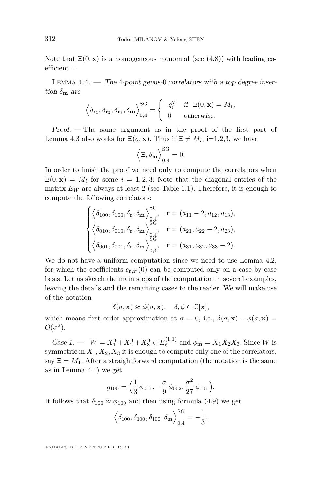Note that  $\Xi(0, \mathbf{x})$  is a homogeneous monomial (see [\(4.8\)](#page-41-0)) with leading coefficient 1.

<span id="page-42-0"></span>LEMMA  $4.4.$  — The 4-point genus-0 correlators with a top degree insertion  $\delta_{\mathbf{m}}$  are

$$
\left\langle \delta_{\mathbf{r}_1}, \delta_{\mathbf{r}_2}, \delta_{\mathbf{r}_3}, \delta_{\mathbf{m}} \right\rangle_{0,4}^{\text{SG}} = \begin{cases} -q_i^T & \text{if } \Xi(0, \mathbf{x}) = M_i, \\ 0 & \text{otherwise.} \end{cases}
$$

Proof. — The same argument as in the proof of the first part of Lemma [4.3](#page-41-1) also works for  $\Xi(\sigma, \mathbf{x})$ . Thus if  $\Xi \neq M_i$ , i=1,2,3, we have

$$
\left\langle \Xi, \delta_{\mathbf{m}} \right\rangle^{\rm SG}_{0,4} = 0.
$$

In order to finish the proof we need only to compute the correlators when  $\Xi(0, \mathbf{x}) = M_i$  for some  $i = 1, 2, 3$ . Note that the diagonal entries of the matrix  $E_W$  are always at least 2 (see Table [1.1\)](#page-5-0). Therefore, it is enough to compute the following correlators:

$$
\begin{cases} \left\langle \delta_{100}, \delta_{100}, \delta_{\mathbf{r}}, \delta_{\mathbf{m}} \right\rangle_{0,4}^{SG}, & \mathbf{r} = (a_{11} - 2, a_{12}, a_{13}), \\ \left\langle \delta_{010}, \delta_{010}, \delta_{\mathbf{r}}, \delta_{\mathbf{m}} \right\rangle_{0,4}^{SG}, & \mathbf{r} = (a_{21}, a_{22} - 2, a_{23}), \\ \left\langle \delta_{001}, \delta_{001}, \delta_{\mathbf{r}}, \delta_{\mathbf{m}} \right\rangle_{0,4}^{SG}, & \mathbf{r} = (a_{31}, a_{32}, a_{33} - 2). \end{cases}
$$

We do not have a uniform computation since we need to use Lemma [4.2,](#page-41-2) for which the coefficients  $c_{\mathbf{r},\mathbf{r}'}(0)$  can be computed only on a case-by-case basis. Let us sketch the main steps of the computation in several examples, leaving the details and the remaining cases to the reader. We will make use of the notation

$$
\delta(\sigma, \mathbf{x}) \approx \phi(\sigma, \mathbf{x}), \quad \delta, \phi \in \mathbb{C}[\mathbf{x}],
$$

which means first order approximation at  $\sigma = 0$ , i.e.,  $\delta(\sigma, \mathbf{x}) - \phi(\sigma, \mathbf{x}) =$  $O(\sigma^2)$ .

Case 1. —  $W = X_1^3 + X_2^3 + X_3^3 \in E_6^{(1,1)}$  and  $\phi_{\mathbf{m}} = X_1 X_2 X_3$ . Since *W* is symmetric in  $X_1, X_2, X_3$  it is enough to compute only one of the correlators, say  $\Xi = M_1$ . After a straightforward computation (the notation is the same as in Lemma [4.1\)](#page-40-1) we get

$$
g_{100} = \left(\frac{1}{3} \phi_{011}, -\frac{\sigma}{9} \phi_{002}, \frac{\sigma^2}{27} \phi_{101}\right).
$$

It follows that  $\delta_{100} \approx \phi_{100}$  and then using formula [\(4.9\)](#page-41-3) we get

$$
\left\langle \delta_{100}, \delta_{100}, \delta_{100}, \delta_{\mathbf{m}} \right\rangle_{0,4}^{\text{SG}} = -\frac{1}{3}.
$$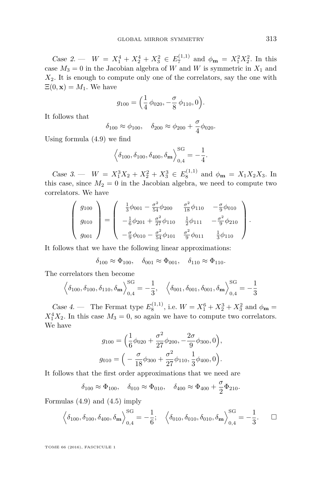Case 2. —  $W = X_1^4 + X_2^4 + X_3^2 \in E_7^{(1,1)}$  and  $\phi_{\mathbf{m}} = X_1^2 X_2^2$ . In this case  $M_3 = 0$  in the Jacobian algebra of *W* and *W* is symmetric in  $X_1$  and  $X_2$ . It is enough to compute only one of the correlators, say the one with  $\Xi(0, \mathbf{x}) = M_1$ . We have

$$
g_{100} = \left(\frac{1}{4} \phi_{020}, -\frac{\sigma}{8} \phi_{110}, 0\right).
$$

It follows that

$$
\delta_{100} \approx \phi_{100}, \quad \delta_{200} \approx \phi_{200} + \frac{\sigma}{4} \phi_{020}.
$$

Using formula [\(4.9\)](#page-41-3) we find

$$
\left\langle \delta_{100}, \delta_{100}, \delta_{400}, \delta_{\mathbf{m}} \right\rangle_{0,4}^{\text{SG}} = -\frac{1}{4}.
$$

Case 3. —  $W = X_1^3 X_2 + X_2^2 + X_3^3 \in E_8^{(1,1)}$  and  $\phi_{\mathbf{m}} = X_1 X_2 X_3$ . In this case, since  $M_2 = 0$  in the Jacobian algebra, we need to compute two correlators. We have

$$
\begin{pmatrix} g_{100} \\ g_{010} \\ g_{001} \end{pmatrix} = \begin{pmatrix} \frac{1}{3}\phi_{001} - \frac{\sigma^2}{54}\phi_{200} & \frac{\sigma^2}{18}\phi_{110} & -\frac{\sigma}{9}\phi_{010} \\ -\frac{1}{6}\phi_{201} + \frac{\sigma^2}{27}\phi_{110} & \frac{1}{2}\phi_{111} & -\frac{\sigma^2}{9}\phi_{210} \\ -\frac{\sigma}{9}\phi_{010} - \frac{\sigma^2}{54}\phi_{101} & \frac{\sigma^2}{9}\phi_{011} & \frac{1}{3}\phi_{110} \end{pmatrix}.
$$

It follows that we have the following linear approximations:

$$
\delta_{100} \approx \Phi_{100}, \quad \delta_{001} \approx \Phi_{001}, \quad \delta_{110} \approx \Phi_{110}.
$$

The correlators then become

$$
\left\langle \delta_{100}, \delta_{100}, \delta_{110}, \delta_{\mathbf{m}} \right\rangle_{0,4}^{\text{SG}} = -\frac{1}{3}, \quad \left\langle \delta_{001}, \delta_{001}, \delta_{001}, \delta_{\mathbf{m}} \right\rangle_{0,4}^{\text{SG}} = -\frac{1}{3}
$$

Case 4. — The Fermat type  $E_8^{(1,1)}$ , i.e.  $W = X_1^6 + X_2^3 + X_3^2$  and  $\phi_{\mathbf{m}} =$  $X_1^4 X_2$ . In this case  $M_3 = 0$ , so again we have to compute two correlators. We have

$$
g_{100} = \left(\frac{1}{6}\phi_{020} + \frac{\sigma^2}{27}\phi_{200}, -\frac{2\sigma}{9}\phi_{300}, 0\right),
$$
  

$$
g_{010} = \left(-\frac{\sigma}{18}\phi_{300} + \frac{\sigma^2}{27}\phi_{110}, \frac{1}{3}\phi_{400}, 0\right).
$$

It follows that the first order approximations that we need are

$$
\delta_{100} \approx \Phi_{100}, \quad \delta_{010} \approx \Phi_{010}, \quad \delta_{400} \approx \Phi_{400} + \frac{\sigma}{2} \Phi_{210}.
$$

Formulas [\(4.9\)](#page-41-3) and [\(4.5\)](#page-40-0) imply

$$
\left\langle \delta_{100}, \delta_{100}, \delta_{400}, \delta_{\mathbf{m}} \right\rangle^{\rm SG}_{0,4} = -\frac{1}{6}; \quad \left\langle \delta_{010}, \delta_{010}, \delta_{010}, \delta_{\mathbf{m}} \right\rangle^{\rm SG}_{0,4} = -\frac{1}{3}. \quad \Box
$$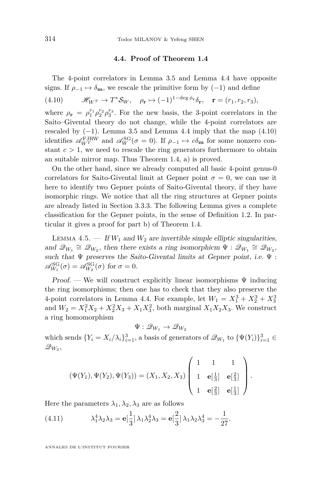#### **4.4. Proof of Theorem [1.4](#page-7-1)**

<span id="page-44-0"></span>The 4-point correlators in Lemma [3.5](#page-35-0) and Lemma [4.4](#page-42-0) have opposite signs. If  $\rho_{-1} \mapsto \delta_{\mathbf{m}}$ , we rescale the primitive form by (−1) and define

<span id="page-44-1"></span>(4.10)  $\mathscr{H}_{W}$ <sup>*T*</sup>  $\to$   $T^*$ *Sw*,  $\rho_{\mathbf{r}} \mapsto (-1)^{1-\deg \phi_{\mathbf{r}}} \delta_{\mathbf{r}}, \quad \mathbf{r} = (r_1, r_2, r_3)$ ,

where  $\rho_{\bf r} = \rho_1^{r_1} \rho_2^{r_2} \rho_3^{r_3}$ . For the new basis, the 3-point correlators in the Saito–Givental theory do not change, while the 4-point correlators are rescaled by  $(-1)$ . Lemma [3.5](#page-35-0) and Lemma [4.4](#page-42-0) imply that the map  $(4.10)$ identifies  $\mathscr{A}_{W}^{\text{FJRW}}$  and  $\mathscr{A}_{W}^{\text{SG}}(\sigma = 0)$ . If  $\rho_{-1} \mapsto c\delta_{\mathbf{m}}$  for some nonzero constant  $c > 1$ , we need to rescale the ring generators furthermore to obtain an suitable mirror map. Thus Theorem [1.4,](#page-7-1) a) is proved.

On the other hand, since we already computed all basic 4-point genus-0 correlators for Saito-Givental limit at Gepner point  $\sigma = 0$ , we can use it here to identify two Gepner points of Saito-Givental theory, if they have isomorphic rings. We notice that all the ring structures at Gepner points are already listed in Section [3.3.3.](#page-31-0) The following Lemma gives a complete classification for the Gepner points, in the sense of Definition [1.2.](#page-6-1) In particular it gives a proof for part b) of Theorem [1.4.](#page-7-1)

LEMMA 4.5.  $-$  If  $W_1$  and  $W_2$  are invertible simple elliptic singularities, and  $\mathscr{Q}_{W_1} \cong \mathscr{Q}_{W_2}$ , then there exists a ring isomorphicm  $\Psi : \mathscr{Q}_{W_1} \cong \mathscr{Q}_{W_2}$ , such that  $\Psi$  preserves the Saito-Givental limits at Gepner point, i.e.  $\Psi$ :  $\mathscr{A}_{W_1}^{\text{SG}}(\sigma) = \mathscr{A}_{W_2}^{\text{SG}}(\sigma)$  for  $\sigma = 0$ .

Proof. — We will construct explicitly linear isomorphisms  $\Psi$  inducing the ring isomorphisms; then one has to check that they also preserve the 4-point correlators in Lemma [4.4.](#page-42-0) For example, let  $W_1 = X_1^3 + X_2^3 + X_3^3$ and  $W_2 = X_1^2 X_2 + X_2^2 X_3 + X_1 X_3^2$ , both marginal  $X_1 X_2 X_3$ . We construct a ring homomorphism

$$
\Psi: \mathscr{Q}_{W_1} \to \mathscr{Q}_{W_2}
$$

which sends  ${Y_i = X_i/\lambda_i}_{i=1}^3$ , a basis of generators of  $\mathcal{Q}_{W_1}$  to  ${\Psi(Y_i)}_{i=1}^3$  $\mathscr{Q}_{W_2},$ 

$$
(\Psi(Y_1), \Psi(Y_2), \Psi(Y_3)) = (X_1, X_2, X_3) \begin{pmatrix} 1 & 1 & 1 \\ 1 & \mathbf{e}[\frac{1}{3}] & \mathbf{e}[\frac{2}{3}] \\ 1 & \mathbf{e}[\frac{2}{3}] & \mathbf{e}[\frac{1}{3}] \end{pmatrix}.
$$

Here the parameters  $\lambda_1, \lambda_2, \lambda_3$  are as follows

<span id="page-44-2"></span>(4.11) 
$$
\lambda_1^4 \lambda_2 \lambda_3 = \mathbf{e}[\frac{1}{3}] \lambda_1 \lambda_2^4 \lambda_3 = \mathbf{e}[\frac{2}{3}] \lambda_1 \lambda_2 \lambda_3^4 = -\frac{1}{27}.
$$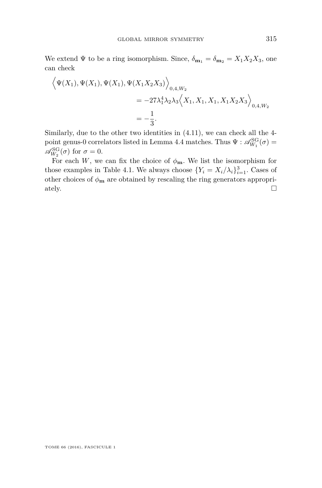We extend  $\Psi$  to be a ring isomorphism. Since,  $\delta_{\mathbf{m}_1} = \delta_{\mathbf{m}_2} = X_1 X_2 X_3$ , one can check

$$
\langle \Psi(X_1), \Psi(X_1), \Psi(X_1), \Psi(X_1 X_2 X_3) \rangle_{0,4,W_2}
$$
  
= -27 $\lambda_1^4 \lambda_2 \lambda_3 \langle X_1, X_1, X_1, X_1 X_2 X_3 \rangle_{0,4,W_2}$   
=  $-\frac{1}{3}$ .

Similarly, due to the other two identities in [\(4.11\)](#page-44-2), we can check all the 4- point genus-0 correlators listed in Lemma [4.4](#page-42-0) matches. Thus  $\Psi : \mathscr{A}_{W_1}^{SG}(\sigma) =$  $\mathscr{A}_{W_2}^{\rm SG}(\sigma)$  for  $\sigma=0$ .

For each *W*, we can fix the choice of  $\phi_{\mathbf{m}}$ . We list the isomorphism for those examples in Table [4.1.](#page-46-0) We always choose  $\{Y_i = X_i/\lambda_i\}_{i=1}^3$ . Cases of other choices of  $\phi_{\mathbf{m}}$  are obtained by rescaling the ring generators appropriately.  $\Box$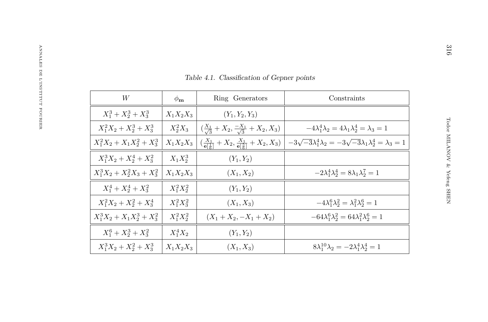| $e$ 4.1                                |
|----------------------------------------|
|                                        |
|                                        |
| $\left(\frac{X_1}{\sqrt{3}}\right)$    |
| $(\frac{X_1}{\mathbf{e}[\frac{1}{6}]}$ |

| Table 4.1. Classification of Gepner points |                |                                                                                            |                                                                                     |  |  |  |  |  |
|--------------------------------------------|----------------|--------------------------------------------------------------------------------------------|-------------------------------------------------------------------------------------|--|--|--|--|--|
| W                                          | $\phi_{\bf m}$ | Ring Generators                                                                            | Constraints                                                                         |  |  |  |  |  |
| $X_1^3 + X_2^3 + X_3^3$                    | $X_1X_2X_3$    | $(Y_1, Y_2, Y_3)$                                                                          |                                                                                     |  |  |  |  |  |
| $X_1^2X_2 + X_2^3 + X_3^3$                 | $X_2^2X_3$     | $\left(\frac{X_1}{\sqrt{3}}+X_2,\frac{-X_1}{\sqrt{3}}+X_2,X_3\right)$                      | $-4\lambda_1^4\lambda_2=4\lambda_1\lambda_2^4=\lambda_3=1$                          |  |  |  |  |  |
| $X_1^2X_2 + X_1X_2^2 + X_3^3$              | $X_1X_2X_3$    | $\left(\frac{X_1}{e^{\frac{1}{2}} } + X_2, \frac{X_1}{e^{\frac{5}{2}} } + X_2, X_3\right)$ | $-3\sqrt{-3}\lambda_1^4\lambda_2 = -3\sqrt{-3}\lambda_1\lambda_2^4 = \lambda_3 = 1$ |  |  |  |  |  |
| $X_1^3X_2 + X_2^4 + X_3^2$                 | $X_1X_2^3$     | $(Y_1, Y_2)$                                                                               |                                                                                     |  |  |  |  |  |
| $X_1^3X_2 + X_2^2X_3 + X_3^2$              | $X_1X_2X_3$    | $(X_1, X_2)$                                                                               | $-2\lambda_1^4\lambda_2^4=8\lambda_1\lambda_2^7=1$                                  |  |  |  |  |  |
| $X_1^4 + X_2^4 + X_3^2$                    | $X_1^2 X_2^2$  | $(Y_1, Y_2)$                                                                               |                                                                                     |  |  |  |  |  |
| $X_1^2X_2 + X_2^2 + X_3^4$                 | $X_1^2 X_3^2$  | $(X_1, X_3)$                                                                               | $-4\lambda_1^6\lambda_2^2=\lambda_1^2\lambda_2^6=1$                                 |  |  |  |  |  |
| $X_1^3X_2 + X_1X_2^3 + X_3^2$              | $X_1^2 X_2^2$  | $(X_1+X_2,-X_1+X_2)$                                                                       | $-64\lambda_1^6\lambda_2^2 = 64\lambda_1^2\lambda_2^6 = 1$                          |  |  |  |  |  |
| $X_1^6 + X_2^3 + X_3^2$                    | $X_1^4X_2$     | $(Y_1, Y_2)$                                                                               |                                                                                     |  |  |  |  |  |
| $X_1^3X_2+X_2^2+X_3^3$                     | $X_1X_2X_3$    | $(X_1, X_3)$                                                                               | $8\lambda_1^{10}\lambda_2 = -2\lambda_1^4\lambda_2^4 = 1$                           |  |  |  |  |  |

<span id="page-46-0"></span>316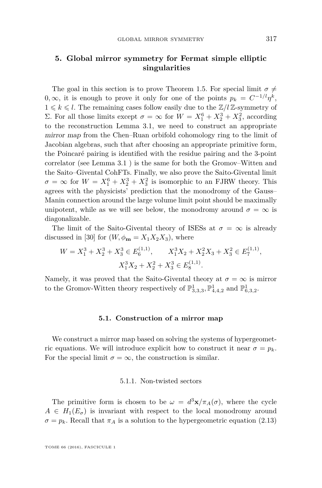## <span id="page-47-0"></span>**5. Global mirror symmetry for Fermat simple elliptic singularities**

The goal in this section is to prove Theorem [1.5.](#page-7-2) For special limit  $\sigma \neq$ 0,  $\infty$ , it is enough to prove it only for one of the points  $p_k = C^{-1/l} \eta^k$ ,  $1 \leq k \leq l$ . The remaining cases follow easily due to the  $\mathbb{Z}/l\mathbb{Z}$ -symmetry of Σ. For all those limits except *σ* = ∞ for *W* =  $X_1^6 + X_2^3 + X_3^2$ , according to the reconstruction Lemma [3.1,](#page-25-0) we need to construct an appropriate mirror map from the Chen–Ruan orbifold cohomology ring to the limit of Jacobian algebras, such that after choosing an appropriate primitive form, the Poincaré pairing is identified with the residue pairing and the 3-point correlator (see Lemma [3.1](#page-25-0) ) is the same for both the Gromov–Witten and the Saito–Givental CohFTs. Finally, we also prove the Saito-Givental limit  $\sigma = \infty$  for  $W = X_1^6 + X_2^3 + X_3^2$  is isomorphic to an FJRW theory. This agrees with the physicists' prediction that the monodromy of the Gauss– Manin connection around the large volume limit point should be maximally unipotent, while as we will see below, the monodromy around  $\sigma = \infty$  is diagonalizable.

The limit of the Saito-Givental theory of ISESs at  $\sigma = \infty$  is already discussed in [\[30\]](#page-60-0) for  $(W, \phi_{\mathbf{m}} = X_1 X_2 X_3)$ , where

$$
W = X_1^3 + X_2^3 + X_3^3 \in E_6^{(1,1)}, \qquad X_1^3 X_2 + X_2^2 X_3 + X_3^2 \in E_7^{(1,1)},
$$
  

$$
X_1^3 X_2 + X_2^2 + X_3^3 \in E_8^{(1,1)}.
$$

Namely, it was proved that the Saito-Givental theory at  $\sigma = \infty$  is mirror to the Gromov-Witten theory respectively of  $\mathbb{P}^1_{3,3,3}$ ,  $\mathbb{P}^1_{4,4,2}$  and  $\mathbb{P}^1_{6,3,2}$ .

#### **5.1. Construction of a mirror map**

We construct a mirror map based on solving the systems of hypergeometric equations. We will introduce explicit how to construct it near  $\sigma = p_k$ . For the special limit  $\sigma = \infty$ , the construction is similar.

#### 5.1.1. Non-twisted sectors

The primitive form is chosen to be  $\omega = d^3\mathbf{x}/\pi_A(\sigma)$ , where the cycle  $A \in H_1(E_{\sigma})$  is invariant with respect to the local monodromy around  $\sigma = p_k$ . Recall that  $\pi_A$  is a solution to the hypergeometric equation [\(2.13\)](#page-13-2)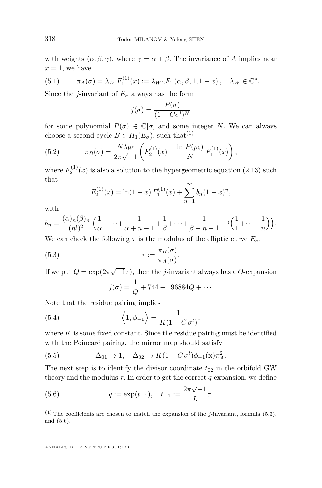with weights  $(\alpha, \beta, \gamma)$ , where  $\gamma = \alpha + \beta$ . The invariance of *A* implies near  $x = 1$ , we have

<span id="page-48-2"></span>(5.1) 
$$
\pi_A(\sigma) = \lambda_W F_1^{(1)}(x) := \lambda_W{}_2F_1(\alpha, \beta, 1, 1-x), \quad \lambda_W \in \mathbb{C}^*.
$$

Since the *j*-invariant of  $E_{\sigma}$  always has the form

$$
j(\sigma) = \frac{P(\sigma)}{(1 - C\sigma^l)^N}
$$

for some polynomial  $P(\sigma) \in \mathbb{C}[\sigma]$  and some integer *N*. We can always choose a second cycle  $B \in H_1(E_{\sigma})$ , such that<sup>(1)</sup>

(5.2) 
$$
\pi_B(\sigma) = \frac{N\lambda_W}{2\pi\sqrt{-1}} \left( F_2^{(1)}(x) - \frac{\ln P(p_k)}{N} F_1^{(1)}(x) \right),
$$

where  $F_2^{(1)}(x)$  is also a solution to the hypergeometric equation [\(2.13\)](#page-13-2) such that

<span id="page-48-3"></span>
$$
F_2^{(1)}(x) = \ln(1-x) F_1^{(1)}(x) + \sum_{n=1}^{\infty} b_n (1-x)^n,
$$

with

$$
b_n = \frac{(\alpha)_n(\beta)_n}{(n!)^2} \left( \frac{1}{\alpha} + \dots + \frac{1}{\alpha + n - 1} + \frac{1}{\beta} + \dots + \frac{1}{\beta + n - 1} - 2\left(\frac{1}{1} + \dots + \frac{1}{n}\right) \right).
$$

We can check the following  $\tau$  is the modulus of the elliptic curve  $E_{\sigma}$ .

(5.3) 
$$
\tau := \frac{\pi_B(\sigma)}{\pi_A(\sigma)}.
$$

If we put  $Q = \exp(2\pi\sqrt{-1}\tau)$ , then the *j*-invariant always has a *Q*-expansion

<span id="page-48-4"></span><span id="page-48-0"></span>
$$
j(\sigma) = \frac{1}{Q} + 744 + 196884Q + \cdots
$$

Note that the residue pairing implies

(5.4) 
$$
\left\langle 1, \phi_{-1} \right\rangle = \frac{1}{K(1 - C \sigma^l)},
$$

where  $K$  is some fixed constant. Since the residue pairing must be identified with the Poincaré pairing, the mirror map should satisfy

<span id="page-48-5"></span>(5.5) 
$$
\Delta_{01} \mapsto 1, \quad \Delta_{02} \mapsto K(1 - C \sigma^l) \phi_{-1}(\mathbf{x}) \pi_A^2.
$$

The next step is to identify the divisor coordinate  $t_{02}$  in the orbifold GW theory and the modulus  $\tau$ . In order to get the correct *q*-expansion, we define

<span id="page-48-1"></span>(5.6) 
$$
q := \exp(t_{-1}), \quad t_{-1} := \frac{2\pi\sqrt{-1}}{L}\tau,
$$

<sup>&</sup>lt;sup>(1)</sup>The coefficients are chosen to match the expansion of the *j*-invariant, formula [\(5.3\)](#page-48-0), and [\(5.6\)](#page-48-1).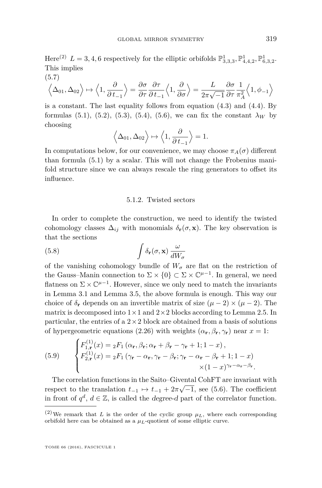Here<sup>(2)</sup>  $L = 3, 4, 6$  respectively for the elliptic orbifolds  $\mathbb{P}^1_{3,3,3}, \mathbb{P}^1_{4,4,2}, \mathbb{P}^1_{6,3,2}$ . This implies  $(5.7)$ 

$$
\left\langle \Delta_{01}, \Delta_{02} \right\rangle \mapsto \left\langle 1, \frac{\partial}{\partial t_{-1}} \right\rangle = \frac{\partial \sigma}{\partial \tau} \frac{\partial \tau}{\partial t_{-1}} \left\langle 1, \frac{\partial}{\partial \sigma} \right\rangle = \frac{L}{2\pi\sqrt{-1}} \frac{\partial \sigma}{\partial \tau} \frac{1}{\pi_A^2} \left\langle 1, \phi_{-1} \right\rangle
$$

is a constant. The last equality follows from equation [\(4.3\)](#page-39-1) and [\(4.4\)](#page-39-0). By formulas [\(5.1\)](#page-48-2), [\(5.2\)](#page-48-3), [\(5.3\)](#page-48-0), [\(5.4\)](#page-48-4), [\(5.6\)](#page-48-1), we can fix the constant  $\lambda_W$  by choosing

$$
\langle \Delta_{01}, \Delta_{02} \rangle \mapsto \langle 1, \frac{\partial}{\partial t_{-1}} \rangle = 1.
$$

In computations below, for our convenience, we may choose  $\pi_A(\sigma)$  different than formula [\(5.1\)](#page-48-2) by a scalar. This will not change the Frobenius manifold structure since we can always rescale the ring generators to offset its influence.

#### <span id="page-49-0"></span>5.1.2. Twisted sectors

In order to complete the construction, we need to identify the twisted cohomology classes  $\Delta_{ij}$  with monomials  $\delta_{\mathbf{r}}(\sigma, \mathbf{x})$ . The key observation is that the sections

(5.8) 
$$
\int \delta_{\mathbf{r}}(\sigma, \mathbf{x}) \frac{\omega}{dW_{\sigma}}
$$

of the vanishing cohomology bundle of  $W_{\sigma}$  are flat on the restriction of the Gauss–Manin connection to  $\Sigma \times \{0\} \subset \Sigma \times \mathbb{C}^{\mu-1}$ . In general, we need flatness on  $\Sigma \times \mathbb{C}^{\mu-1}$ . However, since we only need to match the invariants in Lemma [3.1](#page-25-0) and Lemma [3.5,](#page-35-0) the above formula is enough. This way our choice of  $\delta_{\bf r}$  depends on an invertible matrix of size  $(\mu - 2) \times (\mu - 2)$ . The matrix is decomposed into  $1 \times 1$  and  $2 \times 2$  blocks according to Lemma [2.5.](#page-18-3) In particular, the entries of a  $2 \times 2$  block are obtained from a basis of solutions of hypergeometric equations [\(2.26\)](#page-18-0) with weights  $(\alpha_{\bf r}, \beta_{\bf r}, \gamma_{\bf r})$  near  $x = 1$ :

(5.9) 
$$
\begin{cases}\nF_{1,\mathbf{r}}^{(1)}(x) = {}_{2}F_{1}(\alpha_{\mathbf{r}}, \beta_{\mathbf{r}}; \alpha_{\mathbf{r}} + \beta_{\mathbf{r}} - \gamma_{\mathbf{r}} + 1; 1 - x), \\
F_{2,\mathbf{r}}^{(1)}(x) = {}_{2}F_{1}(\gamma_{\mathbf{r}} - \alpha_{\mathbf{r}}, \gamma_{\mathbf{r}} - \beta_{\mathbf{r}}; \gamma_{\mathbf{r}} - \alpha_{\mathbf{r}} - \beta_{\mathbf{r}} + 1; 1 - x) \\
\times (1 - x)^{\gamma_{\mathbf{r}} - \alpha_{\mathbf{r}} - \beta_{\mathbf{r}}}.\n\end{cases}
$$

The correlation functions in the Saito–Givental CohFT are invariant with respect to the translation  $t_{-1} \mapsto t_{-1} + 2\pi\sqrt{-1}$ , see [\(5.6\)](#page-48-1). The coefficient in front of  $q^d$ ,  $d \in \mathbb{Z}$ , is called the *degree-d* part of the correlator function.

<sup>&</sup>lt;sup>(2)</sup>We remark that *L* is the order of the cyclic group  $\mu_L$ , where each corresponding orbifold here can be obtained as a  $\mu_L$ -quotient of some elliptic curve.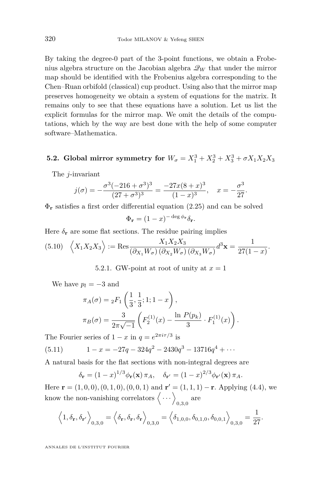By taking the degree-0 part of the 3-point functions, we obtain a Frobenius algebra structure on the Jacobian algebra  $\mathcal{Q}_W$  that under the mirror map should be identified with the Frobenius algebra corresponding to the Chen–Ruan orbifold (classical) cup product. Using also that the mirror map preserves homogeneity we obtain a system of equations for the matrix. It remains only to see that these equations have a solution. Let us list the explicit formulas for the mirror map. We omit the details of the computations, which by the way are best done with the help of some computer software–Mathematica.

# **5.2.** Global mirror symmetry for  $W_{\sigma} = X_1^3 + X_2^3 + X_3^3 + \sigma X_1 X_2 X_3$

The *j*-invariant

$$
j(\sigma) = -\frac{\sigma^3(-216 + \sigma^3)^3}{(27 + \sigma^3)^3} = \frac{-27x(8+x)^3}{(1-x)^3}, \quad x = -\frac{\sigma^3}{27}
$$

*.*

Φ**<sup>r</sup>** satisfies a first order differential equation [\(2.25\)](#page-18-4) and can be solved

$$
\Phi_{\mathbf{r}} = (1 - x)^{-\deg \phi_{\mathbf{r}}} \delta_{\mathbf{r}}.
$$

Here  $\delta_{\bf r}$  are some flat sections. The residue pairing implies

$$
(5.10) \quad \left\langle X_1 X_2 X_3 \right\rangle := \text{Res}_{\left(\partial_{X_1} W_{\sigma}\right) \left(\partial_{X_2} W_{\sigma}\right) \left(\partial_{X_3} W_{\sigma}\right)} d^3 \mathbf{x} = \frac{1}{27(1-x)}.
$$

5.2.1. GW-point at root of unity at  $x = 1$ 

We have  $p_l = -3$  and

$$
\pi_A(\sigma) = {}_2F_1\left(\frac{1}{3}, \frac{1}{3}; 1; 1-x\right),
$$
  

$$
\pi_B(\sigma) = \frac{3}{2\pi\sqrt{-1}} \left(F_2^{(1)}(x) - \frac{\ln P(p_k)}{3} \cdot F_1^{(1)}(x)\right).
$$

The Fourier series of  $1 - x$  in  $q = e^{2\pi i \tau/3}$  is

(5.11) 
$$
1 - x = -27q - 324q^2 - 2430q^3 - 13716q^4 + \cdots
$$

A natural basis for the flat sections with non-integral degrees are

$$
\delta_{\mathbf{r}} = (1-x)^{1/3} \phi_{\mathbf{r}}(\mathbf{x}) \pi_A, \quad \delta_{\mathbf{r}'} = (1-x)^{2/3} \phi_{\mathbf{r}'}(\mathbf{x}) \pi_A.
$$

Here  $\mathbf{r} = (1, 0, 0), (0, 1, 0), (0, 0, 1)$  and  $\mathbf{r}' = (1, 1, 1) - \mathbf{r}$ . Applying [\(4.4\)](#page-39-0), we know the non-vanishing correlators  $\langle \cdots \rangle_{0,3,0}$  are

$$
\left\langle 1, \delta_{\mathbf{r}}, \delta_{\mathbf{r}'} \right\rangle_{0,3,0} = \left\langle \delta_{\mathbf{r}}, \delta_{\mathbf{r}}, \delta_{\mathbf{r}} \right\rangle_{0,3,0} = \left\langle \delta_{1,0,0}, \delta_{0,1,0}, \delta_{0,0,1} \right\rangle_{0,3,0} = \frac{1}{27}.
$$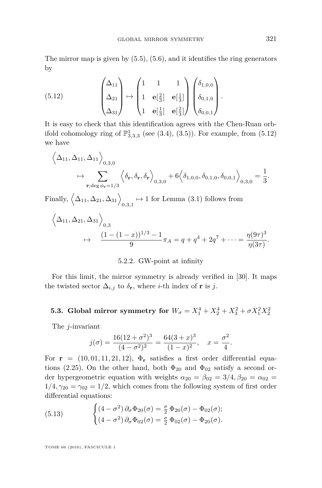The mirror map is given by  $(5.5)$ ,  $(5.6)$ , and it identifies the ring generators by

<span id="page-51-0"></span>(5.12) 
$$
\begin{pmatrix} \Delta_{11} \\ \Delta_{21} \\ \Delta_{31} \end{pmatrix} \mapsto \begin{pmatrix} 1 & 1 & 1 \\ 1 & \mathbf{e}[\frac{2}{3}] & \mathbf{e}[\frac{1}{3}] \\ 1 & \mathbf{e}[\frac{1}{3}] & \mathbf{e}[\frac{2}{3}] \end{pmatrix} \begin{pmatrix} \delta_{1,0,0} \\ \delta_{0,1,0} \\ \delta_{0,0,1} \end{pmatrix}
$$

It is easy to check that this identification agrees with the Chen-Ruan orbifold cohomology ring of  $\mathbb{P}^1_{3,3,3}$  (see [\(3.4\)](#page-25-1), [\(3.5\)](#page-25-2)). For example, from [\(5.12\)](#page-51-0) we have

$$
\left\langle \Delta_{11}, \Delta_{11}, \Delta_{11} \right\rangle_{0,3,0} \leftrightarrow \sum_{\mathbf{r}; \deg \phi_{\mathbf{r}} = 1/3} \left\langle \delta_{\mathbf{r}}, \delta_{\mathbf{r}}, \delta_{\mathbf{r}} \right\rangle_{0,3,0} + 6 \left\langle \delta_{1,0,0}, \delta_{0,1,0}, \delta_{0,0,1} \right\rangle_{0,3,0} = \frac{1}{3}.
$$

Finally,  $\left\langle \Delta_{11}, \Delta_{21}, \Delta_{31} \right\rangle_{0,3,1} \mapsto 1$  for Lemma [\(3.1\)](#page-25-0) follows from

$$
\left\langle \Delta_{11}, \Delta_{21}, \Delta_{31} \right\rangle_{0,3} \rightarrow \frac{(1 - (1 - x))^{1/3} - 1}{9} \pi_A = q + q^4 + 2q^7 + \dots = \frac{\eta(9\tau)^3}{\eta(3\tau)}.
$$

#### 5.2.2. GW-point at infinity

For this limit, the mirror symmetry is already verified in [\[30\]](#page-60-0). It maps the twisted sector  $\Delta_{i,j}$  to  $\delta_{\mathbf{r}}$ , where *i*-th index of **r** is *j*.

**5.3. Global mirror symmetry for**  $W_{\sigma} = X_1^4 + X_2^4 + X_3^2 + \sigma X_1^2 X_2^2$ 

The *j*-invariant

$$
j(\sigma) = \frac{16(12 + \sigma^2)^3}{(4 - \sigma^2)^2} = \frac{64(3 + x)^3}{(1 - x)^2}, \quad x = \frac{\sigma^2}{4}.
$$

For  $\mathbf{r} = (10, 01, 11, 21, 12)$ ,  $\Phi_{\mathbf{r}}$  satisfies a first order differential equa-tions [\(2.25\)](#page-18-4). On the other hand, both  $\Phi_{20}$  and  $\Phi_{02}$  satisfy a second order hypergeometric equation with weights  $\alpha_{20} = \beta_{02} = 3/4, \beta_{20} = \alpha_{02} =$  $1/4, \gamma_{20} = \gamma_{02} = 1/2$ , which comes from the following system of first order differential equations:

<span id="page-51-1"></span>(5.13) 
$$
\begin{cases} (4-\sigma^2)\,\partial_{\sigma}\Phi_{20}(\sigma) = \frac{\sigma}{2}\,\Phi_{20}(\sigma) - \Phi_{02}(\sigma); \\ (4-\sigma^2)\,\partial_{\sigma}\Phi_{02}(\sigma) = \frac{\sigma}{2}\,\Phi_{02}(\sigma) - \Phi_{20}(\sigma). \end{cases}
$$

TOME 66 (2016), FASCICULE 1

*.*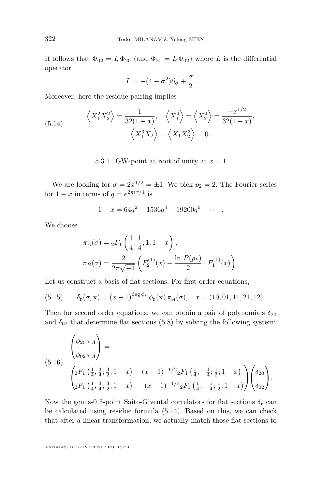It follows that  $\Phi_{02} = L \Phi_{20}$  (and  $\Phi_{20} = L \Phi_{02}$ ) where *L* is the differential operator

$$
L = -(4 - \sigma^2)\partial_{\sigma} + \frac{\sigma}{2}.
$$

Moreover, here the residue pairing implies

<span id="page-52-0"></span>(5.14) 
$$
\left\langle X_1^2 X_2^2 \right\rangle = \frac{1}{32(1-x)}, \quad \left\langle X_1^4 \right\rangle = \left\langle X_2^4 \right\rangle = \frac{-x^{1/2}}{32(1-x)},
$$

$$
\left\langle X_1^3 X_2 \right\rangle = \left\langle X_1 X_2^3 \right\rangle = 0.
$$

5.3.1. GW-point at root of unity at  $x = 1$ 

We are looking for  $\sigma = 2x^{1/2} = \pm 1$ . We pick  $p_2 = 2$ . The Fourier series for  $1 - x$  in terms of  $q = e^{2\pi i \tau/4}$  is

$$
1 - x = 64q^2 - 1536q^4 + 19200q^6 + \cdots
$$

We choose

$$
\pi_A(\sigma) = {}_2F_1\left(\frac{1}{4}, \frac{1}{4}; 1; 1-x\right),
$$
  

$$
\pi_B(\sigma) = \frac{2}{2\pi\sqrt{-1}} \left(F_2^{(1)}(x) - \frac{\ln P(p_k)}{2} \cdot F_1^{(1)}(x)\right).
$$

Let us construct a basis of flat sections. For first order equations,

(5.15) 
$$
\delta_{\mathbf{r}}(\sigma, \mathbf{x}) = (x-1)^{\deg \phi_{\mathbf{r}}}\phi_{\mathbf{r}}(\mathbf{x})\pi_A(\sigma), \quad \mathbf{r} = (10, 01, 11, 21, 12)
$$

Then for second order equations, we can obtain a pair of polynomials  $\delta_{20}$ and  $\delta_{02}$  that determine flat sections [\(5.8\)](#page-49-0) by solving the following system:

$$
\begin{pmatrix}\n\phi_{20} \pi_A \\
\phi_{02} \pi_A\n\end{pmatrix} = \n\begin{pmatrix}\n\phi_{20} \pi_A \\
\phi_{02} \pi_A\n\end{pmatrix} = \n\begin{pmatrix}\n2F_1 \left(\frac{1}{4}, \frac{3}{4}; \frac{3}{2}; 1-x\right) & (x-1)^{-1/2} {}_2F_1 \left(\frac{1}{4}, -\frac{1}{4}; \frac{1}{2}; 1-x\right) \\
2F_1 \left(\frac{1}{4}, \frac{3}{4}; \frac{3}{2}; 1-x\right) & -(x-1)^{-1/2} {}_2F_1 \left(\frac{1}{4}, -\frac{1}{4}; \frac{1}{2}; 1-x\right)\n\end{pmatrix} \begin{pmatrix}\n\delta_{20} \\
\delta_{02}\n\end{pmatrix}.
$$

Now the genus-0 3-point Saito-Givental correlators for flat sections  $\delta_{\mathbf{r}}$  can be calculated using residue formula [\(5.14\)](#page-52-0). Based on this, we can check that after a linear transformation, we actually match those flat sections to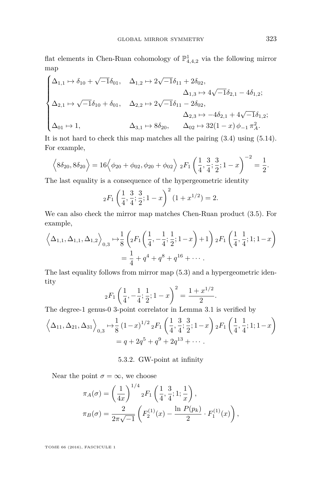flat elements in Chen-Ruan cohomology of  $\mathbb{P}^1_{4,4,2}$  via the following mirror map

$$
\begin{cases} \Delta_{1,1} \mapsto \delta_{10} + \sqrt{-1}\delta_{01}, \quad \Delta_{1,2} \mapsto 2\sqrt{-1}\delta_{11} + 2\delta_{02}, \\ \Delta_{1,3} \mapsto 4\sqrt{-1}\delta_{2,1} - 4\delta_{1,2}; \\ \Delta_{2,1} \mapsto \sqrt{-1}\delta_{10} + \delta_{01}, \quad \Delta_{2,2} \mapsto 2\sqrt{-1}\delta_{11} - 2\delta_{02}, \\ \Delta_{2,3} \mapsto -4\delta_{2,1} + 4\sqrt{-1}\delta_{1,2}; \\ \Delta_{01} \mapsto 1, \qquad \qquad \Delta_{3,1} \mapsto 8\delta_{20}, \qquad \Delta_{02} \mapsto 32(1-x)\,\phi_{-1}\,\pi_A^2. \end{cases}
$$

It is not hard to check this map matches all the pairing [\(3.4\)](#page-25-1) using [\(5.14\)](#page-52-0). For example,

$$
\left\langle 8\delta_{20}, 8\delta_{20} \right\rangle = 16 \left\langle \phi_{20} + \phi_{02}, \phi_{20} + \phi_{02} \right\rangle 2F_1 \left( \frac{1}{4}, \frac{3}{4}; \frac{3}{2}; 1-x \right)^{-2} = \frac{1}{2}.
$$

The last equality is a consequence of the hypergeometric identity

$$
{}_2F_1\left(\frac{1}{4}, \frac{3}{4}; \frac{3}{2}; 1-x\right)^2(1+x^{1/2}) = 2.
$$

We can also check the mirror map matches Chen-Ruan product [\(3.5\)](#page-25-2). For example,

$$
\left\langle \Delta_{1,1}, \Delta_{1,1}, \Delta_{1,2} \right\rangle_{0,3} \mapsto \frac{1}{8} \left( {}_{2}F_{1} \left( \frac{1}{4}, -\frac{1}{4}; \frac{1}{2}; 1-x \right) + 1 \right) {}_{2}F_{1} \left( \frac{1}{4}, \frac{1}{4}; 1; 1-x \right)
$$

$$
= \frac{1}{4} + q^{4} + q^{8} + q^{16} + \cdots
$$

The last equality follows from mirror map [\(5.3\)](#page-48-0) and a hypergeometric identity

$$
{}_2F_1\left(\frac{1}{4}, -\frac{1}{4}; \frac{1}{2}; 1-x\right)^2 = \frac{1+x^{1/2}}{2}.
$$

The degree-1 genus-0 3-point correlator in Lemma [3.1](#page-25-0) is verified by

$$
\left\langle \Delta_{11}, \Delta_{21}, \Delta_{31} \right\rangle_{0,3} \mapsto \frac{1}{8} (1-x)^{1/2} {}_{2}F_{1} \left( \frac{1}{4}, \frac{3}{4}; \frac{3}{2}; 1-x \right) {}_{2}F_{1} \left( \frac{1}{4}, \frac{1}{4}; 1; 1-x \right)
$$
  
=  $q + 2q^{5} + q^{9} + 2q^{13} + \cdots$ .

#### 5.3.2. GW-point at infinity

Near the point  $\sigma = \infty$ , we choose

$$
\pi_A(\sigma) = \left(\frac{1}{4x}\right)^{1/4} {}_2F_1\left(\frac{1}{4}, \frac{3}{4}; 1; \frac{1}{x}\right),
$$
  

$$
\pi_B(\sigma) = \frac{2}{2\pi\sqrt{-1}} \left(F_2^{(1)}(x) - \frac{\ln P(p_k)}{2} \cdot F_1^{(1)}(x)\right),
$$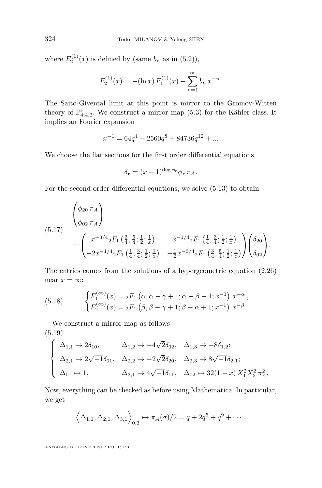where  $F_2^{(1)}(x)$  is defined by (same  $b_n$  as in [\(5.2\)](#page-48-3)),

$$
F_2^{(1)}(x) = -(\ln x) F_1^{(1)}(x) + \sum_{n=1}^{\infty} b_n x^{-n}.
$$

The Saito-Givental limit at this point is mirror to the Gromov-Witten theory of  $\mathbb{P}^1_{4,4,2}$ . We construct a mirror map [\(5.3\)](#page-48-0) for the Kähler class. It implies an Fourier expansion

$$
x^{-1} = 64q^4 - 2560q^8 + 84736q^{12} + \dots
$$

We choose the flat sections for the first order differential equations

$$
\delta_{\mathbf{r}} = (x-1)^{\deg \phi_{\mathbf{r}}} \phi_{\mathbf{r}} \pi_A.
$$

For the second order differential equations, we solve [\(5.13\)](#page-51-1) to obtain

$$
(5.17)
$$
\n
$$
\begin{pmatrix}\n\phi_{20} \pi_A \\
\phi_{02} \pi_A\n\end{pmatrix}
$$
\n
$$
= \begin{pmatrix}\nx^{-3/4} {}_{2}F_{1} \left(\frac{3}{4}, \frac{5}{4}; \frac{1}{2}; \frac{1}{x}\right) & x^{-1/4} {}_{2}F_{1} \left(\frac{1}{4}, \frac{3}{4}; \frac{1}{2}; \frac{1}{x}\right) \\
-2x^{-1/4} {}_{2}F_{1} \left(\frac{1}{4}, \frac{3}{4}; \frac{1}{2}; \frac{1}{x}\right) & -\frac{1}{2}x^{-3/4} {}_{2}F_{1} \left(\frac{3}{4}, \frac{5}{4}; \frac{1}{2}; \frac{1}{x}\right)\n\end{pmatrix}\n\begin{pmatrix}\n\delta_{20} \\
\delta_{02}\n\end{pmatrix}.
$$

The entries comes from the solutions of a hypergeometric equation [\(2.26\)](#page-18-0) near  $x = \infty$ :

<span id="page-54-0"></span>(5.18) 
$$
\begin{cases} F_1^{(\infty)}(x) = {}_2F_1(\alpha, \alpha - \gamma + 1; \alpha - \beta + 1; x^{-1}) \ x^{-\alpha}, \\ F_2^{(\infty)}(x) = {}_2F_1(\beta, \beta - \gamma + 1; \beta - \alpha + 1; x^{-1}) \ x^{-\beta}. \end{cases}
$$

We construct a mirror map as follows (5.19)

$$
\label{eq:2.10} \left\{ \begin{array}{ll} \Delta_{1,1} \mapsto 2\delta_{10}, \qquad \Delta_{1,2} \mapsto -4\sqrt{2}\delta_{02}, \quad \Delta_{1,3} \mapsto -8\delta_{1,2}; \\ \Delta_{2,1} \mapsto 2\sqrt{-1}\delta_{01}, \quad \Delta_{2,2} \mapsto -2\sqrt{2}\delta_{20}, \quad \Delta_{2,3} \mapsto 8\sqrt{-1}\delta_{2,1}; \\ \Delta_{01} \mapsto 1, \qquad \qquad \Delta_{3,1} \mapsto 4\sqrt{-1}\delta_{11}, \quad \Delta_{02} \mapsto 32(1-x)\,X_1^2X_2^2\,\pi_A^2. \end{array} \right.
$$

Now, everything can be checked as before using Mathematica. In particular, we get

$$
\langle \Delta_{1,1}, \Delta_{2,1}, \Delta_{3,1} \rangle_{0,3} \mapsto \pi_A(\sigma)/2 = q + 2q^5 + q^9 + \cdots
$$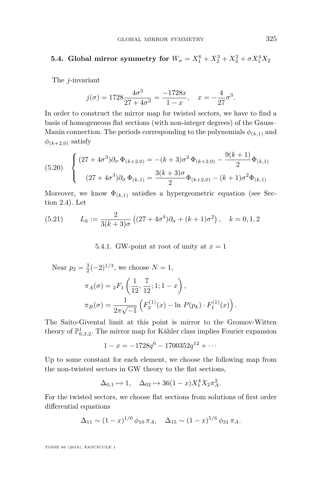# **5.4. Global mirror symmetry for**  $W_{\sigma} = X_1^6 + X_2^3 + X_3^2 + \sigma X_1^4 X_2$

The *j*-invariant

$$
j(\sigma) = 1728 \frac{4\sigma^3}{27 + 4\sigma^3} = \frac{-1728x}{1 - x}, \quad x = -\frac{4}{27}\sigma^3.
$$

In order to construct the mirror map for twisted sectors, we have to find a basis of homogeneous flat sections (with non-integer degrees) of the Gauss– Manin connection. The periods corresponding to the polynomials  $\phi_{(k,1)}$  and  $\phi_{(k+2,0)}$  satisfy

<span id="page-55-0"></span>
$$
(5.20) \quad \begin{cases} (27 + 4\sigma^3)\partial_\sigma \, \Phi_{(k+2,0)} = -(k+3)\sigma^2 \, \Phi_{(k+2,0)} - \frac{9(k+1)}{2} \Phi_{(k,1)} \\ (27 + 4\sigma^3)\partial_\sigma \, \Phi_{(k,1)} = \frac{3(k+3)\sigma}{2} \Phi_{(k+2,0)} - (k+1)\sigma^2 \Phi_{(k,1)} \end{cases}
$$

Moreover, we know  $\Phi_{(k,1)}$  satisfies a hypergeometric equation (see Section [2.4\)](#page-14-2). Let

<span id="page-55-1"></span>(5.21) 
$$
L_k := \frac{2}{3(k+3)\sigma} \left( (27 + 4\sigma^4) \partial_{\sigma} + (k+1)\sigma^2 \right), \quad k = 0, 1, 2
$$

5.4.1. GW-point at root of unity at  $x = 1$ 

Near  $p_2 = \frac{3}{2}(-2)^{1/3}$ , we choose  $N = 1$ ,

$$
\pi_A(\sigma) = {}_2F_1\left(\frac{1}{12}, \frac{7}{12}; 1; 1-x\right),
$$
  

$$
\pi_B(\sigma) = \frac{1}{2\pi\sqrt{-1}} \left(F_2^{(1)}(x) - \ln P(p_k) \cdot F_1^{(1)}(x)\right).
$$

The Saito-Givental limit at this point is mirror to the Gromov-Witten theory of  $\mathbb{P}^1_{6,3,2}$ . The mirror map for Kähler class implies Fourier expansion

$$
1 - x = -1728q^{6} - 1700352q^{12} + \cdots
$$

Up to some constant for each element, we choose the following map from the non-twisted sectors in GW theory to the flat sections,

$$
\Delta_{0,1} \mapsto 1, \quad \Delta_{02} \mapsto 36(1-x)X_1^4 X_2 \pi_A^2.
$$

For the twisted sectors, we choose flat sections from solutions of first order differential equations

$$
\Delta_{11} \sim (1-x)^{1/6} \phi_{10} \pi_A, \quad \Delta_{15} \sim (1-x)^{5/6} \phi_{31} \pi_A.
$$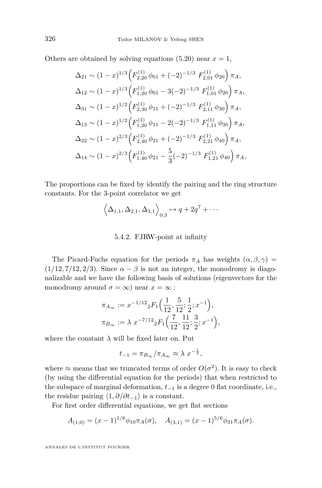Others are obtained by solving equations [\(5.20\)](#page-55-0) near  $x = 1$ ,

$$
\Delta_{21} \sim (1-x)^{1/3} \left( F_{2,20}^{(1)} \phi_{01} + (-2)^{-1/3} F_{2,01}^{(1)} \phi_{20} \right) \pi_A,
$$
  
\n
$$
\Delta_{12} \sim (1-x)^{1/3} \left( F_{1,20}^{(1)} \phi_{01} - 3(-2)^{-1/3} F_{1,01}^{(1)} \phi_{20} \right) \pi_A,
$$
  
\n
$$
\Delta_{31} \sim (1-x)^{1/2} \left( F_{2,30}^{(1)} \phi_{11} + (-2)^{-1/3} F_{2,11}^{(1)} \phi_{30} \right) \pi_A,
$$
  
\n
$$
\Delta_{13} \sim (1-x)^{1/2} \left( F_{1,20}^{(1)} \phi_{11} - 2(-2)^{-1/3} F_{1,11}^{(1)} \phi_{30} \right) \pi_A,
$$
  
\n
$$
\Delta_{22} \sim (1-x)^{2/3} \left( F_{2,40}^{(1)} \phi_{21} + (-2)^{-1/3} F_{2,21}^{(1)} \phi_{40} \right) \pi_A,
$$
  
\n
$$
\Delta_{14} \sim (1-x)^{2/3} \left( F_{1,40}^{(1)} \phi_{21} - \frac{5}{3} (-2)^{-1/3} F_{1,21}^{(1)} \phi_{40} \right) \pi_A,
$$

The proportions can be fixed by identify the pairing and the ring structure constants. For the 3-point correlator we get

$$
\left\langle \Delta_{1,1}, \Delta_{2,1}, \Delta_{3,1} \right\rangle_{0,3} \mapsto q + 2q^7 + \cdots
$$

#### 5.4.2. FJRW-point at infinity

The Picard-Fuchs equation for the periods  $\pi_A$  has weights  $(\alpha, \beta, \gamma)$  $(1/12, 7/12, 2/3)$ . Since  $\alpha - \beta$  is not an integer, the monodromy is diagonalizable and we have the following basis of solutions (eigenvectors for the monodromy around  $\sigma = \infty$ ) near  $x = \infty$ :

$$
\pi_{A_{\infty}} := x^{-1/12} {}_{2}F_{1}\left(\frac{1}{12}, \frac{5}{12}; \frac{1}{2}; x^{-1}\right),
$$
  

$$
\pi_{B_{\infty}} := \lambda \ x^{-7/12} {}_{2}F_{1}\left(\frac{7}{12}, \frac{11}{12}; \frac{3}{2}; x^{-1}\right),
$$

where the constant  $\lambda$  will be fixed later on. Put

$$
t_{-1} = \pi_{B_{\infty}}/\pi_{A_{\infty}} \approx \lambda x^{-\frac{1}{2}},
$$

where  $\approx$  means that we truncated terms of order  $O(\sigma^2)$ . It is easy to check (by using the differential equation for the periods) that when restricted to the subspace of marginal deformation, *t*<sup>−</sup><sup>1</sup> is a degree 0 flat coordinate, i.e., the residue pairing  $\langle 1, \partial/\partial t_{-1}\rangle$  is a constant.

For first order differential equations, we get flat sections

$$
A_{(1,0)} = (x-1)^{1/6} \phi_{10} \pi_A(\sigma), \quad A_{(3,1)} = (x-1)^{5/6} \phi_{31} \pi_A(\sigma).
$$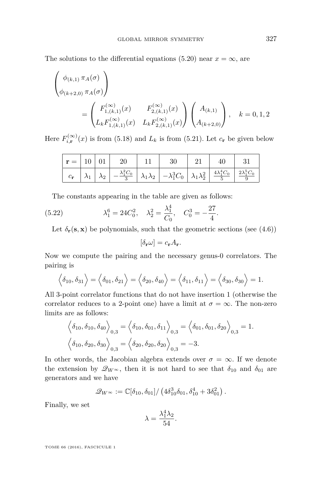The solutions to the differential equations [\(5.20\)](#page-55-0) near  $x = \infty$ , are

$$
\begin{pmatrix}\n\phi_{(k,1)} \pi_A(\sigma) \\
\phi_{(k+2,0)} \pi_A(\sigma)\n\end{pmatrix}\n= \begin{pmatrix}\nF_{1,(k,1)}^{(\infty)}(x) & F_{2,(k,1)}^{(\infty)}(x) \\
L_k F_{1,(k,1)}^{(\infty)}(x) & L_k F_{2,(k,1)}^{(\infty)}(x)\n\end{pmatrix}\n\begin{pmatrix}\nA_{(k,1)} \\
A_{(k+2,0)}\n\end{pmatrix}, \quad k = 0, 1, 2
$$

Here  $F_{i,\mathbf{r}}^{(\infty)}(x)$  is from [\(5.18\)](#page-54-0) and  $L_k$  is from [\(5.21\)](#page-55-1). Let  $c_{\mathbf{r}}$  be given below

| $\vert \mathbf{r} = \vert 10 \vert 01 \vert$ |  | - 20 |                                                                                                                                                                                                   | 40 |  |
|----------------------------------------------|--|------|---------------------------------------------------------------------------------------------------------------------------------------------------------------------------------------------------|----|--|
|                                              |  |      | $c_{\bf r}$ $\lambda_1$ $\lambda_2$ $\frac{\lambda_1^2 C_0}{3}$ $\lambda_1 \lambda_2$ $\frac{\lambda_1^3 C_0}{\lambda_1 \lambda_2^2}$ $\frac{4 \lambda_1^4 C_0}{5}$ $\frac{2 \lambda_1^5 C_0}{9}$ |    |  |

The constants appearing in the table are given as follows:

(5.22) 
$$
\lambda_1^6 = 24C_0^2, \quad \lambda_2^2 = \frac{\lambda_1^4}{C_0}, \quad C_0^3 = -\frac{27}{4}.
$$

Let  $\delta_{\mathbf{r}}(\mathbf{s}, \mathbf{x})$  be polynomials, such that the geometric sections (see [\(4.6\)](#page-40-3))

$$
[\delta_{\mathbf{r}}\omega] = c_{\mathbf{r}}A_{\mathbf{r}}.
$$

Now we compute the pairing and the necessary genus-0 correlators. The pairing is

$$
\langle \delta_{10}, \delta_{31} \rangle = \langle \delta_{01}, \delta_{21} \rangle = \langle \delta_{20}, \delta_{40} \rangle = \langle \delta_{11}, \delta_{11} \rangle = \langle \delta_{30}, \delta_{30} \rangle = 1.
$$

All 3-point correlator functions that do not have insertion 1 (otherwise the correlator reduces to a 2-point one) have a limit at  $\sigma = \infty$ . The non-zero limits are as follows:

$$
\left\langle \delta_{10}, \delta_{10}, \delta_{40} \right\rangle_{0,3} = \left\langle \delta_{10}, \delta_{01}, \delta_{11} \right\rangle_{0,3} = \left\langle \delta_{01}, \delta_{01}, \delta_{20} \right\rangle_{0,3} = 1.
$$
  

$$
\left\langle \delta_{10}, \delta_{20}, \delta_{30} \right\rangle_{0,3} = \left\langle \delta_{20}, \delta_{20}, \delta_{20} \right\rangle_{0,3} = -3.
$$

In other words, the Jacobian algebra extends over  $\sigma = \infty$ . If we denote the extension by  $\mathscr{Q}_{W^{\infty}}$ , then it is not hard to see that  $\delta_{10}$  and  $\delta_{01}$  are generators and we have

$$
\mathscr{Q}_{W^{\infty}} := \mathbb{C}[\delta_{10}, \delta_{01}]/\left(4\delta_{10}^3 \delta_{01}, \delta_{10}^4 + 3\delta_{01}^2\right).
$$

Finally, we set

$$
\lambda = \frac{\lambda_1^4 \lambda_2}{54}.
$$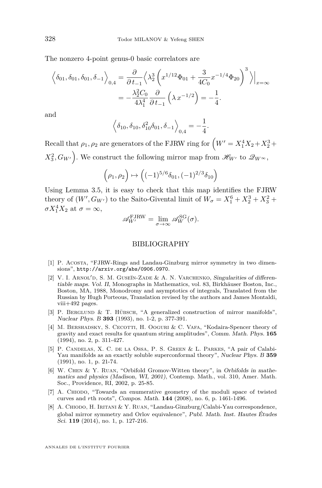The nonzero 4-point genus-0 basic correlators are

$$
\left\langle \delta_{01}, \delta_{01}, \delta_{01}, \delta_{-1} \right\rangle_{0,4} = \frac{\partial}{\partial t_{-1}} \left\langle \lambda_2^3 \left( x^{1/12} \Phi_{01} + \frac{3}{4C_0} x^{-1/4} \Phi_{20} \right)^3 \right\rangle \Big|_{x=\infty}
$$

$$
= -\frac{\lambda_2^2 C_0}{4\lambda_1^4} \frac{\partial}{\partial t_{-1}} \left( \lambda x^{-1/2} \right) = -\frac{1}{4}.
$$

and

$$
\left\langle \delta_{10}, \delta_{10}, \delta_{10}^2 \delta_{01}, \delta_{-1} \right\rangle_{0,4} = -\frac{1}{4}.
$$

Recall that  $\rho_1, \rho_2$  are generators of the FJRW ring for  $\left(W' = X_1^4 X_2 + X_2^3 + \right)$  $X_3^2, G_{W'}$ . We construct the following mirror map from  $\mathscr{H}_{W'}$  to  $\mathscr{Q}_{W^{\infty}},$ 

$$
\left(\rho_1, \rho_2\right) \mapsto \left( (-1)^{5/6} \delta_{01}, (-1)^{2/3} \delta_{10} \right)
$$

Using Lemma [3.5,](#page-35-0) it is easy to check that this map identifies the FJRW theory of  $(W', G_{W'})$  to the Saito-Givental limit of  $W_{\sigma} = X_1^6 + X_2^3 + X_3^2 +$  $\sigma X_1^4 X_2$  at  $\sigma = \infty$ ,

$$
\mathscr{A}_{W'}^{\text{FJRW}} = \lim_{\sigma \to \infty} \mathscr{A}_{W}^{\text{SG}}(\sigma).
$$

#### BIBLIOGRAPHY

- <span id="page-58-7"></span>[1] P. Acosta, "FJRW-Rings and Landau-Ginzburg mirror symmetry in two dimensions", <http://arxiv.org/abs/0906.0970>.
- <span id="page-58-4"></span>[2] V. I. ARNOL'D, S. M. GUSEĬN-ZADE & A. N. VARCHENKO, Singularities of differentiable maps. Vol. II, Monographs in Mathematics, vol. 83, Birkhäuser Boston, Inc., Boston, MA, 1988, Monodromy and asymptotics of integrals, Translated from the Russian by Hugh Porteous, Translation revised by the authors and James Montaldi, viii+492 pages.
- <span id="page-58-2"></span>[3] P. BERGLUND & T. HÜBSCH, "A generalized construction of mirror manifolds", Nuclear Phys. B **393** (1993), no. 1-2, p. 377-391.
- <span id="page-58-1"></span>[4] M. BERSHADSKY, S. CECOTTI, H. OOGURI & C. VAFA, "Kodaira-Spencer theory of gravity and exact results for quantum string amplitudes", Comm. Math. Phys. **165** (1994), no. 2, p. 311-427.
- <span id="page-58-0"></span>[5] P. Candelas, X. C. de la Ossa, P. S. Green & L. Parkes, "A pair of Calabi-Yau manifolds as an exactly soluble superconformal theory", Nuclear Phys. B **359** (1991), no. 1, p. 21-74.
- <span id="page-58-5"></span>[6] W. Chen & Y. Ruan, "Orbifold Gromov-Witten theory", in Orbifolds in mathematics and physics (Madison, WI, 2001), Contemp. Math., vol. 310, Amer. Math. Soc., Providence, RI, 2002, p. 25-85.
- <span id="page-58-6"></span>[7] A. Chiodo, "Towards an enumerative geometry of the moduli space of twisted curves and *r*th roots", Compos. Math. **144** (2008), no. 6, p. 1461-1496.
- <span id="page-58-3"></span>[8] A. CHIODO, H. IRITANI & Y. RUAN, "Landau-Ginzburg/Calabi-Yau correspondence, global mirror symmetry and Orlov equivalence", Publ. Math. Inst. Hautes Études Sci. **119** (2014), no. 1, p. 127-216.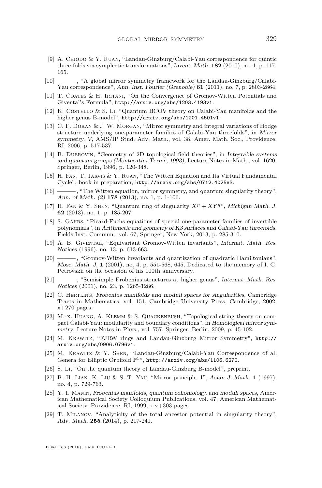- <span id="page-59-7"></span>[9] A. CHIODO & Y. RUAN, "Landau-Ginzburg/Calabi-Yau correspondence for quintic three-folds via symplectic transformations", Invent. Math. **182** (2010), no. 1, p. 117- 165.
- <span id="page-59-5"></span>[10] ——— , "A global mirror symmetry framework for the Landau-Ginzburg/Calabi-Yau correspondence", Ann. Inst. Fourier (Grenoble) **61** (2011), no. 7, p. 2803-2864.
- <span id="page-59-14"></span>[11] T. Coates & H. Iritani, "On the Convergence of Gromov-Witten Potentials and Givental's Formula", <http://arxiv.org/abs/1203.4193v1>.
- <span id="page-59-8"></span>[12] K. COSTELLO & S. LI, "Quantum BCOV theory on Calabi-Yau manifolds and the higher genus B-model", <http://arxiv.org/abs/1201.4501v1>.
- <span id="page-59-15"></span>[13] C. F. Doran & J. W. Morgan, "Mirror symmetry and integral variations of Hodge structure underlying one-parameter families of Calabi-Yau threefolds", in Mirror symmetry. V, AMS/IP Stud. Adv. Math., vol. 38, Amer. Math. Soc., Providence, RI, 2006, p. 517-537.
- <span id="page-59-16"></span>[14] B. Dubrovin, "Geometry of 2D topological field theories", in Integrable systems and quantum groups (Montecatini Terme, 1993), Lecture Notes in Math., vol. 1620, Springer, Berlin, 1996, p. 120-348.
- <span id="page-59-4"></span>[15] H. Fan, T. Jarvis & Y. Ruan, "The Witten Equation and Its Virtual Fundamental Cycle", book in preparation, <http://arxiv.org/abs/0712.4025v3>.
- <span id="page-59-3"></span>[16] ——— , "The Witten equation, mirror symmetry, and quantum singularity theory", Ann. of Math. (2) **178** (2013), no. 1, p. 1-106.
- <span id="page-59-20"></span>[17] H. FAN & Y. SHEN, "Quantum ring of singularity  $X^p + XY^q$ ", Michigan Math. J. **62** (2013), no. 1, p. 185-207.
- <span id="page-59-18"></span>[18] S. Gährs, "Picard-Fuchs equations of special one-parameter families of invertible polynomials", in Arithmetic and geometry of K3 surfaces and Calabi-Yau threefolds, Fields Inst. Commun., vol. 67, Springer, New York, 2013, p. 285-310.
- <span id="page-59-0"></span>[19] A. B. Givental, "Equivariant Gromov-Witten invariants", Internat. Math. Res. Notices (1996), no. 13, p. 613-663.
- <span id="page-59-11"></span>[20] ——— , "Gromov-Witten invariants and quantization of quadratic Hamiltonians", Mosc. Math. J. **1** (2001), no. 4, p. 551-568, 645, Dedicated to the memory of I. G. Petrovskii on the occasion of his 100th anniversary.
- <span id="page-59-10"></span>[21] ——— , "Semisimple Frobenius structures at higher genus", Internat. Math. Res. Notices (2001), no. 23, p. 1265-1286.
- <span id="page-59-17"></span>[22] C. Hertling, Frobenius manifolds and moduli spaces for singularities, Cambridge Tracts in Mathematics, vol. 151, Cambridge University Press, Cambridge, 2002,  $x+270$  pages.
- <span id="page-59-2"></span>[23] M.-x. Huang, A. Klemm & S. Quackenbush, "Topological string theory on compact Calabi-Yau: modularity and boundary conditions", in Homological mirror symmetry, Lecture Notes in Phys., vol. 757, Springer, Berlin, 2009, p. 45-102.
- <span id="page-59-6"></span>[24] M. Krawitz, "FJRW rings and Landau-Ginzburg Mirror Symmetry", [http://](http://arxiv.org/abs/0906.0796v1) [arxiv.org/abs/0906.0796v1](http://arxiv.org/abs/0906.0796v1).
- <span id="page-59-12"></span>[25] M. Krawitz & Y. Shen, "Landau-Ginzburg/Calabi-Yau Correspondence of all Genera for Elliptic Orbifold  $\mathbb{P}^1$ ", <http://arxiv.org/abs/1106.6270>.
- <span id="page-59-9"></span>[26] S. Li, "On the quantum theory of Landau-Ginzburg B-model", preprint.
- <span id="page-59-1"></span>[27] B. H. Lian, K. Liu & S.-T. Yau, "Mirror principle. I", Asian J. Math. **1** (1997), no. 4, p. 729-763.
- <span id="page-59-19"></span>[28] Y. I. Manin, Frobenius manifolds, quantum cohomology, and moduli spaces, American Mathematical Society Colloquium Publications, vol. 47, American Mathematical Society, Providence, RI, 1999, xiv+303 pages.
- <span id="page-59-13"></span>[29] T. Milanov, "Analyticity of the total ancestor potential in singularity theory", Adv. Math. **255** (2014), p. 217-241.